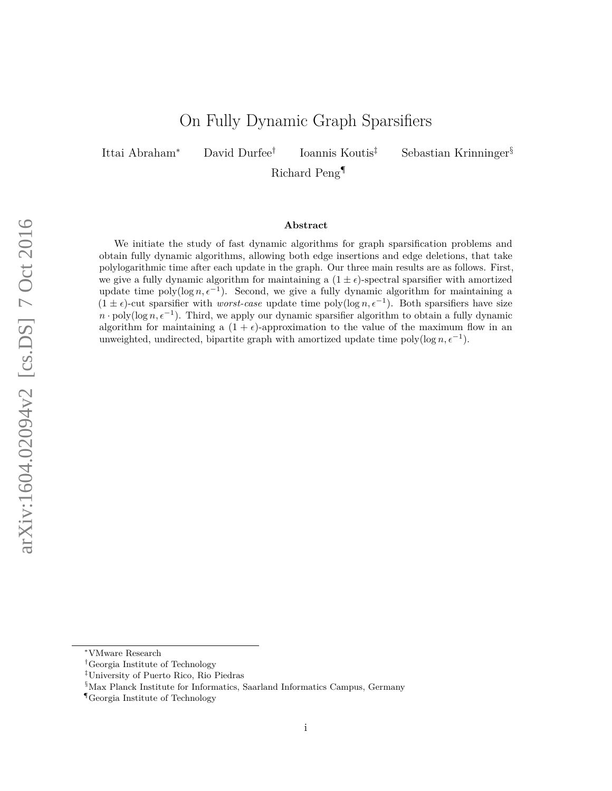# On Fully Dynamic Graph Sparsifiers

Ittai Abraham<sup>∗</sup> David Durfee†

Ioannis Koutis‡ Sebastian Krinninger§

Richard Peng¶

#### **Abstract**

We initiate the study of fast dynamic algorithms for graph sparsification problems and obtain fully dynamic algorithms, allowing both edge insertions and edge deletions, that take polylogarithmic time after each update in the graph. Our three main results are as follows. First, we give a fully dynamic algorithm for maintaining a  $(1 \pm \epsilon)$ -spectral sparsifier with amortized update time  $\text{poly}(\log n, \epsilon^{-1})$ . Second, we give a fully dynamic algorithm for maintaining a  $(1 \pm \epsilon)$ -cut sparsifier with *worst-case* update time poly(log *n*,  $\epsilon^{-1}$ ). Both sparsifiers have size  $n \cdot \text{poly}(\log n, \epsilon^{-1})$ . Third, we apply our dynamic sparsifier algorithm to obtain a fully dynamic algorithm for maintaining a  $(1 + \epsilon)$ -approximation to the value of the maximum flow in an unweighted, undirected, bipartite graph with amortized update time poly( $\log n, \epsilon^{-1}$ ).

<sup>∗</sup>VMware Research

<sup>†</sup>Georgia Institute of Technology

<sup>‡</sup>University of Puerto Rico, Rio Piedras

<sup>§</sup>Max Planck Institute for Informatics, Saarland Informatics Campus, Germany

<sup>¶</sup>Georgia Institute of Technology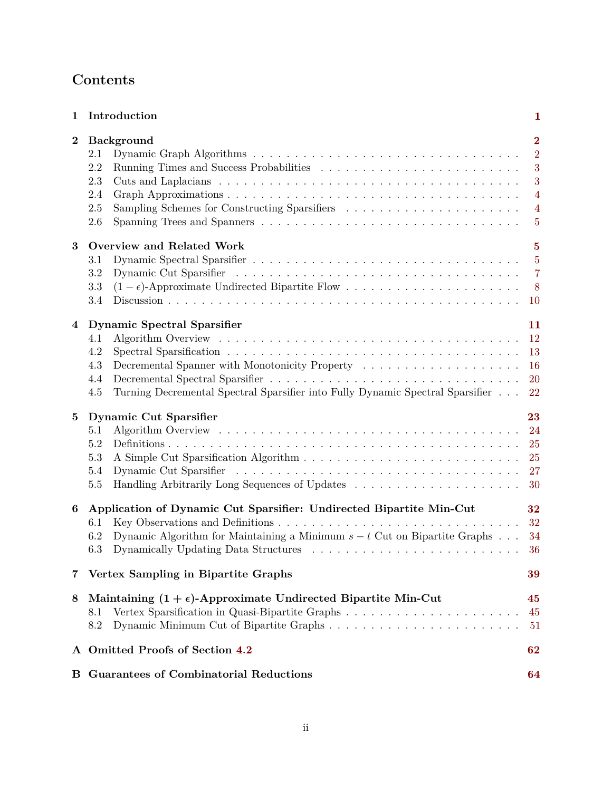| $\mathbf{1}$   | Introduction                                                                                                                                                                                              | 1                                                                                                |  |  |  |  |  |
|----------------|-----------------------------------------------------------------------------------------------------------------------------------------------------------------------------------------------------------|--------------------------------------------------------------------------------------------------|--|--|--|--|--|
| $\bf{2}$       | <b>Background</b><br>2.1<br>2.2<br>2.3<br>2.4<br>2.5<br>2.6                                                                                                                                               | $\overline{2}$<br>$\overline{2}$<br>3<br>3<br>$\overline{4}$<br>$\overline{4}$<br>$\overline{5}$ |  |  |  |  |  |
| $\bf{3}$       | <b>Overview and Related Work</b><br>3.1<br>3.2<br>$(1-\epsilon)$ -Approximate Undirected Bipartite Flow<br>3.3<br>3.4                                                                                     | $\overline{5}$<br>$\overline{5}$<br>$\overline{7}$<br>$8\phantom{1}$<br><b>10</b>                |  |  |  |  |  |
| $\overline{4}$ | <b>Dynamic Spectral Sparsifier</b><br>4.1<br>4.2<br>Decremental Spanner with Monotonicity Property<br>4.3<br>4.4<br>Turning Decremental Spectral Sparsifier into Fully Dynamic Spectral Sparsifier<br>4.5 | 11<br><b>12</b><br>13<br>16<br>20<br>22                                                          |  |  |  |  |  |
| $\bf{5}$       | <b>Dynamic Cut Sparsifier</b><br>5.1<br>5.2<br>5.3<br>5.4<br>5.5                                                                                                                                          | 23<br>24<br>25<br>25<br>27<br>30                                                                 |  |  |  |  |  |
| 6              | Application of Dynamic Cut Sparsifier: Undirected Bipartite Min-Cut<br>6.1<br>Dynamic Algorithm for Maintaining a Minimum $s - t$ Cut on Bipartite Graphs $\ldots$<br>6.2<br>6.3                          | 32<br>32<br>34<br>36                                                                             |  |  |  |  |  |
| 7              | Vertex Sampling in Bipartite Graphs                                                                                                                                                                       |                                                                                                  |  |  |  |  |  |
| 8              | Maintaining $(1 + \epsilon)$ -Approximate Undirected Bipartite Min-Cut<br>8.1<br>8.2                                                                                                                      |                                                                                                  |  |  |  |  |  |
|                | A Omitted Proofs of Section 4.2<br>62                                                                                                                                                                     |                                                                                                  |  |  |  |  |  |
|                | <b>B</b> Guarantees of Combinatorial Reductions                                                                                                                                                           | 64                                                                                               |  |  |  |  |  |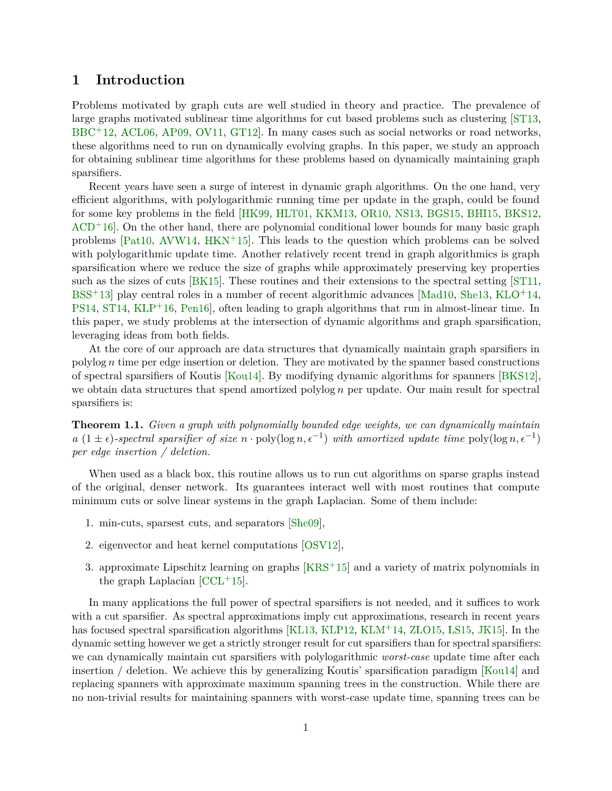# <span id="page-2-1"></span><span id="page-2-0"></span>**1 Introduction**

Problems motivated by graph cuts are well studied in theory and practice. The prevalence of large graphs motivated sublinear time algorithms for cut based problems such as clustering [\[ST13,](#page-62-0) [BBC](#page-58-0)<sup>+</sup>12, [ACL06,](#page-58-1) [AP09,](#page-58-2) [OV11,](#page-61-0) GT12. In many cases such as social networks or road networks, these algorithms need to run on dynamically evolving graphs. In this paper, we study an approach for obtaining sublinear time algorithms for these problems based on dynamically maintaining graph sparsifiers.

Recent years have seen a surge of interest in dynamic graph algorithms. On the one hand, very efficient algorithms, with polylogarithmic running time per update in the graph, could be found for some key problems in the field [\[HK99,](#page-59-1) [HLT01,](#page-60-0) [KKM13,](#page-60-1) [OR10,](#page-61-1) [NS13,](#page-61-2) [BGS15,](#page-58-3) [BHI15,](#page-58-4) [BKS12,](#page-58-5)  $ACD+16$  $ACD+16$ . On the other hand, there are polynomial conditional lower bounds for many basic graph problems  $[Pat10, AVW14, HKN<sup>+</sup>15]$  $[Pat10, AVW14, HKN<sup>+</sup>15]$  $[Pat10, AVW14, HKN<sup>+</sup>15]$  $[Pat10, AVW14, HKN<sup>+</sup>15]$  $[Pat10, AVW14, HKN<sup>+</sup>15]$  $[Pat10, AVW14, HKN<sup>+</sup>15]$ . This leads to the question which problems can be solved with polylogarithmic update time. Another relatively recent trend in graph algorithmics is graph sparsification where we reduce the size of graphs while approximately preserving key properties such as the sizes of cuts [\[BK15\]](#page-58-7). These routines and their extensions to the spectral setting [\[ST11,](#page-62-1)  $BSS<sup>+</sup>13$  $BSS<sup>+</sup>13$  play central roles in a number of recent algorithmic advances [\[Mad10,](#page-61-4) [She13,](#page-61-5) [KLO](#page-60-2)<sup>+</sup>14, [PS14,](#page-61-6) [ST14,](#page-62-2) [KLP](#page-60-3)<sup>+</sup>16, Pen16, often leading to graph algorithms that run in almost-linear time. In this paper, we study problems at the intersection of dynamic algorithms and graph sparsification, leveraging ideas from both fields.

At the core of our approach are data structures that dynamically maintain graph sparsifiers in polylog *n* time per edge insertion or deletion. They are motivated by the spanner based constructions of spectral sparsifiers of Koutis [\[Kou14\]](#page-60-4). By modifying dynamic algorithms for spanners [\[BKS12\]](#page-58-5), we obtain data structures that spend amortized polylog *n* per update. Our main result for spectral sparsifiers is:

**Theorem 1.1.** *Given a graph with polynomially bounded edge weights, we can dynamically maintain a*  $(1 \pm \epsilon)$ -spectral sparsifier of size  $n \cdot \text{poly}(\log n, \epsilon^{-1})$  with amortized update time  $\text{poly}(\log n, \epsilon^{-1})$ *per edge insertion / deletion.*

When used as a black box, this routine allows us to run cut algorithms on sparse graphs instead of the original, denser network. Its guarantees interact well with most routines that compute minimum cuts or solve linear systems in the graph Laplacian. Some of them include:

- 1. min-cuts, sparsest cuts, and separators [\[She09\]](#page-61-8),
- 2. eigenvector and heat kernel computations [\[OSV12\]](#page-61-9),
- 3. approximate Lipschitz learning on graphs  $[KRS^+15]$  $[KRS^+15]$  and a variety of matrix polynomials in the graph Laplacian  $[CL<sup>+</sup>15]$ .

In many applications the full power of spectral sparsifiers is not needed, and it suffices to work with a cut sparsifier. As spectral approximations imply cut approximations, research in recent years has focused spectral sparsification algorithms [\[KL13,](#page-60-6) [KLP12,](#page-60-7) [KLM](#page-60-8)<sup>+</sup>14, [ZLO15,](#page-62-3) [LS15,](#page-61-10) [JK15\]](#page-60-9). In the dynamic setting however we get a strictly stronger result for cut sparsifiers than for spectral sparsifiers: we can dynamically maintain cut sparsifiers with polylogarithmic *worst-case* update time after each insertion / deletion. We achieve this by generalizing Koutis' sparsification paradigm [\[Kou14\]](#page-60-4) and replacing spanners with approximate maximum spanning trees in the construction. While there are no non-trivial results for maintaining spanners with worst-case update time, spanning trees can be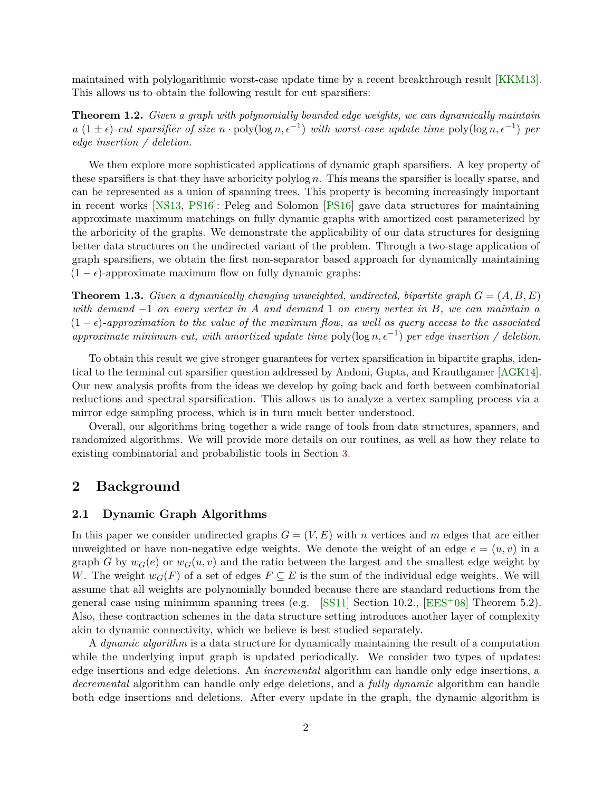<span id="page-3-4"></span>maintained with polylogarithmic worst-case update time by a recent breakthrough result [\[KKM13\]](#page-60-1). This allows us to obtain the following result for cut sparsifiers:

<span id="page-3-3"></span>**Theorem 1.2.** *Given a graph with polynomially bounded edge weights, we can dynamically maintain*  $a(1 \pm \epsilon)$ -cut sparsifier of size  $n \cdot \text{poly}(\log n, \epsilon^{-1})$  with worst-case update time  $\text{poly}(\log n, \epsilon^{-1})$  per *edge insertion / deletion.*

We then explore more sophisticated applications of dynamic graph sparsifiers. A key property of these sparsifiers is that they have arboricity polylog *n*. This means the sparsifier is locally sparse, and can be represented as a union of spanning trees. This property is becoming increasingly important in recent works [\[NS13,](#page-61-2) [PS16\]](#page-61-11): Peleg and Solomon [\[PS16\]](#page-61-11) gave data structures for maintaining approximate maximum matchings on fully dynamic graphs with amortized cost parameterized by the arboricity of the graphs. We demonstrate the applicability of our data structures for designing better data structures on the undirected variant of the problem. Through a two-stage application of graph sparsifiers, we obtain the first non-separator based approach for dynamically maintaining  $(1 - \epsilon)$ -approximate maximum flow on fully dynamic graphs:

<span id="page-3-2"></span>**Theorem 1.3.** *Given a dynamically changing unweighted, undirected, bipartite graph*  $G = (A, B, E)$ *with demand* −1 *on every vertex in A and demand* 1 *on every vertex in B, we can maintain a*  $(1 - \epsilon)$ *-approximation to the value of the maximum flow, as well as query access to the associated approximate minimum cut, with amortized update time* poly(log  $n, \epsilon^{-1}$ ) *per edge insertion* / deletion.

To obtain this result we give stronger guarantees for vertex sparsification in bipartite graphs, identical to the terminal cut sparsifier question addressed by Andoni, Gupta, and Krauthgamer [\[AGK14\]](#page-58-8). Our new analysis profits from the ideas we develop by going back and forth between combinatorial reductions and spectral sparsification. This allows us to analyze a vertex sampling process via a mirror edge sampling process, which is in turn much better understood.

Overall, our algorithms bring together a wide range of tools from data structures, spanners, and randomized algorithms. We will provide more details on our routines, as well as how they relate to existing combinatorial and probabilistic tools in Section [3.](#page-6-1)

## <span id="page-3-0"></span>**2 Background**

#### <span id="page-3-1"></span>**2.1 Dynamic Graph Algorithms**

In this paper we consider undirected graphs  $G = (V, E)$  with *n* vertices and *m* edges that are either unweighted or have non-negative edge weights. We denote the weight of an edge  $e = (u, v)$  in a graph *G* by  $w_G(e)$  or  $w_G(u, v)$  and the ratio between the largest and the smallest edge weight by *W*. The weight  $w_G(F)$  of a set of edges  $F \subseteq E$  is the sum of the individual edge weights. We will assume that all weights are polynomially bounded because there are standard reductions from the general case using minimum spanning trees (e.g. [\[SS11\]](#page-61-12) Section 10.2.,  $[EES<sup>+</sup>08]$  $[EES<sup>+</sup>08]$  Theorem 5.2). Also, these contraction schemes in the data structure setting introduces another layer of complexity akin to dynamic connectivity, which we believe is best studied separately.

A *dynamic algorithm* is a data structure for dynamically maintaining the result of a computation while the underlying input graph is updated periodically. We consider two types of updates: edge insertions and edge deletions. An *incremental* algorithm can handle only edge insertions, a *decremental* algorithm can handle only edge deletions, and a *fully dynamic* algorithm can handle both edge insertions and deletions. After every update in the graph, the dynamic algorithm is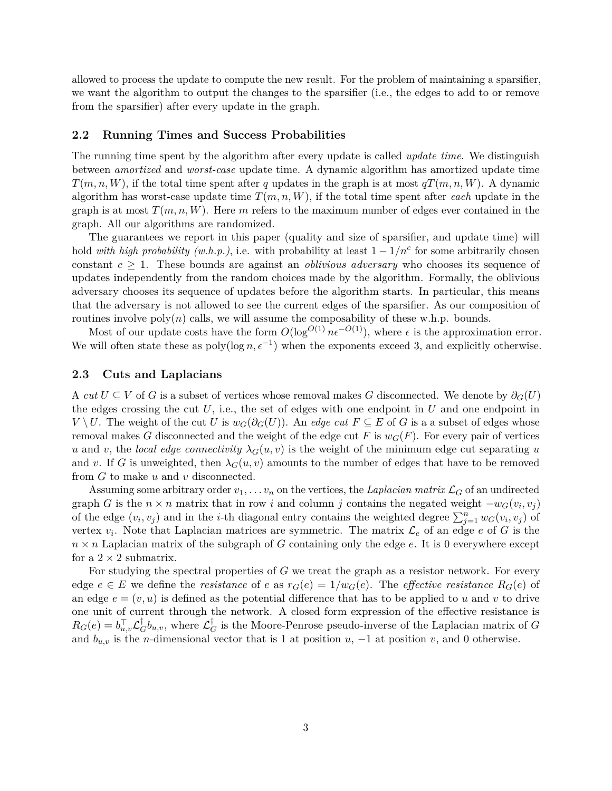allowed to process the update to compute the new result. For the problem of maintaining a sparsifier, we want the algorithm to output the changes to the sparsifier (i.e., the edges to add to or remove from the sparsifier) after every update in the graph.

#### <span id="page-4-0"></span>**2.2 Running Times and Success Probabilities**

The running time spent by the algorithm after every update is called *update time*. We distinguish between *amortized* and *worst-case* update time. A dynamic algorithm has amortized update time  $T(m, n, W)$ , if the total time spent after *q* updates in the graph is at most  $qT(m, n, W)$ . A dynamic algorithm has worst-case update time  $T(m, n, W)$ , if the total time spent after *each* update in the graph is at most  $T(m, n, W)$ . Here *m* refers to the maximum number of edges ever contained in the graph. All our algorithms are randomized.

The guarantees we report in this paper (quality and size of sparsifier, and update time) will hold *with high probability (w.h.p.)*, i.e. with probability at least  $1 - 1/n<sup>c</sup>$  for some arbitrarily chosen constant  $c \geq 1$ . These bounds are against an *oblivious adversary* who chooses its sequence of updates independently from the random choices made by the algorithm. Formally, the oblivious adversary chooses its sequence of updates before the algorithm starts. In particular, this means that the adversary is not allowed to see the current edges of the sparsifier. As our composition of routines involve  $poly(n)$  calls, we will assume the composability of these w.h.p. bounds.

Most of our update costs have the form  $O(\log^{O(1)} n \epsilon^{-O(1)})$ , where  $\epsilon$  is the approximation error. We will often state these as  $poly(log n, \epsilon^{-1})$  when the exponents exceed 3, and explicitly otherwise.

#### <span id="page-4-1"></span>**2.3 Cuts and Laplacians**

A *cut*  $U \subseteq V$  of *G* is a subset of vertices whose removal makes *G* disconnected. We denote by  $\partial_G(U)$ the edges crossing the cut  $U$ , i.e., the set of edges with one endpoint in  $U$  and one endpoint in *V* \ *U*. The weight of the cut *U* is  $w_G(\partial_G(U))$ . An *edge cut F* ⊆ *E* of *G* is a a subset of edges whose removal makes *G* disconnected and the weight of the edge cut *F* is  $w_G(F)$ . For every pair of vertices *u* and *v*, the *local edge connectivity*  $\lambda_G(u, v)$  is the weight of the minimum edge cut separating *u* and *v*. If *G* is unweighted, then  $\lambda_G(u, v)$  amounts to the number of edges that have to be removed from *G* to make *u* and *v* disconnected.

Assuming some arbitrary order  $v_1, \ldots v_n$  on the vertices, the *Laplacian matrix*  $\mathcal{L}_G$  of an undirected graph *G* is the  $n \times n$  matrix that in row *i* and column *j* contains the negated weight  $-w_G(v_i, v_j)$ of the edge  $(v_i, v_j)$  and in the *i*-th diagonal entry contains the weighted degree  $\sum_{j=1}^n w_G(v_i, v_j)$  of vertex  $v_i$ . Note that Laplacian matrices are symmetric. The matrix  $\mathcal{L}_e$  of an edge  $e$  of  $G$  is the  $n \times n$  Laplacian matrix of the subgraph of *G* containing only the edge *e*. It is 0 everywhere except for a  $2 \times 2$  submatrix.

For studying the spectral properties of *G* we treat the graph as a resistor network. For every edge  $e \in E$  we define the *resistance* of *e* as  $r_G(e) = 1/w_G(e)$ . The *effective resistance*  $R_G(e)$  of an edge  $e = (v, u)$  is defined as the potential difference that has to be applied to *u* and *v* to drive one unit of current through the network. A closed form expression of the effective resistance is  $R_G(e) = b_{u,v}^{\top} \mathcal{L}_G^{\dagger} b_{u,v}$ , where  $\mathcal{L}_G^{\dagger}$  is the Moore-Penrose pseudo-inverse of the Laplacian matrix of *G* and  $b_{u,v}$  is the *n*-dimensional vector that is 1 at position *u*, −1 at position *v*, and 0 otherwise.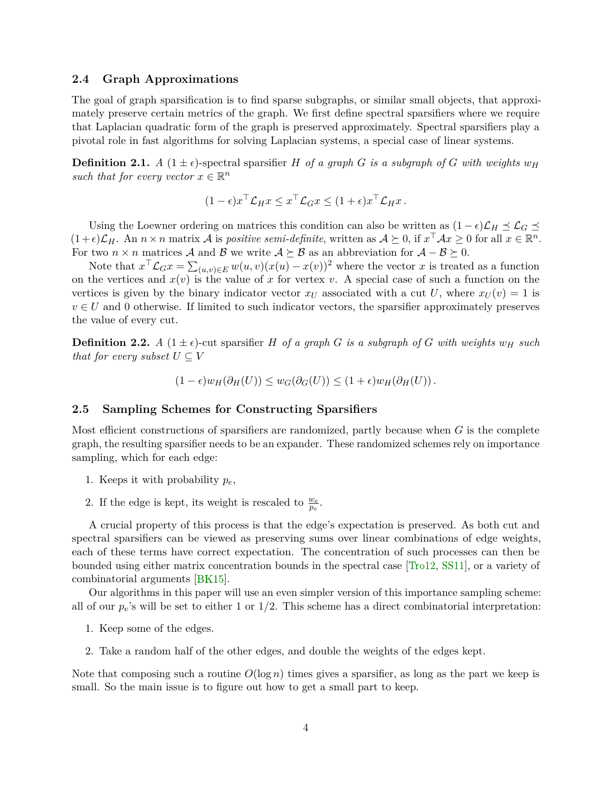#### <span id="page-5-2"></span><span id="page-5-0"></span>**2.4 Graph Approximations**

The goal of graph sparsification is to find sparse subgraphs, or similar small objects, that approximately preserve certain metrics of the graph. We first define spectral sparsifiers where we require that Laplacian quadratic form of the graph is preserved approximately. Spectral sparsifiers play a pivotal role in fast algorithms for solving Laplacian systems, a special case of linear systems.

**Definition 2.1.** *A* ( $1 \pm \epsilon$ )-spectral sparsifier *H of a graph G is a subgraph of G with weights*  $w_H$ *such that for every vector*  $x \in \mathbb{R}^n$ 

$$
(1 - \epsilon)x^{\top} \mathcal{L}_H x \leq x^{\top} \mathcal{L}_G x \leq (1 + \epsilon)x^{\top} \mathcal{L}_H x.
$$

Using the Loewner ordering on matrices this condition can also be written as  $(1 - \epsilon)\mathcal{L}_H \preceq \mathcal{L}_G \preceq$  $(1+\epsilon)\mathcal{L}_H$ . An  $n \times n$  matrix A is *positive semi-definite*, written as  $\mathcal{A} \succeq 0$ , if  $x^\top \mathcal{A} x \geq 0$  for all  $x \in \mathbb{R}^n$ . For two  $n \times n$  matrices A and B we write  $A \succeq B$  as an abbreviation for  $A - B \succeq 0$ .

Note that  $x^{\top} \mathcal{L}_G x = \sum_{(u,v) \in E} w(u,v)(x(u) - x(v))^2$  where the vector *x* is treated as a function on the vertices and  $x(v)$  is the value of x for vertex v. A special case of such a function on the vertices is given by the binary indicator vector  $x_U$  associated with a cut U, where  $x_U(v) = 1$  is  $v \in U$  and 0 otherwise. If limited to such indicator vectors, the sparsifier approximately preserves the value of every cut.

**Definition 2.2.** *A*  $(1 \pm \epsilon)$ -cut sparsifier *H of a graph G is a subgraph of G with weights*  $w_H$  *such that for every subset*  $U \subset V$ 

$$
(1 - \epsilon)w_H(\partial_H(U)) \le w_G(\partial_G(U)) \le (1 + \epsilon)w_H(\partial_H(U)).
$$

#### <span id="page-5-1"></span>**2.5 Sampling Schemes for Constructing Sparsifiers**

Most efficient constructions of sparsifiers are randomized, partly because when *G* is the complete graph, the resulting sparsifier needs to be an expander. These randomized schemes rely on importance sampling, which for each edge:

- 1. Keeps it with probability *pe*,
- 2. If the edge is kept, its weight is rescaled to  $\frac{w_e}{p_e}$ .

A crucial property of this process is that the edge's expectation is preserved. As both cut and spectral sparsifiers can be viewed as preserving sums over linear combinations of edge weights, each of these terms have correct expectation. The concentration of such processes can then be bounded using either matrix concentration bounds in the spectral case [\[Tro12,](#page-62-4) [SS11\]](#page-61-12), or a variety of combinatorial arguments [\[BK15\]](#page-58-7).

Our algorithms in this paper will use an even simpler version of this importance sampling scheme: all of our  $p_e$ 's will be set to either 1 or  $1/2$ . This scheme has a direct combinatorial interpretation:

- 1. Keep some of the edges.
- 2. Take a random half of the other edges, and double the weights of the edges kept.

Note that composing such a routine  $O(\log n)$  times gives a sparsifier, as long as the part we keep is small. So the main issue is to figure out how to get a small part to keep.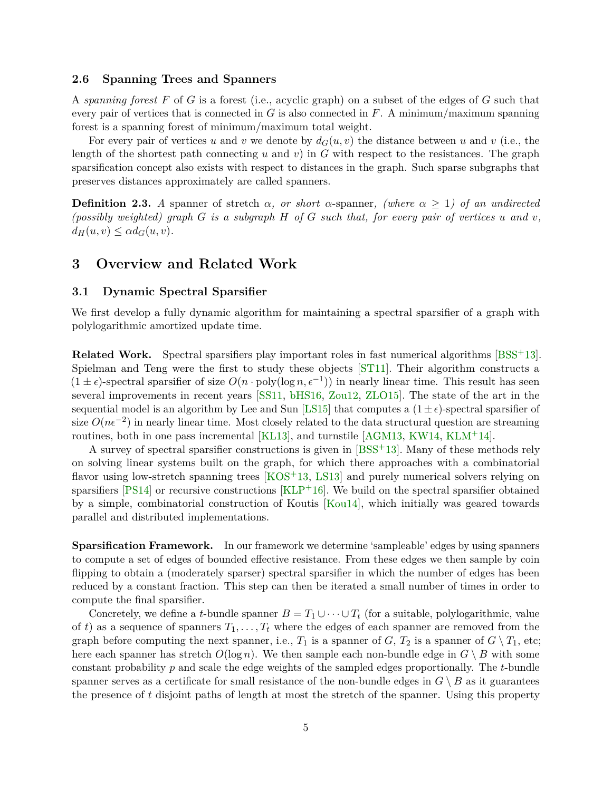#### <span id="page-6-3"></span><span id="page-6-0"></span>**2.6 Spanning Trees and Spanners**

A *spanning forest F* of *G* is a forest (i.e., acyclic graph) on a subset of the edges of *G* such that every pair of vertices that is connected in *G* is also connected in *F*. A minimum/maximum spanning forest is a spanning forest of minimum/maximum total weight.

For every pair of vertices *u* and *v* we denote by  $d_G(u, v)$  the distance between *u* and *v* (i.e., the length of the shortest path connecting  $u$  and  $v$ ) in  $G$  with respect to the resistances. The graph sparsification concept also exists with respect to distances in the graph. Such sparse subgraphs that preserves distances approximately are called spanners.

**Definition 2.3.** *A* spanner of stretch  $\alpha$ , or short  $\alpha$ -spanner, (where  $\alpha \geq 1$ ) of an undirected *(possibly weighted) graph G is a subgraph H of G such that, for every pair of vertices u and v,*  $d_H(u, v) \leq \alpha d_G(u, v)$ .

# <span id="page-6-1"></span>**3 Overview and Related Work**

#### <span id="page-6-2"></span>**3.1 Dynamic Spectral Sparsifier**

We first develop a fully dynamic algorithm for maintaining a spectral sparsifier of a graph with polylogarithmic amortized update time.

**Related Work.** Spectral sparsifiers play important roles in fast numerical algorithms [\[BSS](#page-59-3)<sup>+</sup>13]. Spielman and Teng were the first to study these objects [\[ST11\]](#page-62-1). Their algorithm constructs a  $(1 \pm \epsilon)$ -spectral sparsifier of size  $O(n \cdot \text{poly}(\log n, \epsilon^{-1}))$  in nearly linear time. This result has seen several improvements in recent years [\[SS11,](#page-61-12) [bHS16,](#page-58-9) [Zou12,](#page-62-5) [ZLO15\]](#page-62-3). The state of the art in the sequential model is an algorithm by Lee and Sun [\[LS15\]](#page-61-10) that computes a  $(1 \pm \epsilon)$ -spectral sparsifier of size  $O(n\epsilon^{-2})$  in nearly linear time. Most closely related to the data structural question are streaming routines, both in one pass incremental  $\text{[KL13]}$  $\text{[KL13]}$  $\text{[KL13]}$ , and turnstile  $\text{[AGM13, KW14, KLM+14]}$  $\text{[AGM13, KW14, KLM+14]}$  $\text{[AGM13, KW14, KLM+14]}$  $\text{[AGM13, KW14, KLM+14]}$  $\text{[AGM13, KW14, KLM+14]}$  $\text{[AGM13, KW14, KLM+14]}$  $\text{[AGM13, KW14, KLM+14]}$ .

A survey of spectral sparsifier constructions is given in [\[BSS](#page-59-3)+13]. Many of these methods rely on solving linear systems built on the graph, for which there approaches with a combinatorial flavor using low-stretch spanning trees  $[KOS<sup>+</sup>13, LS13]$  $[KOS<sup>+</sup>13, LS13]$  $[KOS<sup>+</sup>13, LS13]$  and purely numerical solvers relying on sparsifiers  $[PS14]$  or recursive constructions  $[KLP<sup>+</sup>16]$  $[KLP<sup>+</sup>16]$ . We build on the spectral sparsifier obtained by a simple, combinatorial construction of Koutis [\[Kou14\]](#page-60-4), which initially was geared towards parallel and distributed implementations.

**Sparsification Framework.** In our framework we determine 'sampleable' edges by using spanners to compute a set of edges of bounded effective resistance. From these edges we then sample by coin flipping to obtain a (moderately sparser) spectral sparsifier in which the number of edges has been reduced by a constant fraction. This step can then be iterated a small number of times in order to compute the final sparsifier.

Concretely, we define a *t*-bundle spanner  $B = T_1 \cup \cdots \cup T_t$  (for a suitable, polylogarithmic, value of *t*) as a sequence of spanners  $T_1, \ldots, T_t$  where the edges of each spanner are removed from the graph before computing the next spanner, i.e.,  $T_1$  is a spanner of  $G$ ,  $T_2$  is a spanner of  $G \setminus T_1$ , etc; here each spanner has stretch  $O(\log n)$ . We then sample each non-bundle edge in  $G \setminus B$  with some constant probability *p* and scale the edge weights of the sampled edges proportionally. The *t*-bundle spanner serves as a certificate for small resistance of the non-bundle edges in  $G \setminus B$  as it guarantees the presence of *t* disjoint paths of length at most the stretch of the spanner. Using this property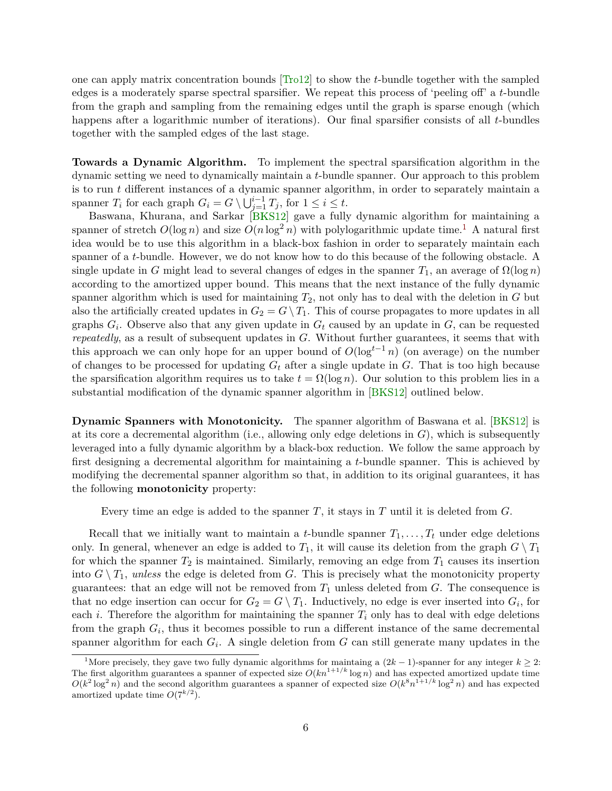<span id="page-7-1"></span>one can apply matrix concentration bounds [\[Tro12\]](#page-62-4) to show the *t*-bundle together with the sampled edges is a moderately sparse spectral sparsifier. We repeat this process of 'peeling off' a *t*-bundle from the graph and sampling from the remaining edges until the graph is sparse enough (which happens after a logarithmic number of iterations). Our final sparsifier consists of all *t*-bundles together with the sampled edges of the last stage.

**Towards a Dynamic Algorithm.** To implement the spectral sparsification algorithm in the dynamic setting we need to dynamically maintain a *t*-bundle spanner. Our approach to this problem is to run *t* different instances of a dynamic spanner algorithm, in order to separately maintain a spanner  $T_i$  for each graph  $G_i = G \setminus \bigcup_{j=1}^{i-1} T_j$ , for  $1 \leq i \leq t$ .

Baswana, Khurana, and Sarkar [\[BKS12\]](#page-58-5) gave a fully dynamic algorithm for maintaining a spanner of stretch  $O(\log n)$  and size  $O(n \log^2 n)$  with polylogarithmic update time.<sup>[1](#page-7-0)</sup> A natural first idea would be to use this algorithm in a black-box fashion in order to separately maintain each spanner of a *t*-bundle. However, we do not know how to do this because of the following obstacle. A single update in *G* might lead to several changes of edges in the spanner  $T_1$ , an average of  $\Omega(\log n)$ according to the amortized upper bound. This means that the next instance of the fully dynamic spanner algorithm which is used for maintaining *T*2, not only has to deal with the deletion in *G* but also the artificially created updates in  $G_2 = G \setminus T_1$ . This of course propagates to more updates in all graphs *G<sup>i</sup>* . Observe also that any given update in *G<sup>t</sup>* caused by an update in *G*, can be requested *repeatedly*, as a result of subsequent updates in *G*. Without further guarantees, it seems that with this approach we can only hope for an upper bound of  $O(\log^{t-1} n)$  (on average) on the number of changes to be processed for updating *G<sup>t</sup>* after a single update in *G*. That is too high because the sparsification algorithm requires us to take  $t = \Omega(\log n)$ . Our solution to this problem lies in a substantial modification of the dynamic spanner algorithm in [\[BKS12\]](#page-58-5) outlined below.

**Dynamic Spanners with Monotonicity.** The spanner algorithm of Baswana et al. [\[BKS12\]](#page-58-5) is at its core a decremental algorithm (i.e., allowing only edge deletions in  $G$ ), which is subsequently leveraged into a fully dynamic algorithm by a black-box reduction. We follow the same approach by first designing a decremental algorithm for maintaining a *t*-bundle spanner. This is achieved by modifying the decremental spanner algorithm so that, in addition to its original guarantees, it has the following **monotonicity** property:

Every time an edge is added to the spanner *T*, it stays in *T* until it is deleted from *G*.

Recall that we initially want to maintain a *t*-bundle spanner  $T_1, \ldots, T_t$  under edge deletions only. In general, whenever an edge is added to  $T_1$ , it will cause its deletion from the graph  $G \setminus T_1$ for which the spanner  $T_2$  is maintained. Similarly, removing an edge from  $T_1$  causes its insertion into  $G \setminus T_1$ , *unless* the edge is deleted from *G*. This is precisely what the monotonicity property guarantees: that an edge will not be removed from  $T_1$  unless deleted from  $G$ . The consequence is that no edge insertion can occur for  $G_2 = G \setminus T_1$ . Inductively, no edge is ever inserted into  $G_i$ , for each *i*. Therefore the algorithm for maintaining the spanner  $T_i$  only has to deal with edge deletions from the graph  $G_i$ , thus it becomes possible to run a different instance of the same decremental spanner algorithm for each *G<sup>i</sup>* . A single deletion from *G* can still generate many updates in the

<span id="page-7-0"></span><sup>1</sup>More precisely, they gave two fully dynamic algorithms for maintaing a (2*k* − 1)-spanner for any integer *k* ≥ 2: The first algorithm guarantees a spanner of expected size  $O(kn^{1+1/k} \log n)$  and has expected amortized update time  $O(k^2 \log^2 n)$  and the second algorithm guarantees a spanner of expected size  $O(k^8 n^{1+1/k} \log^2 n)$  and has expected amortized update time  $O(7^{k/2})$ .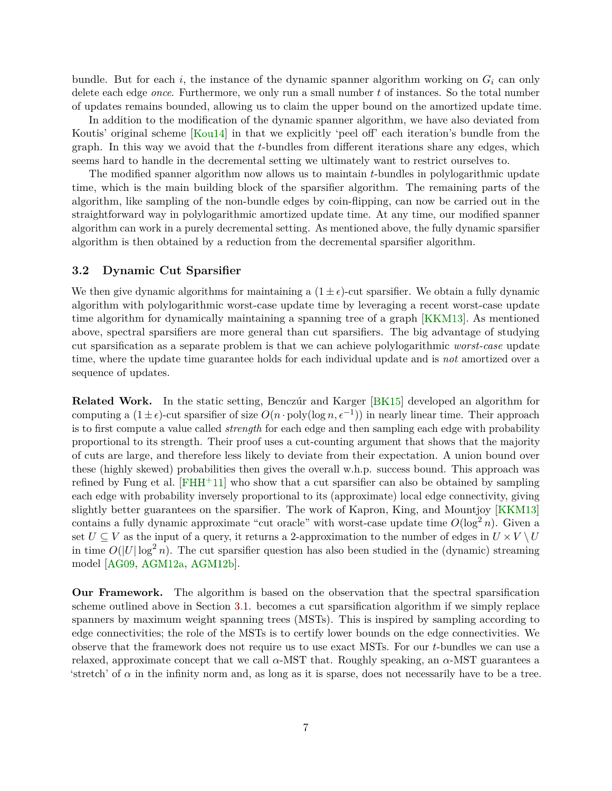<span id="page-8-1"></span>bundle. But for each  $i$ , the instance of the dynamic spanner algorithm working on  $G_i$  can only delete each edge *once*. Furthermore, we only run a small number *t* of instances. So the total number of updates remains bounded, allowing us to claim the upper bound on the amortized update time.

In addition to the modification of the dynamic spanner algorithm, we have also deviated from Koutis' original scheme [\[Kou14\]](#page-60-4) in that we explicitly 'peel off' each iteration's bundle from the graph. In this way we avoid that the *t*-bundles from different iterations share any edges, which seems hard to handle in the decremental setting we ultimately want to restrict ourselves to.

The modified spanner algorithm now allows us to maintain *t*-bundles in polylogarithmic update time, which is the main building block of the sparsifier algorithm. The remaining parts of the algorithm, like sampling of the non-bundle edges by coin-flipping, can now be carried out in the straightforward way in polylogarithmic amortized update time. At any time, our modified spanner algorithm can work in a purely decremental setting. As mentioned above, the fully dynamic sparsifier algorithm is then obtained by a reduction from the decremental sparsifier algorithm.

#### <span id="page-8-0"></span>**3.2 Dynamic Cut Sparsifier**

We then give dynamic algorithms for maintaining a  $(1 \pm \epsilon)$ -cut sparsifier. We obtain a fully dynamic algorithm with polylogarithmic worst-case update time by leveraging a recent worst-case update time algorithm for dynamically maintaining a spanning tree of a graph [\[KKM13\]](#page-60-1). As mentioned above, spectral sparsifiers are more general than cut sparsifiers. The big advantage of studying cut sparsification as a separate problem is that we can achieve polylogarithmic *worst-case* update time, where the update time guarantee holds for each individual update and is *not* amortized over a sequence of updates.

**Related Work.** In the static setting, Benczúr and Karger [\[BK15\]](#page-58-7) developed an algorithm for computing a  $(1 \pm \epsilon)$ -cut sparsifier of size  $O(n \cdot \text{poly}(\log n, \epsilon^{-1}))$  in nearly linear time. Their approach is to first compute a value called *strength* for each edge and then sampling each edge with probability proportional to its strength. Their proof uses a cut-counting argument that shows that the majority of cuts are large, and therefore less likely to deviate from their expectation. A union bound over these (highly skewed) probabilities then gives the overall w.h.p. success bound. This approach was refined by Fung et al.  $[FHH+11]$  $[FHH+11]$  who show that a cut sparsifier can also be obtained by sampling each edge with probability inversely proportional to its (approximate) local edge connectivity, giving slightly better guarantees on the sparsifier. The work of Kapron, King, and Mountjoy [\[KKM13\]](#page-60-1) contains a fully dynamic approximate "cut oracle" with worst-case update time  $O(\log^2 n)$ . Given a set  $U \subseteq V$  as the input of a query, it returns a 2-approximation to the number of edges in  $U \times V \setminus U$ in time  $O(|U|\log^2 n)$ . The cut sparsifier question has also been studied in the (dynamic) streaming model [\[AG09,](#page-58-11) [AGM12a,](#page-58-12) [AGM12b\]](#page-58-13).

**Our Framework.** The algorithm is based on the observation that the spectral sparsification scheme outlined above in Section [3.1.](#page-6-2) becomes a cut sparsification algorithm if we simply replace spanners by maximum weight spanning trees (MSTs). This is inspired by sampling according to edge connectivities; the role of the MSTs is to certify lower bounds on the edge connectivities. We observe that the framework does not require us to use exact MSTs. For our *t*-bundles we can use a relaxed, approximate concept that we call  $\alpha$ -MST that. Roughly speaking, an  $\alpha$ -MST guarantees a 'stretch' of  $\alpha$  in the infinity norm and, as long as it is sparse, does not necessarily have to be a tree.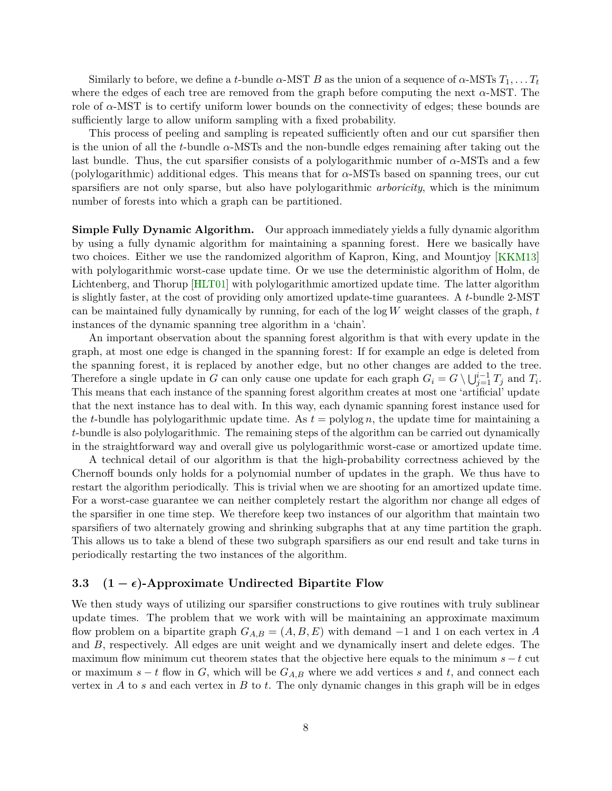<span id="page-9-1"></span>Similarly to before, we define a *t*-bundle  $\alpha$ -MST *B* as the union of a sequence of  $\alpha$ -MSTs  $T_1, \ldots, T_t$ where the edges of each tree are removed from the graph before computing the next  $\alpha$ -MST. The role of  $\alpha$ -MST is to certify uniform lower bounds on the connectivity of edges; these bounds are sufficiently large to allow uniform sampling with a fixed probability.

This process of peeling and sampling is repeated sufficiently often and our cut sparsifier then is the union of all the *t*-bundle *α*-MSTs and the non-bundle edges remaining after taking out the last bundle. Thus, the cut sparsifier consists of a polylogarithmic number of *α*-MSTs and a few (polylogarithmic) additional edges. This means that for *α*-MSTs based on spanning trees, our cut sparsifiers are not only sparse, but also have polylogarithmic *arboricity*, which is the minimum number of forests into which a graph can be partitioned.

**Simple Fully Dynamic Algorithm.** Our approach immediately yields a fully dynamic algorithm by using a fully dynamic algorithm for maintaining a spanning forest. Here we basically have two choices. Either we use the randomized algorithm of Kapron, King, and Mountjoy [\[KKM13\]](#page-60-1) with polylogarithmic worst-case update time. Or we use the deterministic algorithm of Holm, de Lichtenberg, and Thorup [\[HLT01\]](#page-60-0) with polylogarithmic amortized update time. The latter algorithm is slightly faster, at the cost of providing only amortized update-time guarantees. A *t*-bundle 2-MST can be maintained fully dynamically by running, for each of the log *W* weight classes of the graph, *t* instances of the dynamic spanning tree algorithm in a 'chain'.

An important observation about the spanning forest algorithm is that with every update in the graph, at most one edge is changed in the spanning forest: If for example an edge is deleted from the spanning forest, it is replaced by another edge, but no other changes are added to the tree. Therefore a single update in *G* can only cause one update for each graph  $G_i = G \setminus \bigcup_{j=1}^{i-1} T_j$  and  $T_i$ . This means that each instance of the spanning forest algorithm creates at most one 'artificial' update that the next instance has to deal with. In this way, each dynamic spanning forest instance used for the *t*-bundle has polylogarithmic update time. As  $t = \text{polylog } n$ , the update time for maintaining a *t*-bundle is also polylogarithmic. The remaining steps of the algorithm can be carried out dynamically in the straightforward way and overall give us polylogarithmic worst-case or amortized update time.

A technical detail of our algorithm is that the high-probability correctness achieved by the Chernoff bounds only holds for a polynomial number of updates in the graph. We thus have to restart the algorithm periodically. This is trivial when we are shooting for an amortized update time. For a worst-case guarantee we can neither completely restart the algorithm nor change all edges of the sparsifier in one time step. We therefore keep two instances of our algorithm that maintain two sparsifiers of two alternately growing and shrinking subgraphs that at any time partition the graph. This allows us to take a blend of these two subgraph sparsifiers as our end result and take turns in periodically restarting the two instances of the algorithm.

#### <span id="page-9-0"></span>**3.3**  $(1 - \epsilon)$ -Approximate Undirected Bipartite Flow

We then study ways of utilizing our sparsifier constructions to give routines with truly sublinear update times. The problem that we work with will be maintaining an approximate maximum flow problem on a bipartite graph  $G_{A,B} = (A, B, E)$  with demand  $-1$  and 1 on each vertex in A and *B*, respectively. All edges are unit weight and we dynamically insert and delete edges. The maximum flow minimum cut theorem states that the objective here equals to the minimum *s* − *t* cut or maximum  $s - t$  flow in *G*, which will be  $G_{A,B}$  where we add vertices *s* and *t*, and connect each vertex in *A* to *s* and each vertex in *B* to *t*. The only dynamic changes in this graph will be in edges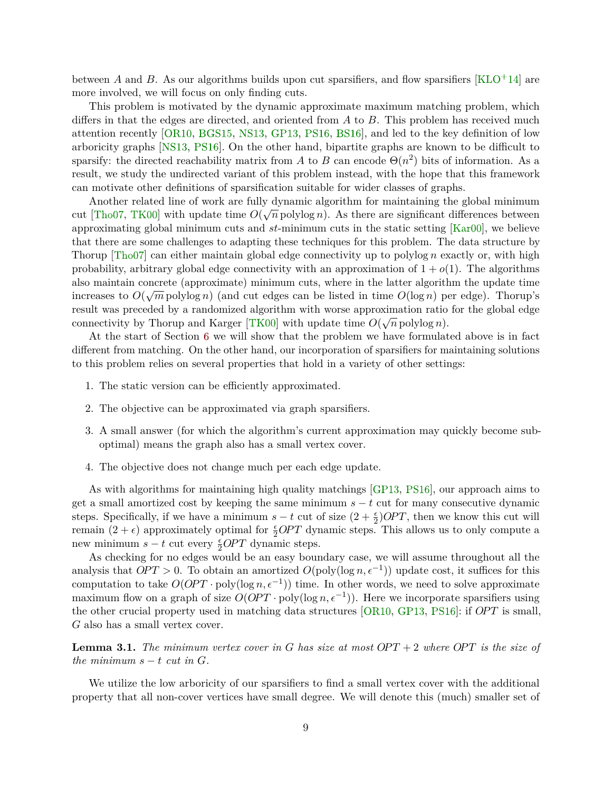<span id="page-10-1"></span>between *A* and *B*. As our algorithms builds upon cut sparsifiers, and flow sparsifiers [\[KLO](#page-60-2)+14] are more involved, we will focus on only finding cuts.

This problem is motivated by the dynamic approximate maximum matching problem, which differs in that the edges are directed, and oriented from *A* to *B*. This problem has received much attention recently [\[OR10,](#page-61-1) [BGS15,](#page-58-3) [NS13,](#page-61-2) [GP13,](#page-59-7) [PS16,](#page-61-11) [BS16\]](#page-59-8), and led to the key definition of low arboricity graphs [\[NS13,](#page-61-2) [PS16\]](#page-61-11). On the other hand, bipartite graphs are known to be difficult to sparsify: the directed reachability matrix from *A* to *B* can encode  $\Theta(n^2)$  bits of information. As a result, we study the undirected variant of this problem instead, with the hope that this framework can motivate other definitions of sparsification suitable for wider classes of graphs.

Another related line of work are fully dynamic algorithm for maintaining the global minimum cut [\[Tho07,](#page-62-6) [TK00\]](#page-62-7) with update time  $O(\sqrt{n} \text{ polylog } n)$ . As there are significant differences between approximating global minimum cuts and *st*-minimum cuts in the static setting [\[Kar00\]](#page-60-12), we believe that there are some challenges to adapting these techniques for this problem. The data structure by Thorup [\[Tho07\]](#page-62-6) can either maintain global edge connectivity up to polylog *n* exactly or, with high probability, arbitrary global edge connectivity with an approximation of  $1 + o(1)$ . The algorithms also maintain concrete (approximate) minimum cuts, where in the latter algorithm the update time increases to  $O(\sqrt{m} \text{ polylog } n)$  (and cut edges can be listed in time  $O(\log n)$  per edge). Thorup's result was preceded by a randomized algorithm with worse approximation ratio for the global edge connectivity by Thorup and Karger [\[TK00\]](#page-62-7) with update time  $O(\sqrt{n} \text{ polylog } n)$ .

At the start of Section [6](#page-33-0) we will show that the problem we have formulated above is in fact different from matching. On the other hand, our incorporation of sparsifiers for maintaining solutions to this problem relies on several properties that hold in a variety of other settings:

- 1. The static version can be efficiently approximated.
- 2. The objective can be approximated via graph sparsifiers.
- 3. A small answer (for which the algorithm's current approximation may quickly become suboptimal) means the graph also has a small vertex cover.
- 4. The objective does not change much per each edge update.

As with algorithms for maintaining high quality matchings [\[GP13,](#page-59-7) [PS16\]](#page-61-11), our approach aims to get a small amortized cost by keeping the same minimum  $s - t$  cut for many consecutive dynamic steps. Specifically, if we have a minimum  $s - t$  cut of size  $(2 + \frac{\epsilon}{2})OPT$ , then we know this cut will remain  $(2 + \epsilon)$  approximately optimal for  $\frac{\epsilon}{2}OPT$  dynamic steps. This allows us to only compute a new minimum  $s - t$  cut every  $\frac{\epsilon}{2}OPT$  dynamic steps.

As checking for no edges would be an easy boundary case, we will assume throughout all the analysis that  $OPT > 0$ . To obtain an amortized  $O(poly(\log n, \epsilon^{-1}))$  update cost, it suffices for this computation to take  $O(OPT \cdot poly(\log n, \epsilon^{-1}))$  time. In other words, we need to solve approximate maximum flow on a graph of size  $O(OPT \cdot poly(\log n, \epsilon^{-1}))$ . Here we incorporate sparsifiers using the other crucial property used in matching data structures [\[OR10,](#page-61-1) [GP13,](#page-59-7) [PS16\]](#page-61-11): if *OP T* is small, *G* also has a small vertex cover.

<span id="page-10-0"></span>**Lemma 3.1.** The minimum vertex cover in G has size at most  $OPT + 2$  where  $OPT$  is the size of *the minimum*  $s - t$  *cut in G*.

We utilize the low arboricity of our sparsifiers to find a small vertex cover with the additional property that all non-cover vertices have small degree. We will denote this (much) smaller set of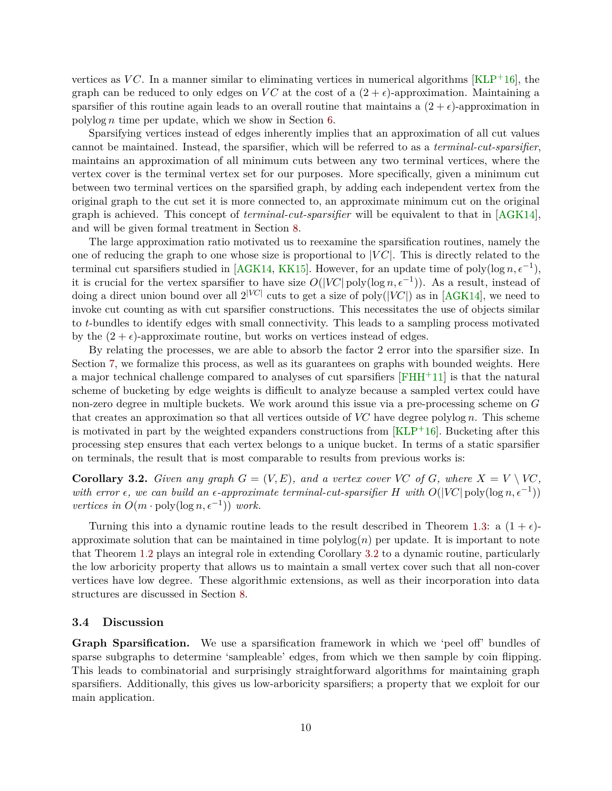<span id="page-11-2"></span>vertices as  $VC$ . In a manner similar to eliminating vertices in numerical algorithms  $KLP+16$ , the graph can be reduced to only edges on *VC* at the cost of a  $(2 + \epsilon)$ -approximation. Maintaining a sparsifier of this routine again leads to an overall routine that maintains a  $(2 + \epsilon)$ -approximation in polylog *n* time per update, which we show in Section [6.](#page-33-0)

Sparsifying vertices instead of edges inherently implies that an approximation of all cut values cannot be maintained. Instead, the sparsifier, which will be referred to as a *terminal-cut-sparsifier*, maintains an approximation of all minimum cuts between any two terminal vertices, where the vertex cover is the terminal vertex set for our purposes. More specifically, given a minimum cut between two terminal vertices on the sparsified graph, by adding each independent vertex from the original graph to the cut set it is more connected to, an approximate minimum cut on the original graph is achieved. This concept of *terminal-cut-sparsifier* will be equivalent to that in [\[AGK14\]](#page-58-8), and will be given formal treatment in Section [8.](#page-46-0)

The large approximation ratio motivated us to reexamine the sparsification routines, namely the one of reducing the graph to one whose size is proportional to |*V C*|. This is directly related to the terminal cut sparsifiers studied in [\[AGK14,](#page-58-8) [KK15\]](#page-60-13). However, for an update time of poly( $\log n, \epsilon^{-1}$ ), it is crucial for the vertex sparsifier to have size  $O(|V\!C|)$  poly(log  $n, \epsilon^{-1})$ ). As a result, instead of doing a direct union bound over all  $2^{|VC|}$  cuts to get a size of poly( $|VC|$ ) as in [\[AGK14\]](#page-58-8), we need to invoke cut counting as with cut sparsifier constructions. This necessitates the use of objects similar to *t*-bundles to identify edges with small connectivity. This leads to a sampling process motivated by the  $(2 + \epsilon)$ -approximate routine, but works on vertices instead of edges.

By relating the processes, we are able to absorb the factor 2 error into the sparsifier size. In Section [7,](#page-40-0) we formalize this process, as well as its guarantees on graphs with bounded weights. Here a major technical challenge compared to analyses of cut sparsifiers [\[FHH](#page-59-6)+11] is that the natural scheme of bucketing by edge weights is difficult to analyze because a sampled vertex could have non-zero degree in multiple buckets. We work around this issue via a pre-processing scheme on *G* that creates an approximation so that all vertices outside of  $VC$  have degree polylog  $n$ . This scheme is motivated in part by the weighted expanders constructions from  $KLP<sup>+</sup>16$ . Bucketing after this processing step ensures that each vertex belongs to a unique bucket. In terms of a static sparsifier on terminals, the result that is most comparable to results from previous works is:

<span id="page-11-1"></span>**Corollary 3.2.** *Given any graph*  $G = (V, E)$ *, and a vertex cover VC of G, where*  $X = V \setminus V$ *C, with error*  $\epsilon$ , we can build an  $\epsilon$ -approximate terminal-cut-sparsifier H with  $O(|VC| \text{poly}(\log n, \epsilon^{-1}))$ *vertices in*  $O(m \cdot \text{poly}(\log n, \epsilon^{-1}))$  *work.* 

Turning this into a dynamic routine leads to the result described in Theorem [1.3:](#page-3-2) a  $(1 + \epsilon)$ approximate solution that can be maintained in time  $\text{polylog}(n)$  per update. It is important to note that Theorem [1.2](#page-3-3) plays an integral role in extending Corollary [3.2](#page-11-1) to a dynamic routine, particularly the low arboricity property that allows us to maintain a small vertex cover such that all non-cover vertices have low degree. These algorithmic extensions, as well as their incorporation into data structures are discussed in Section [8.](#page-46-0)

#### <span id="page-11-0"></span>**3.4 Discussion**

**Graph Sparsification.** We use a sparsification framework in which we 'peel off' bundles of sparse subgraphs to determine 'sampleable' edges, from which we then sample by coin flipping. This leads to combinatorial and surprisingly straightforward algorithms for maintaining graph sparsifiers. Additionally, this gives us low-arboricity sparsifiers; a property that we exploit for our main application.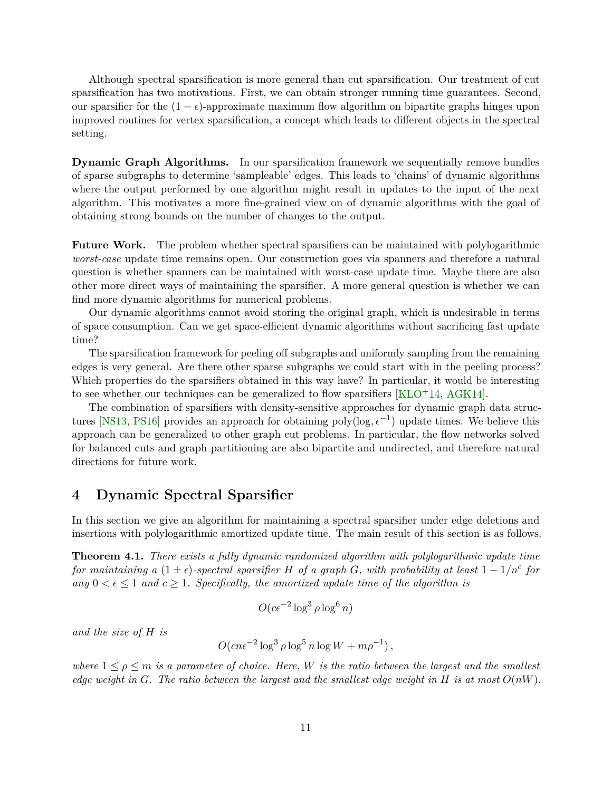<span id="page-12-2"></span>Although spectral sparsification is more general than cut sparsification. Our treatment of cut sparsification has two motivations. First, we can obtain stronger running time guarantees. Second, our sparsifier for the  $(1 - \epsilon)$ -approximate maximum flow algorithm on bipartite graphs hinges upon improved routines for vertex sparsification, a concept which leads to different objects in the spectral setting.

**Dynamic Graph Algorithms.** In our sparsification framework we sequentially remove bundles of sparse subgraphs to determine 'sampleable' edges. This leads to 'chains' of dynamic algorithms where the output performed by one algorithm might result in updates to the input of the next algorithm. This motivates a more fine-grained view on of dynamic algorithms with the goal of obtaining strong bounds on the number of changes to the output.

**Future Work.** The problem whether spectral sparsifiers can be maintained with polylogarithmic *worst-case* update time remains open. Our construction goes via spanners and therefore a natural question is whether spanners can be maintained with worst-case update time. Maybe there are also other more direct ways of maintaining the sparsifier. A more general question is whether we can find more dynamic algorithms for numerical problems.

Our dynamic algorithms cannot avoid storing the original graph, which is undesirable in terms of space consumption. Can we get space-efficient dynamic algorithms without sacrificing fast update time?

The sparsification framework for peeling off subgraphs and uniformly sampling from the remaining edges is very general. Are there other sparse subgraphs we could start with in the peeling process? Which properties do the sparsifiers obtained in this way have? In particular, it would be interesting to see whether our techniques can be generalized to flow sparsifiers  $[KLO<sup>+</sup>14, AGK14]$  $[KLO<sup>+</sup>14, AGK14]$  $[KLO<sup>+</sup>14, AGK14]$ .

The combination of sparsifiers with density-sensitive approaches for dynamic graph data struc-tures [\[NS13,](#page-61-2) [PS16\]](#page-61-11) provides an approach for obtaining poly(log,  $\epsilon^{-1}$ ) update times. We believe this approach can be generalized to other graph cut problems. In particular, the flow networks solved for balanced cuts and graph partitioning are also bipartite and undirected, and therefore natural directions for future work.

# <span id="page-12-0"></span>**4 Dynamic Spectral Sparsifier**

In this section we give an algorithm for maintaining a spectral sparsifier under edge deletions and insertions with polylogarithmic amortized update time. The main result of this section is as follows.

<span id="page-12-1"></span>**Theorem 4.1.** *There exists a fully dynamic randomized algorithm with polylogarithmic update time for maintaining a*  $(1 \pm \epsilon)$ -spectral sparsifier *H of a graph G*, with probability at least  $1 - 1/n^c$  for *any*  $0 < \epsilon \leq 1$  *and*  $c \geq 1$ *. Specifically, the amortized update time of the algorithm is* 

$$
O(c\epsilon^{-2}\log^3\rho\log^6 n)
$$

*and the size of H is*

$$
O(cn\epsilon^{-2}\log^3\rho\log^5 n\log W + m\rho^{-1}),
$$

*where*  $1 \leq \rho \leq m$  *is a parameter of choice. Here, W is the ratio between the largest and the smallest edge weight in*  $G$ *. The ratio between the largest and the smallest edge weight in*  $H$  *is at most*  $O(nW)$ *.*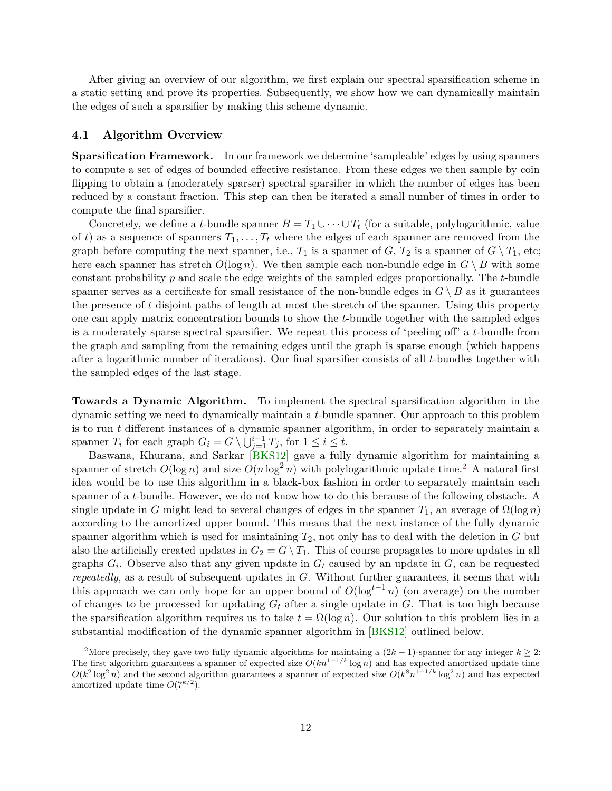<span id="page-13-2"></span>After giving an overview of our algorithm, we first explain our spectral sparsification scheme in a static setting and prove its properties. Subsequently, we show how we can dynamically maintain the edges of such a sparsifier by making this scheme dynamic.

#### <span id="page-13-0"></span>**4.1 Algorithm Overview**

**Sparsification Framework.** In our framework we determine 'sampleable' edges by using spanners to compute a set of edges of bounded effective resistance. From these edges we then sample by coin flipping to obtain a (moderately sparser) spectral sparsifier in which the number of edges has been reduced by a constant fraction. This step can then be iterated a small number of times in order to compute the final sparsifier.

Concretely, we define a *t*-bundle spanner  $B = T_1 \cup \cdots \cup T_t$  (for a suitable, polylogarithmic, value of t) as a sequence of spanners  $T_1, \ldots, T_t$  where the edges of each spanner are removed from the graph before computing the next spanner, i.e.,  $T_1$  is a spanner of  $G$ ,  $T_2$  is a spanner of  $G \setminus T_1$ , etc; here each spanner has stretch  $O(\log n)$ . We then sample each non-bundle edge in  $G \setminus B$  with some constant probability *p* and scale the edge weights of the sampled edges proportionally. The *t*-bundle spanner serves as a certificate for small resistance of the non-bundle edges in  $G \setminus B$  as it guarantees the presence of *t* disjoint paths of length at most the stretch of the spanner. Using this property one can apply matrix concentration bounds to show the *t*-bundle together with the sampled edges is a moderately sparse spectral sparsifier. We repeat this process of 'peeling off' a *t*-bundle from the graph and sampling from the remaining edges until the graph is sparse enough (which happens after a logarithmic number of iterations). Our final sparsifier consists of all *t*-bundles together with the sampled edges of the last stage.

**Towards a Dynamic Algorithm.** To implement the spectral sparsification algorithm in the dynamic setting we need to dynamically maintain a *t*-bundle spanner. Our approach to this problem is to run *t* different instances of a dynamic spanner algorithm, in order to separately maintain a spanner  $T_i$  for each graph  $G_i = G \setminus \bigcup_{j=1}^{i-1} T_j$ , for  $1 \leq i \leq t$ .

Baswana, Khurana, and Sarkar [\[BKS12\]](#page-58-5) gave a fully dynamic algorithm for maintaining a spanner of stretch  $O(\log n)$  and size  $O(n \log^2 n)$  $O(n \log^2 n)$  $O(n \log^2 n)$  with polylogarithmic update time.<sup>2</sup> A natural first idea would be to use this algorithm in a black-box fashion in order to separately maintain each spanner of a *t*-bundle. However, we do not know how to do this because of the following obstacle. A single update in *G* might lead to several changes of edges in the spanner  $T_1$ , an average of  $\Omega(\log n)$ according to the amortized upper bound. This means that the next instance of the fully dynamic spanner algorithm which is used for maintaining *T*2, not only has to deal with the deletion in *G* but also the artificially created updates in  $G_2 = G \setminus T_1$ . This of course propagates to more updates in all graphs *G<sup>i</sup>* . Observe also that any given update in *G<sup>t</sup>* caused by an update in *G*, can be requested *repeatedly*, as a result of subsequent updates in *G*. Without further guarantees, it seems that with this approach we can only hope for an upper bound of  $O(\log^{t-1} n)$  (on average) on the number of changes to be processed for updating *G<sup>t</sup>* after a single update in *G*. That is too high because the sparsification algorithm requires us to take  $t = \Omega(\log n)$ . Our solution to this problem lies in a substantial modification of the dynamic spanner algorithm in [\[BKS12\]](#page-58-5) outlined below.

<span id="page-13-1"></span><sup>&</sup>lt;sup>2</sup>More precisely, they gave two fully dynamic algorithms for maintaing a  $(2k-1)$ -spanner for any integer  $k \geq 2$ : The first algorithm guarantees a spanner of expected size  $O(kn^{1+1/k}\log n)$  and has expected amortized update time  $O(k^2 \log^2 n)$  and the second algorithm guarantees a spanner of expected size  $O(k^8 n^{1+1/k} \log^2 n)$  and has expected amortized update time  $O(7^{k/2})$ .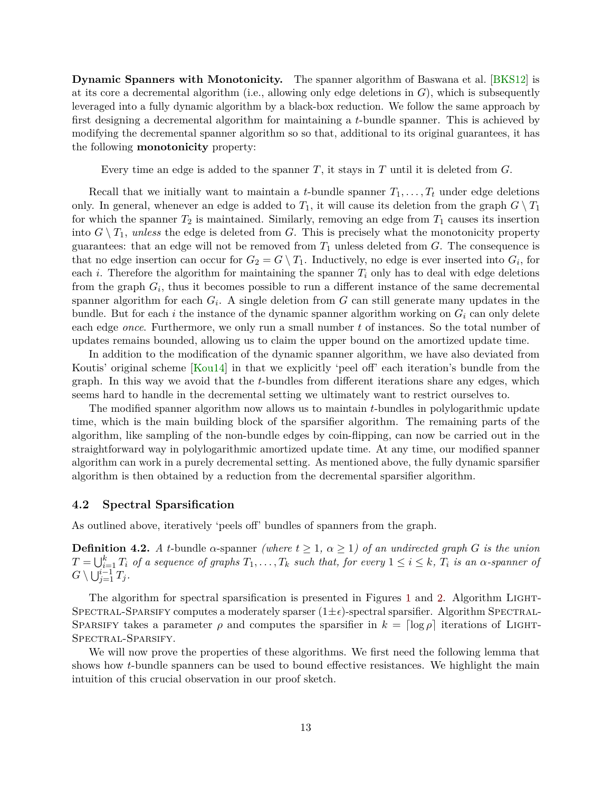<span id="page-14-1"></span>**Dynamic Spanners with Monotonicity.** The spanner algorithm of Baswana et al. [\[BKS12\]](#page-58-5) is at its core a decremental algorithm (i.e., allowing only edge deletions in *G*), which is subsequently leveraged into a fully dynamic algorithm by a black-box reduction. We follow the same approach by first designing a decremental algorithm for maintaining a *t*-bundle spanner. This is achieved by modifying the decremental spanner algorithm so so that, additional to its original guarantees, it has the following **monotonicity** property:

Every time an edge is added to the spanner *T*, it stays in *T* until it is deleted from *G*.

Recall that we initially want to maintain a *t*-bundle spanner  $T_1, \ldots, T_t$  under edge deletions only. In general, whenever an edge is added to  $T_1$ , it will cause its deletion from the graph  $G \setminus T_1$ for which the spanner  $T_2$  is maintained. Similarly, removing an edge from  $T_1$  causes its insertion into  $G \setminus T_1$ , *unless* the edge is deleted from G. This is precisely what the monotonicity property guarantees: that an edge will not be removed from  $T_1$  unless deleted from  $G$ . The consequence is that no edge insertion can occur for  $G_2 = G \setminus T_1$ . Inductively, no edge is ever inserted into  $G_i$ , for each *i*. Therefore the algorithm for maintaining the spanner  $T_i$  only has to deal with edge deletions from the graph  $G_i$ , thus it becomes possible to run a different instance of the same decremental spanner algorithm for each *G<sup>i</sup>* . A single deletion from *G* can still generate many updates in the bundle. But for each *i* the instance of the dynamic spanner algorithm working on  $G_i$  can only delete each edge *once*. Furthermore, we only run a small number *t* of instances. So the total number of updates remains bounded, allowing us to claim the upper bound on the amortized update time.

In addition to the modification of the dynamic spanner algorithm, we have also deviated from Koutis' original scheme [\[Kou14\]](#page-60-4) in that we explicitly 'peel off' each iteration's bundle from the graph. In this way we avoid that the *t*-bundles from different iterations share any edges, which seems hard to handle in the decremental setting we ultimately want to restrict ourselves to.

The modified spanner algorithm now allows us to maintain *t*-bundles in polylogarithmic update time, which is the main building block of the sparsifier algorithm. The remaining parts of the algorithm, like sampling of the non-bundle edges by coin-flipping, can now be carried out in the straightforward way in polylogarithmic amortized update time. At any time, our modified spanner algorithm can work in a purely decremental setting. As mentioned above, the fully dynamic sparsifier algorithm is then obtained by a reduction from the decremental sparsifier algorithm.

#### <span id="page-14-0"></span>**4.2 Spectral Sparsification**

As outlined above, iteratively 'peels off' bundles of spanners from the graph.

**Definition 4.2.** *A t*-bundle *α*-spanner *(where*  $t \geq 1$ *,*  $\alpha \geq 1$ *) of an undirected graph G is the union*  $T = \bigcup_{i=1}^k T_i$  of a sequence of graphs  $T_1, \ldots, T_k$  such that, for every  $1 \leq i \leq k$ ,  $T_i$  is an  $\alpha$ -spanner of  $G \setminus \bigcup_{j=1}^{i-1} T_j$  *.* 

The algorithm for spectral sparsification is presented in Figures [1](#page-15-0) and [2.](#page-15-1) Algorithm LIGHT-SPECTRAL-SPARSIFY computes a moderately sparser  $(1 \pm \epsilon)$ -spectral sparsifier. Algorithm SPECTRAL-SPARSIFY takes a parameter  $\rho$  and computes the sparsifier in  $k = \lceil \log \rho \rceil$  iterations of LIGHT-Spectral-Sparsify.

<span id="page-14-2"></span>We will now prove the properties of these algorithms. We first need the following lemma that shows how *t*-bundle spanners can be used to bound effective resistances. We highlight the main intuition of this crucial observation in our proof sketch.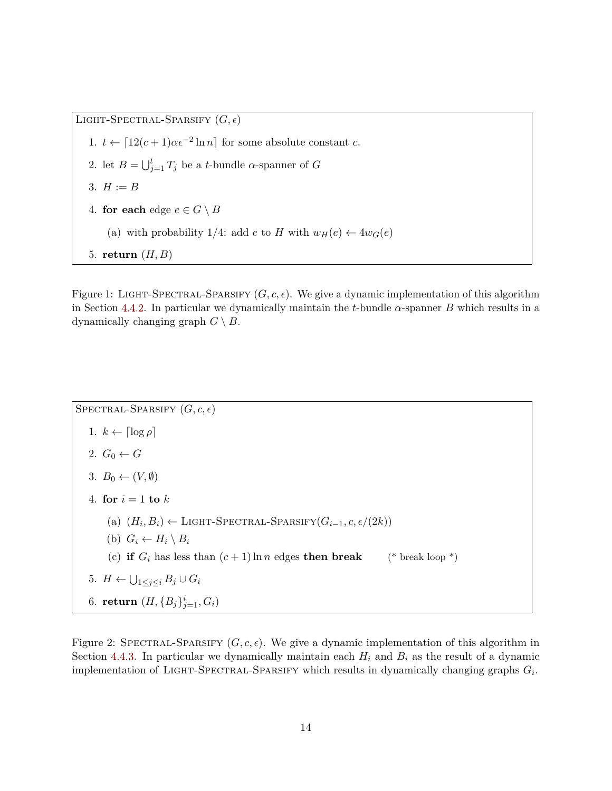LIGHT-SPECTRAL-SPARSIFY  $(G, \epsilon)$ 1.  $t \leftarrow [12(c+1)\alpha\epsilon^{-2} \ln n]$  for some absolute constant *c*. 2. let  $B = \bigcup_{j=1}^{t} T_j$  be a *t*-bundle *α*-spanner of *G* 3.  $H := B$ 4. **for each** edge  $e \in G \setminus B$ (a) with probability 1/4: add *e* to *H* with  $w_H(e) \leftarrow 4w_G(e)$ 5. **return** (*H, B*)

<span id="page-15-0"></span>Figure 1: LIGHT-SPECTRAL-SPARSIFY  $(G, c, \epsilon)$ . We give a dynamic implementation of this algorithm in Section [4.4.2.](#page-22-0) In particular we dynamically maintain the *t*-bundle  $\alpha$ -spanner *B* which results in a dynamically changing graph  $G \setminus B$ .

SPECTRAL-SPARSIFY  $(G, c, \epsilon)$ 1.  $k \leftarrow \lceil \log \rho \rceil$ 2.  $G_0 \leftarrow G$ 3.  $B_0 \leftarrow (V, \emptyset)$ 4. **for**  $i = 1$  **to**  $k$  $(h)$   $(H_i, B_i)$  ← LIGHT-SPECTRAL-SPARSIFY $(G_{i-1}, c, \epsilon/(2k))$ (b)  $G_i \leftarrow H_i \setminus B_i$ (c) **if**  $G_i$  has less than  $(c+1) \ln n$  edges **then break** (\* break loop \*) 5.  $H \leftarrow \bigcup_{1 \leq j \leq i} B_j \cup G_i$ 6. **return**  $(H, {B_j}_{j=1}^i, G_i)$ 

<span id="page-15-1"></span>Figure 2: SPECTRAL-SPARSIFY  $(G, c, \epsilon)$ . We give a dynamic implementation of this algorithm in Section [4.4.3.](#page-22-1) In particular we dynamically maintain each  $H_i$  and  $B_i$  as the result of a dynamic implementation of LIGHT-SPECTRAL-SPARSIFY which results in dynamically changing graphs  $G_i$ .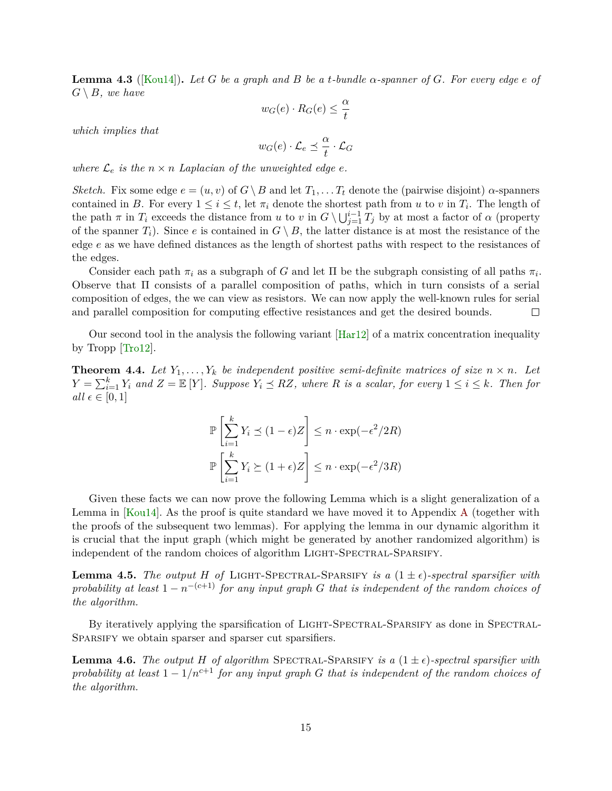<span id="page-16-3"></span>**Lemma 4.3** ([\[Kou14\]](#page-60-4))**.** *Let G be a graph and B be a t-bundle α-spanner of G. For every edge e of*  $G \setminus B$ *, we have* 

$$
w_G(e) \cdot R_G(e) \le \frac{\alpha}{t}
$$

*which implies that*

$$
w_G(e) \cdot \mathcal{L}_e \preceq \frac{\alpha}{t} \cdot \mathcal{L}_G
$$

*where*  $\mathcal{L}_e$  *is the*  $n \times n$  *Laplacian of the unweighted edge*  $e$ *.* 

*Sketch.* Fix some edge  $e = (u, v)$  of  $G \ B$  and let  $T_1, \ldots, T_t$  denote the (pairwise disjoint)  $\alpha$ -spanners contained in *B*. For every  $1 \leq i \leq t$ , let  $\pi_i$  denote the shortest path from *u* to *v* in  $T_i$ . The length of the path  $\pi$  in  $T_i$  exceeds the distance from *u* to *v* in  $G \setminus \bigcup_{j=1}^{i-1} T_j$  by at most a factor of  $\alpha$  (property of the spanner  $T_i$ ). Since *e* is contained in  $G \setminus B$ , the latter distance is at most the resistance of the edge *e* as we have defined distances as the length of shortest paths with respect to the resistances of the edges.

Consider each path  $\pi_i$  as a subgraph of *G* and let  $\Pi$  be the subgraph consisting of all paths  $\pi_i$ . Observe that Π consists of a parallel composition of paths, which in turn consists of a serial composition of edges, the we can view as resistors. We can now apply the well-known rules for serial and parallel composition for computing effective resistances and get the desired bounds.  $\Box$ 

Our second tool in the analysis the following variant [\[Har12\]](#page-59-9) of a matrix concentration inequality by Tropp [\[Tro12\]](#page-62-4).

<span id="page-16-4"></span>**Theorem 4.4.** Let  $Y_1, \ldots, Y_k$  be independent positive semi-definite matrices of size  $n \times n$ . Let  $Y = \sum_{i=1}^{k} Y_i$  and  $Z = \mathbb{E}[Y]$ *. Suppose*  $Y_i \preceq RZ$ *, where*  $R$  *is a scalar, for every*  $1 \leq i \leq k$ *. Then for all*  $\epsilon \in [0, 1]$ 

$$
\mathbb{P}\left[\sum_{i=1}^{k} Y_i \le (1-\epsilon)Z\right] \le n \cdot \exp(-\epsilon^2/2R)
$$

$$
\mathbb{P}\left[\sum_{i=1}^{k} Y_i \ge (1+\epsilon)Z\right] \le n \cdot \exp(-\epsilon^2/3R)
$$

Given these facts we can now prove the following Lemma which is a slight generalization of a Lemma in [\[Kou14\]](#page-60-4). As the proof is quite standard we have moved it to Appendix [A](#page-63-0) (together with the proofs of the subsequent two lemmas). For applying the lemma in our dynamic algorithm it is crucial that the input graph (which might be generated by another randomized algorithm) is independent of the random choices of algorithm LIGHT-SPECTRAL-SPARSIFY.

<span id="page-16-1"></span>**Lemma 4.5.** *The output H of* LIGHT-SPECTRAL-SPARSIFY *is a*  $(1 \pm \epsilon)$ *-spectral sparsifier with probability at least*  $1 - n^{-(c+1)}$  *for any input graph G that is independent of the random choices of the algorithm.*

By iteratively applying the sparsification of LIGHT-SPECTRAL-SPARSIFY as done in SPECTRAL-Sparsify we obtain sparser and sparser cut sparsifiers.

<span id="page-16-2"></span><span id="page-16-0"></span>**Lemma 4.6.** The output *H* of algorithm SPECTRAL-SPARSIFY is a  $(1 \pm \epsilon)$ -spectral sparsifier with *probability at least*  $1 - 1/n^{c+1}$  *for any input graph G that is independent of the random choices of the algorithm.*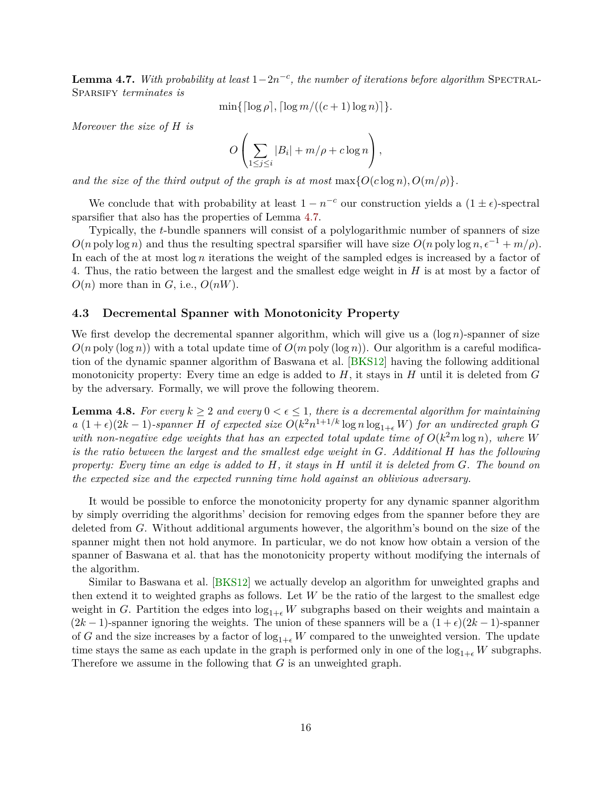<span id="page-17-2"></span>**Lemma 4.7.** *With probability at least*  $1-2n^{-c}$ , *the number of iterations before algorithm* SPECTRAL-SPARSIFY *terminates* is

 $\min\{\lceil \log \rho \rceil, \lceil \log m/((c+1) \log n) \rceil\}.$ 

*Moreover the size of H is*

$$
O\left(\sum_{1\leq j\leq i}|B_i|+m/\rho+c\log n\right),\,
$$

*and the size of the third output of the graph is at most*  $\max\{O(c \log n), O(m/\rho)\}.$ 

We conclude that with probability at least  $1 - n^{-c}$  our construction yields a  $(1 \pm \epsilon)$ -spectral sparsifier that also has the properties of Lemma [4.7.](#page-16-0)

Typically, the *t*-bundle spanners will consist of a polylogarithmic number of spanners of size  $O(n \text{ poly} \log n)$  and thus the resulting spectral sparsifier will have size  $O(n \text{ poly} \log n, \epsilon^{-1} + m/\rho)$ . In each of the at most log *n* iterations the weight of the sampled edges is increased by a factor of 4. Thus, the ratio between the largest and the smallest edge weight in *H* is at most by a factor of  $O(n)$  more than in *G*, i.e.,  $O(nW)$ .

#### <span id="page-17-0"></span>**4.3 Decremental Spanner with Monotonicity Property**

We first develop the decremental spanner algorithm, which will give us a  $(\log n)$ -spanner of size  $O(n \text{ poly}(\log n))$  with a total update time of  $O(m \text{ poly}(\log n))$ . Our algorithm is a careful modification of the dynamic spanner algorithm of Baswana et al. [\[BKS12\]](#page-58-5) having the following additional monotonicity property: Every time an edge is added to *H*, it stays in *H* until it is deleted from *G* by the adversary. Formally, we will prove the following theorem.

<span id="page-17-1"></span>**Lemma 4.8.** For every  $k \geq 2$  and every  $0 \leq \epsilon \leq 1$ , there is a decremental algorithm for maintaining *a*  $(1+\epsilon)(2k-1)$ -spanner *H* of expected size  $O(k^2n^{1+1/k} \log n \log_{1+\epsilon} W)$  for an undirected graph *G with non-negative edge weights that has an expected total update time of*  $O(k^2m \log n)$ *, where W is the ratio between the largest and the smallest edge weight in G. Additional H has the following property: Every time an edge is added to H, it stays in H until it is deleted from G. The bound on the expected size and the expected running time hold against an oblivious adversary.*

It would be possible to enforce the monotonicity property for any dynamic spanner algorithm by simply overriding the algorithms' decision for removing edges from the spanner before they are deleted from *G*. Without additional arguments however, the algorithm's bound on the size of the spanner might then not hold anymore. In particular, we do not know how obtain a version of the spanner of Baswana et al. that has the monotonicity property without modifying the internals of the algorithm.

Similar to Baswana et al. [\[BKS12\]](#page-58-5) we actually develop an algorithm for unweighted graphs and then extend it to weighted graphs as follows. Let *W* be the ratio of the largest to the smallest edge weight in *G*. Partition the edges into  $log_{1+\epsilon} W$  subgraphs based on their weights and maintain a  $(2k-1)$ -spanner ignoring the weights. The union of these spanners will be a  $(1+\epsilon)(2k-1)$ -spanner of *G* and the size increases by a factor of  $log_{1+\epsilon} W$  compared to the unweighted version. The update time stays the same as each update in the graph is performed only in one of the  $log_{1+\epsilon} W$  subgraphs. Therefore we assume in the following that *G* is an unweighted graph.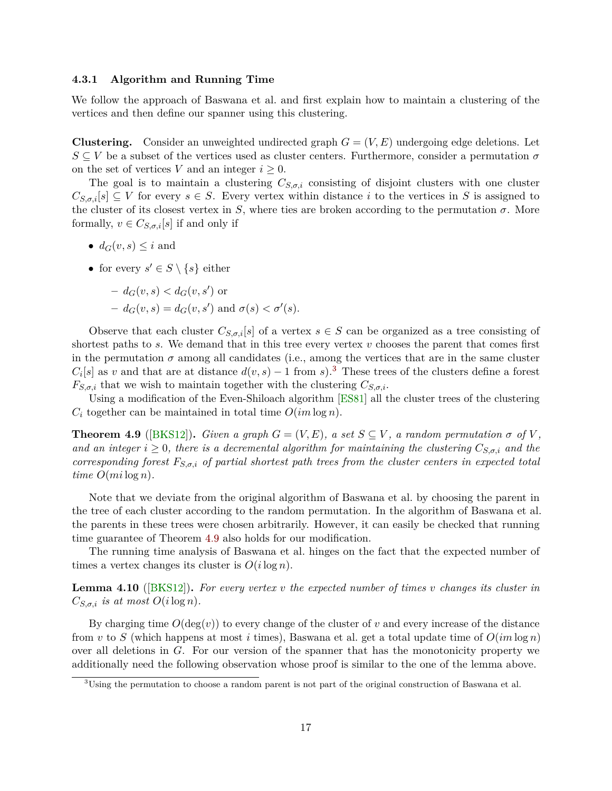#### <span id="page-18-4"></span>**4.3.1 Algorithm and Running Time**

We follow the approach of Baswana et al. and first explain how to maintain a clustering of the vertices and then define our spanner using this clustering.

**Clustering.** Consider an unweighted undirected graph  $G = (V, E)$  undergoing edge deletions. Let *S* ⊆ *V* be a subset of the vertices used as cluster centers. Furthermore, consider a permutation *σ* on the set of vertices *V* and an integer  $i \geq 0$ .

The goal is to maintain a clustering  $C_{S,\sigma,i}$  consisting of disjoint clusters with one cluster  $C_{S,\sigma,i}[s] \subseteq V$  for every  $s \in S$ . Every vertex within distance *i* to the vertices in *S* is assigned to the cluster of its closest vertex in *S*, where ties are broken according to the permutation  $\sigma$ . More formally,  $v \in C_{S,\sigma,i}[s]$  if and only if

- $d_G(v, s) \leq i$  and
- for every  $s' \in S \setminus \{s\}$  either

$$
- d_G(v, s) < d_G(v, s') \text{ or}
$$

 $- d_G(v, s) = d_G(v, s')$  and  $\sigma(s) < \sigma'(s)$ .

Observe that each cluster  $C_{S,\sigma,i}[s]$  of a vertex  $s \in S$  can be organized as a tree consisting of shortest paths to  $s$ . We demand that in this tree every vertex  $v$  chooses the parent that comes first in the permutation  $\sigma$  among all candidates (i.e., among the vertices that are in the same cluster  $C_i[s]$  as *v* and that are at distance  $d(v, s) - 1$  from *s*).<sup>[3](#page-18-0)</sup> These trees of the clusters define a forest  $F_{S,\sigma,i}$  that we wish to maintain together with the clustering  $C_{S,\sigma,i}$ .

Using a modification of the Even-Shiloach algorithm [\[ES81\]](#page-59-10) all the cluster trees of the clustering  $C_i$  together can be maintained in total time  $O(im \log n)$ .

<span id="page-18-1"></span>**Theorem 4.9** ([\[BKS12\]](#page-58-5)). *Given a graph*  $G = (V, E)$ *, a set*  $S \subseteq V$ *, a random permutation*  $\sigma$  of  $V$ *, and an integer*  $i \geq 0$ , there is a decremental algorithm for maintaining the clustering  $C_{S,\sigma,i}$  and the *corresponding forest FS,σ,i of partial shortest path trees from the cluster centers in expected total time*  $O(mi \log n)$ *.* 

Note that we deviate from the original algorithm of Baswana et al. by choosing the parent in the tree of each cluster according to the random permutation. In the algorithm of Baswana et al. the parents in these trees were chosen arbitrarily. However, it can easily be checked that running time guarantee of Theorem [4.9](#page-18-1) also holds for our modification.

The running time analysis of Baswana et al. hinges on the fact that the expected number of times a vertex changes its cluster is  $O(i \log n)$ .

<span id="page-18-2"></span>**Lemma 4.10** ([\[BKS12\]](#page-58-5))**.** *For every vertex v the expected number of times v changes its cluster in*  $C_{S,\sigma,i}$  *is at most*  $O(i \log n)$ *.* 

By charging time  $O(\deg(v))$  to every change of the cluster of *v* and every increase of the distance from *v* to *S* (which happens at most *i* times), Baswana et al. get a total update time of *O*(*im* log *n*) over all deletions in *G*. For our version of the spanner that has the monotonicity property we additionally need the following observation whose proof is similar to the one of the lemma above.

<span id="page-18-3"></span><span id="page-18-0"></span><sup>&</sup>lt;sup>3</sup>Using the permutation to choose a random parent is not part of the original construction of Baswana et al.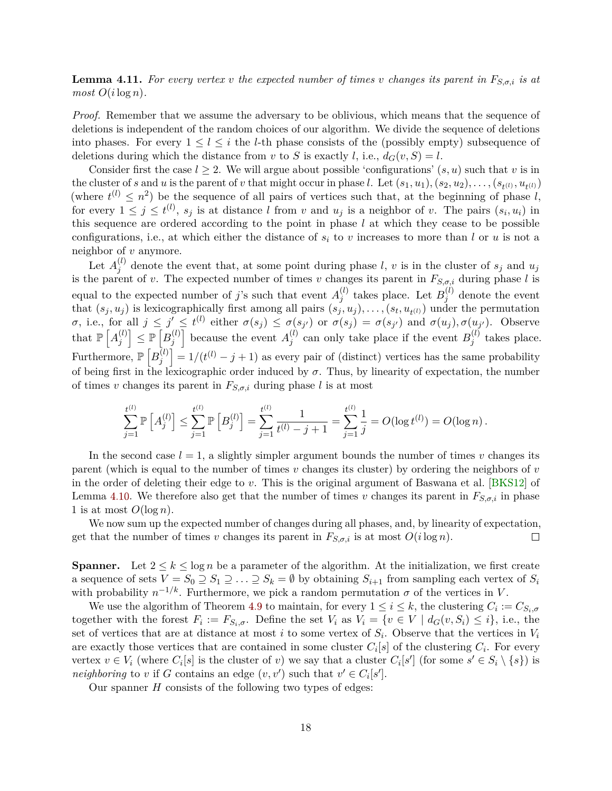**Lemma 4.11.** *For every vertex v the expected number of times v changes its parent in*  $F_{S,\sigma,i}$  *is at*  $most \ O(i \log n)$ .

*Proof.* Remember that we assume the adversary to be oblivious, which means that the sequence of deletions is independent of the random choices of our algorithm. We divide the sequence of deletions into phases. For every  $1 \leq l \leq i$  the *l*-th phase consists of the (possibly empty) subsequence of deletions during which the distance from *v* to *S* is exactly *l*, i.e.,  $d_G(v, S) = l$ .

Consider first the case  $l \geq 2$ . We will argue about possible 'configurations'  $(s, u)$  such that v is in the cluster of s and u is the parent of v that might occur in phase l. Let  $(s_1, u_1), (s_2, u_2), \ldots, (s_{t^{(l)}}, u_{t^{(l)}})$ (where  $t^{(l)} \leq n^2$ ) be the sequence of all pairs of vertices such that, at the beginning of phase *l*, for every  $1 \leq j \leq t^{(l)}$ ,  $s_j$  is at distance *l* from *v* and  $u_j$  is a neighbor of *v*. The pairs  $(s_i, u_i)$  in this sequence are ordered according to the point in phase *l* at which they cease to be possible configurations, i.e., at which either the distance of *s<sup>i</sup>* to *v* increases to more than *l* or *u* is not a neighbor of *v* anymore.

Let  $A_i^{(l)}$  $j^{(i)}$  denote the event that, at some point during phase *l*, *v* is in the cluster of  $s_j$  and  $u_j$ is the parent of *v*. The expected number of times *v* changes its parent in  $F_{S,\sigma,i}$  during phase *l* is equal to the expected number of *j*'s such that event  $A_i^{(l)}$  $j_j^{(l)}$  takes place. Let  $B_j^{(l)}$  $j_j^{(t)}$  denote the event that  $(s_j, u_j)$  is lexicographically first among all pairs  $(s_j, u_j), \ldots, (s_t, u_{t^{(l)}})$  under the permutation  $\sigma$ , i.e., for all  $j \leq j' \leq t^{(l)}$  either  $\sigma(s_j) \leq \sigma(s_{j'})$  or  $\sigma(s_j) = \sigma(s_{j'})$  and  $\sigma(u_j), \sigma(u_{j'})$ . Observe that  $\mathbb{P}\left[A_i^{(l)}\right]$  $\left[\begin{smallmatrix} l\ j \end{smallmatrix}\right]\leq \mathbb{P}\left[B_j^{(l)}\right]$  $\begin{bmatrix} l \\ j \end{bmatrix}$  because the event  $A_j^{(l)}$  $j^{(l)}$  can only take place if the event  $B_j^{(l)}$  $j^{(t)}$  takes place. Furthermore,  $\mathbb{P}\left[B_i^{(l)}\right]$  $\begin{bmatrix} u \ j \end{bmatrix} = 1/(t^{(l)} - j + 1)$  as every pair of (distinct) vertices has the same probability of being first in the lexicographic order induced by  $\sigma$ . Thus, by linearity of expectation, the number of times *v* changes its parent in  $F_{S,\sigma,i}$  during phase *l* is at most

$$
\sum_{j=1}^{t^{(l)}} \mathbb{P}\left[A_j^{(l)}\right] \leq \sum_{j=1}^{t^{(l)}} \mathbb{P}\left[B_j^{(l)}\right] = \sum_{j=1}^{t^{(l)}} \frac{1}{t^{(l)} - j + 1} = \sum_{j=1}^{t^{(l)}} \frac{1}{j} = O(\log t^{(l)}) = O(\log n).
$$

In the second case  $l = 1$ , a slightly simpler argument bounds the number of times *v* changes its parent (which is equal to the number of times *v* changes its cluster) by ordering the neighbors of *v* in the order of deleting their edge to *v*. This is the original argument of Baswana et al. [\[BKS12\]](#page-58-5) of Lemma [4.10.](#page-18-2) We therefore also get that the number of times *v* changes its parent in  $F_{S,\sigma,i}$  in phase 1 is at most  $O(\log n)$ .

We now sum up the expected number of changes during all phases, and, by linearity of expectation, get that the number of times *v* changes its parent in  $F_{S,\sigma,i}$  is at most  $O(i \log n)$ .  $\Box$ 

**Spanner.** Let  $2 \leq k \leq \log n$  be a parameter of the algorithm. At the initialization, we first create a sequence of sets  $V = S_0 \supseteq S_1 \supseteq \ldots \supseteq S_k = \emptyset$  by obtaining  $S_{i+1}$  from sampling each vertex of  $S_i$ with probability  $n^{-1/k}$ . Furthermore, we pick a random permutation  $\sigma$  of the vertices in *V*.

We use the algorithm of Theorem [4.9](#page-18-1) to maintain, for every  $1 \leq i \leq k$ , the clustering  $C_i := C_{S_i, \sigma}$ together with the forest  $F_i := F_{S_i, \sigma}$ . Define the set  $V_i$  as  $V_i = \{v \in V \mid d_G(v, S_i) \leq i\}$ , i.e., the set of vertices that are at distance at most *i* to some vertex of *S<sup>i</sup>* . Observe that the vertices in *V<sup>i</sup>* are exactly those vertices that are contained in some cluster  $C_i[s]$  of the clustering  $C_i$ . For every vertex  $v \in V_i$  (where  $C_i[s]$  is the cluster of *v*) we say that a cluster  $C_i[s']$  (for some  $s' \in S_i \setminus \{s\}$ ) is *neighboring* to *v* if *G* contains an edge  $(v, v')$  such that  $v' \in C_i[s']$ .

Our spanner *H* consists of the following two types of edges: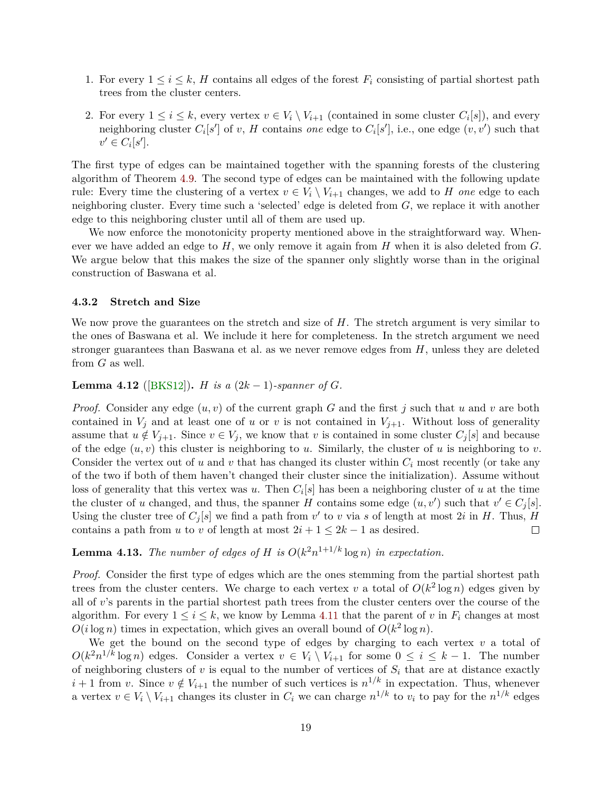- <span id="page-20-0"></span>1. For every  $1 \leq i \leq k$ , *H* contains all edges of the forest  $F_i$  consisting of partial shortest path trees from the cluster centers.
- 2. For every  $1 \leq i \leq k$ , every vertex  $v \in V_i \setminus V_{i+1}$  (contained in some cluster  $C_i[s]$ ), and every neighboring cluster  $C_i[s']$  of *v*, *H* contains *one* edge to  $C_i[s']$ , i.e., one edge  $(v, v')$  such that  $v' \in C_i[s']$ .

The first type of edges can be maintained together with the spanning forests of the clustering algorithm of Theorem [4.9.](#page-18-1) The second type of edges can be maintained with the following update rule: Every time the clustering of a vertex  $v \in V_i \setminus V_{i+1}$  changes, we add to *H* one edge to each neighboring cluster. Every time such a 'selected' edge is deleted from *G*, we replace it with another edge to this neighboring cluster until all of them are used up.

We now enforce the monotonicity property mentioned above in the straightforward way. Whenever we have added an edge to *H*, we only remove it again from *H* when it is also deleted from *G*. We argue below that this makes the size of the spanner only slightly worse than in the original construction of Baswana et al.

#### **4.3.2 Stretch and Size**

We now prove the guarantees on the stretch and size of H. The stretch argument is very similar to the ones of Baswana et al. We include it here for completeness. In the stretch argument we need stronger guarantees than Baswana et al. as we never remove edges from *H*, unless they are deleted from *G* as well.

**Lemma 4.12** ([\[BKS12\]](#page-58-5)). *H is a*  $(2k - 1)$ *-spanner of G.* 

*Proof.* Consider any edge (*u, v*) of the current graph *G* and the first *j* such that *u* and *v* are both contained in  $V_j$  and at least one of *u* or *v* is not contained in  $V_{j+1}$ . Without loss of generality assume that  $u \notin V_{j+1}$ . Since  $v \in V_j$ , we know that v is contained in some cluster  $C_j[s]$  and because of the edge  $(u, v)$  this cluster is neighboring to *u*. Similarly, the cluster of *u* is neighboring to *v*. Consider the vertex out of *u* and *v* that has changed its cluster within *C<sup>i</sup>* most recently (or take any of the two if both of them haven't changed their cluster since the initialization). Assume without loss of generality that this vertex was *u*. Then *C<sup>i</sup>* [*s*] has been a neighboring cluster of *u* at the time the cluster of *u* changed, and thus, the spanner *H* contains some edge  $(u, v')$  such that  $v' \in C_j[s]$ . Using the cluster tree of  $C_j[s]$  we find a path from  $v'$  to  $v$  via  $s$  of length at most 2 $i$  in  $H$ . Thus,  $H$ contains a path from *u* to *v* of length at most  $2i + 1 \leq 2k - 1$  as desired.  $\Box$ 

# **Lemma 4.13.** *The number of edges of H is*  $O(k^2n^{1+1/k} \log n)$  *in expectation.*

*Proof.* Consider the first type of edges which are the ones stemming from the partial shortest path trees from the cluster centers. We charge to each vertex *v* a total of  $O(k^2 \log n)$  edges given by all of *v*'s parents in the partial shortest path trees from the cluster centers over the course of the algorithm. For every  $1 \leq i \leq k$ , we know by Lemma [4.11](#page-18-3) that the parent of *v* in  $F_i$  changes at most  $O(i \log n)$  times in expectation, which gives an overall bound of  $O(k^2 \log n)$ .

We get the bound on the second type of edges by charging to each vertex *v* a total of  $O(k^2 n^{1/k} \log n)$  edges. Consider a vertex  $v \in V_i \setminus V_{i+1}$  for some  $0 \leq i \leq k-1$ . The number of neighboring clusters of  $v$  is equal to the number of vertices of  $S_i$  that are at distance exactly  $i + 1$  from *v*. Since  $v \notin V_{i+1}$  the number of such vertices is  $n^{1/k}$  in expectation. Thus, whenever a vertex  $v \in V_i \setminus V_{i+1}$  changes its cluster in  $C_i$  we can charge  $n^{1/k}$  to  $v_i$  to pay for the  $n^{1/k}$  edges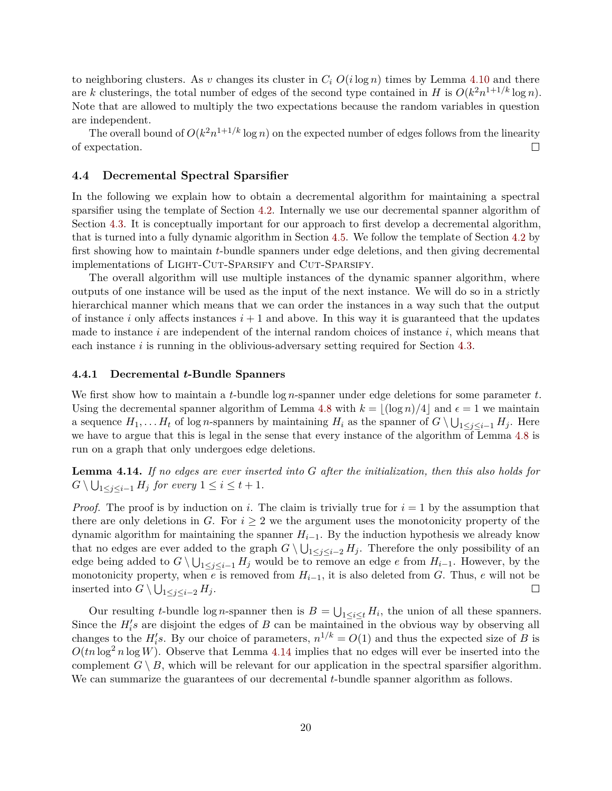to neighboring clusters. As *v* changes its cluster in  $C_i$   $O(i \log n)$  times by Lemma [4.10](#page-18-2) and there are *k* clusterings, the total number of edges of the second type contained in *H* is  $O(k^2n^{1+1/k}\log n)$ . Note that are allowed to multiply the two expectations because the random variables in question are independent.

The overall bound of  $O(k^2n^{1+1/k}\log n)$  on the expected number of edges follows from the linearity of expectation.  $\Box$ 

#### <span id="page-21-0"></span>**4.4 Decremental Spectral Sparsifier**

In the following we explain how to obtain a decremental algorithm for maintaining a spectral sparsifier using the template of Section [4.2.](#page-14-0) Internally we use our decremental spanner algorithm of Section [4.3.](#page-17-0) It is conceptually important for our approach to first develop a decremental algorithm, that is turned into a fully dynamic algorithm in Section [4.5.](#page-23-0) We follow the template of Section [4.2](#page-14-0) by first showing how to maintain *t*-bundle spanners under edge deletions, and then giving decremental implementations of LIGHT-CUT-SPARSIFY and CUT-SPARSIFY.

The overall algorithm will use multiple instances of the dynamic spanner algorithm, where outputs of one instance will be used as the input of the next instance. We will do so in a strictly hierarchical manner which means that we can order the instances in a way such that the output of instance *i* only affects instances  $i + 1$  and above. In this way it is guaranteed that the updates made to instance *i* are independent of the internal random choices of instance *i*, which means that each instance *i* is running in the oblivious-adversary setting required for Section [4.3.](#page-17-0)

#### **4.4.1 Decremental** *t***-Bundle Spanners**

We first show how to maintain a *t*-bundle log *n*-spanner under edge deletions for some parameter *t*. Using the decremental spanner algorithm of Lemma [4.8](#page-17-1) with  $k = |(\log n)/4|$  and  $\epsilon = 1$  we maintain a sequence  $H_1, \ldots H_t$  of log *n*-spanners by maintaining  $H_i$  as the spanner of  $G \setminus \bigcup_{1 \leq j \leq i-1} H_j$ . Here we have to argue that this is legal in the sense that every instance of the algorithm of Lemma [4.8](#page-17-1) is run on a graph that only undergoes edge deletions.

<span id="page-21-1"></span>**Lemma 4.14.** *If no edges are ever inserted into G after the initialization, then this also holds for*  $G \setminus \bigcup_{1 \leq j \leq i-1} H_j$  *for every*  $1 \leq i \leq t+1$ *.* 

*Proof.* The proof is by induction on *i*. The claim is trivially true for  $i = 1$  by the assumption that there are only deletions in *G*. For  $i \geq 2$  we the argument uses the monotonicity property of the dynamic algorithm for maintaining the spanner  $H_{i-1}$ . By the induction hypothesis we already know that no edges are ever added to the graph  $G \setminus \bigcup_{1 \leq j \leq i-2} H_j$ . Therefore the only possibility of an edge being added to  $G \setminus \bigcup_{1 \leq j \leq i-1} H_j$  would be to remove an edge *e* from  $H_{i-1}$ . However, by the monotonicity property, when *e* is removed from  $H_{i-1}$ , it is also deleted from *G*. Thus, *e* will not be inserted into  $G \setminus \bigcup_{1 \leq j \leq i-2} H_j$ .  $\Box$ 

<span id="page-21-2"></span>Our resulting *t*-bundle log *n*-spanner then is  $B = \bigcup_{1 \leq i \leq t} H_i$ , the union of all these spanners. Since the  $H_i$ 's are disjoint the edges of *B* can be maintained in the obvious way by observing all changes to the  $H_i$ <sup>*i*</sup>, By our choice of parameters,  $n^{1/k} = O(1)$  and thus the expected size of *B* is  $O(tn\log^2 n\log W)$ . Observe that Lemma [4.14](#page-21-1) implies that no edges will ever be inserted into the complement  $G \setminus B$ , which will be relevant for our application in the spectral sparsifier algorithm. We can summarize the guarantees of our decremental *t*-bundle spanner algorithm as follows.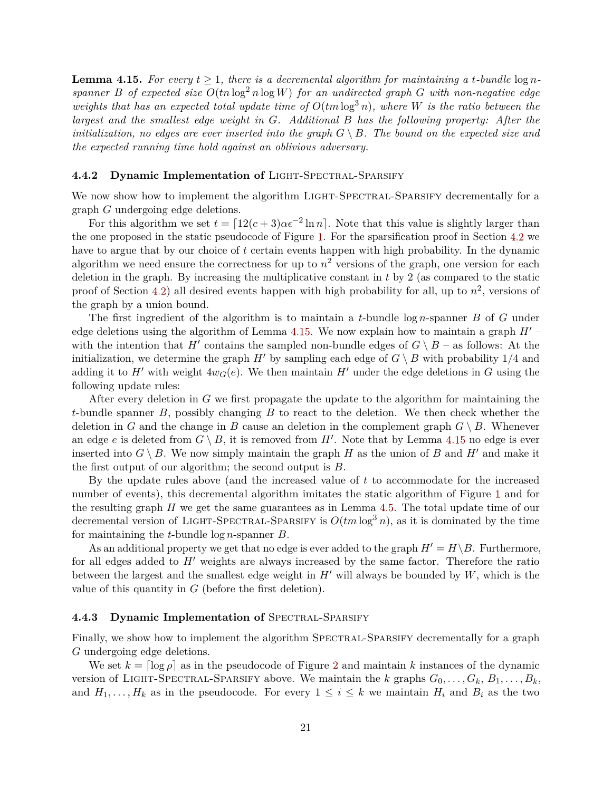**Lemma 4.15.** For every  $t \geq 1$ , there is a decremental algorithm for maintaining a *t*-bundle  $\log n$ *spanner B of expected size*  $O(tn \log^2 n \log W)$  *for an undirected graph G with non-negative edge weights that has an expected total update time of*  $O(tm \log^3 n)$ *, where W is the ratio between the largest and the smallest edge weight in G. Additional B has the following property: After the initialization, no edges are ever inserted into the graph*  $G \setminus B$ *. The bound on the expected size and the expected running time hold against an oblivious adversary.*

#### <span id="page-22-0"></span>**4.4.2 Dynamic Implementation of** Light-Spectral-Sparsify

We now show how to implement the algorithm LIGHT-SPECTRAL-SPARSIFY decrementally for a graph *G* undergoing edge deletions.

For this algorithm we set  $t = \left[12(c+3)\alpha\epsilon^{-2}\ln n\right]$ . Note that this value is slightly larger than the one proposed in the static pseudocode of Figure [1.](#page-15-0) For the sparsification proof in Section [4.2](#page-14-0) we have to argue that by our choice of *t* certain events happen with high probability. In the dynamic algorithm we need ensure the correctness for up to  $n^2$  versions of the graph, one version for each deletion in the graph. By increasing the multiplicative constant in *t* by 2 (as compared to the static proof of Section [4.2\)](#page-14-0) all desired events happen with high probability for all, up to  $n^2$ , versions of the graph by a union bound.

The first ingredient of the algorithm is to maintain a *t*-bundle log *n*-spanner *B* of *G* under edge deletions using the algorithm of Lemma [4.15.](#page-21-2) We now explain how to maintain a graph  $H'$  – with the intention that *H*<sup> $\prime$ </sup> contains the sampled non-bundle edges of  $G \setminus B$  – as follows: At the initialization, we determine the graph *H*<sup> $\prime$ </sup> by sampling each edge of *G* \ *B* with probability 1/4 and adding it to *H*<sup> $\prime$ </sup> with weight  $4w_G(e)$ . We then maintain *H*<sup> $\prime$ </sup> under the edge deletions in *G* using the following update rules:

After every deletion in *G* we first propagate the update to the algorithm for maintaining the *t*-bundle spanner *B*, possibly changing *B* to react to the deletion. We then check whether the deletion in *G* and the change in *B* cause an deletion in the complement graph  $G \setminus B$ . Whenever an edge *e* is deleted from  $G \setminus B$ , it is removed from  $H'$ . Note that by Lemma [4.15](#page-21-2) no edge is ever inserted into  $G \setminus B$ . We now simply maintain the graph *H* as the union of *B* and *H'* and make it the first output of our algorithm; the second output is *B*.

By the update rules above (and the increased value of *t* to accommodate for the increased number of events), this decremental algorithm imitates the static algorithm of Figure [1](#page-15-0) and for the resulting graph *H* we get the same guarantees as in Lemma [4.5.](#page-16-1) The total update time of our decremental version of LIGHT-SPECTRAL-SPARSIFY is  $O(tm \log^3 n)$ , as it is dominated by the time for maintaining the *t*-bundle log *n*-spanner *B*.

As an additional property we get that no edge is ever added to the graph  $H' = H \backslash B$ . Furthermore, for all edges added to  $H'$  weights are always increased by the same factor. Therefore the ratio between the largest and the smallest edge weight in  $H'$  will always be bounded by  $W$ , which is the value of this quantity in *G* (before the first deletion).

#### <span id="page-22-1"></span>**4.4.3 Dynamic Implementation of** SPECTRAL-SPARSIFY

Finally, we show how to implement the algorithm SPECTRAL-SPARSIFY decrementally for a graph *G* undergoing edge deletions.

We set  $k = \lceil \log \rho \rceil$  as in the pseudocode of Figure [2](#page-15-1) and maintain k instances of the dynamic version of LIGHT-SPECTRAL-SPARSIFY above. We maintain the *k* graphs  $G_0, \ldots, G_k, B_1, \ldots, B_k$ , and  $H_1, \ldots, H_k$  as in the pseudocode. For every  $1 \leq i \leq k$  we maintain  $H_i$  and  $B_i$  as the two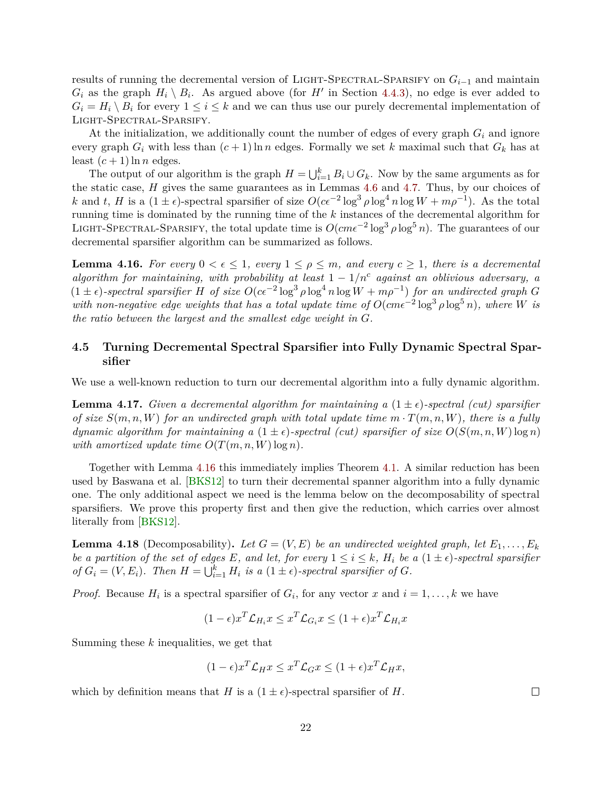<span id="page-23-4"></span>results of running the decremental version of Light-Spectral-Sparsify on *Gi*−<sup>1</sup> and maintain  $G_i$  as the graph  $H_i \setminus B_i$ . As argued above (for *H*<sup> $\prime$ </sup> in Section [4.4.3\)](#page-22-1), no edge is ever added to  $G_i = H_i \setminus B_i$  for every  $1 \leq i \leq k$  and we can thus use our purely decremental implementation of Light-Spectral-Sparsify.

At the initialization, we additionally count the number of edges of every graph *G<sup>i</sup>* and ignore every graph  $G_i$  with less than  $(c+1)$  ln *n* edges. Formally we set *k* maximal such that  $G_k$  has at least  $(c+1)$  ln *n* edges.

The output of our algorithm is the graph  $H = \bigcup_{i=1}^{k} B_i \cup G_k$ . Now by the same arguments as for the static case, *H* gives the same guarantees as in Lemmas [4.6](#page-16-2) and [4.7.](#page-16-0) Thus, by our choices of *k* and *t*, *H* is a  $(1 \pm \epsilon)$ -spectral sparsifier of size  $O(c\epsilon^{-2} \log^3 \rho \log^4 n \log W + m\rho^{-1})$ . As the total running time is dominated by the running time of the *k* instances of the decremental algorithm for LIGHT-SPECTRAL-SPARSIFY, the total update time is  $O(c m \epsilon^{-2} \log^3 \rho \log^5 n)$ . The guarantees of our decremental sparsifier algorithm can be summarized as follows.

<span id="page-23-1"></span>**Lemma 4.16.** For every  $0 < \epsilon \leq 1$ , every  $1 \leq \rho \leq m$ , and every  $c \geq 1$ , there is a decremental *algorithm for maintaining, with probability at least*  $1 - 1/n<sup>c</sup>$  *against an oblivious adversary, a*  $(1 \pm \epsilon)$ -spectral sparsifier *H* of size  $O(c\epsilon^{-2} \log^3 \rho \log^4 n \log W + m\rho^{-1})$  for an undirected graph *G*  $w$ *ith non-negative edge weights that has a total update time of*  $O(cm\epsilon^{-2} \log^3 \rho \log^5 n)$ , where *W is the ratio between the largest and the smallest edge weight in G.*

### <span id="page-23-0"></span>**4.5 Turning Decremental Spectral Sparsifier into Fully Dynamic Spectral Sparsifier**

<span id="page-23-2"></span>We use a well-known reduction to turn our decremental algorithm into a fully dynamic algorithm.

**Lemma 4.17.** *Given a decremental algorithm for maintaining a*  $(1 \pm \epsilon)$ -spectral *(cut) sparsifier of size*  $S(m, n, W)$  *for an undirected graph with total update time*  $m \cdot T(m, n, W)$ , *there is a fully dynamic algorithm for maintaining a*  $(1 \pm \epsilon)$ -spectral (cut) sparsifier of size  $O(S(m, n, W) \log n)$ *with amortized update time*  $O(T(m, n, W) \log n)$ *.* 

Together with Lemma [4.16](#page-23-1) this immediately implies Theorem [4.1.](#page-12-1) A similar reduction has been used by Baswana et al. [\[BKS12\]](#page-58-5) to turn their decremental spanner algorithm into a fully dynamic one. The only additional aspect we need is the lemma below on the decomposability of spectral sparsifiers. We prove this property first and then give the reduction, which carries over almost literally from [\[BKS12\]](#page-58-5).

<span id="page-23-3"></span>**Lemma 4.18** (Decomposability). Let  $G = (V, E)$  be an undirected weighted graph, let  $E_1, \ldots, E_k$ *be a partition of the set of edges E, and let, for every*  $1 \leq i \leq k$ *, H<sub>i</sub> be a*  $(1 \pm \epsilon)$ *-spectral sparsifier of*  $G_i = (V, E_i)$ *. Then*  $H = \bigcup_{i=1}^k H_i$  *is a*  $(1 \pm \epsilon)$ *-spectral sparsifier of*  $G$ *.* 

*Proof.* Because  $H_i$  is a spectral sparsifier of  $G_i$ , for any vector *x* and  $i = 1, \ldots, k$  we have

$$
(1 - \epsilon)x^T \mathcal{L}_{H_i} x \le x^T \mathcal{L}_{G_i} x \le (1 + \epsilon)x^T \mathcal{L}_{H_i} x
$$

Summing these *k* inequalities, we get that

$$
(1 - \epsilon)x^{T}\mathcal{L}_{H}x \leq x^{T}\mathcal{L}_{G}x \leq (1 + \epsilon)x^{T}\mathcal{L}_{H}x,
$$

which by definition means that *H* is a  $(1 \pm \epsilon)$ -spectral sparsifier of *H*.

 $\Box$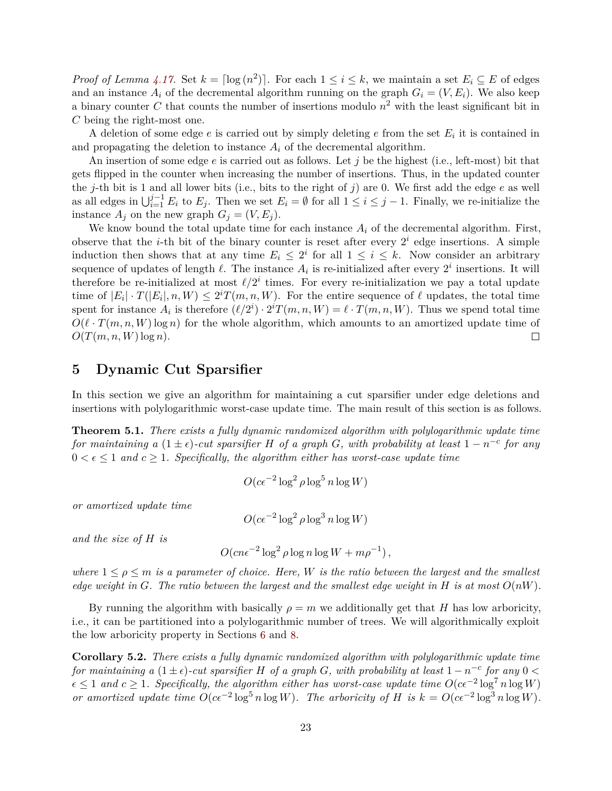*Proof of Lemma [4.17.](#page-23-2)* Set  $k = \lceil \log(n^2) \rceil$ . For each  $1 \le i \le k$ , we maintain a set  $E_i \subseteq E$  of edges and an instance  $A_i$  of the decremental algorithm running on the graph  $G_i = (V, E_i)$ . We also keep a binary counter *C* that counts the number of insertions modulo *n* <sup>2</sup> with the least significant bit in *C* being the right-most one.

A deletion of some edge  $e$  is carried out by simply deleting  $e$  from the set  $E_i$  it is contained in and propagating the deletion to instance  $A_i$  of the decremental algorithm.

An insertion of some edge *e* is carried out as follows. Let *j* be the highest (i.e., left-most) bit that gets flipped in the counter when increasing the number of insertions. Thus, in the updated counter the *j*-th bit is 1 and all lower bits (i.e., bits to the right of *j*) are 0. We first add the edge  $e$  as well as all edges in  $\bigcup_{i=1}^{j-1} E_i$  to  $E_j$ . Then we set  $E_i = \emptyset$  for all  $1 \leq i \leq j-1$ . Finally, we re-initialize the instance  $A_j$  on the new graph  $G_j = (V, E_j)$ .

We know bound the total update time for each instance  $A_i$  of the decremental algorithm. First, observe that the *i*-th bit of the binary counter is reset after every  $2^i$  edge insertions. A simple induction then shows that at any time  $E_i \leq 2^i$  for all  $1 \leq i \leq k$ . Now consider an arbitrary sequence of updates of length  $\ell$ . The instance  $A_i$  is re-initialized after every  $2^i$  insertions. It will therefore be re-initialized at most  $\ell/2^i$  times. For every re-initialization we pay a total update time of  $|E_i| \cdot T(|E_i|, n, W) \leq 2^i T(m, n, W)$ . For the entire sequence of  $\ell$  updates, the total time spent for instance  $A_i$  is therefore  $(\ell/2^i) \cdot 2^i T(m, n, W) = \ell \cdot T(m, n, W)$ . Thus we spend total time  $O(\ell \cdot T(m, n, W) \log n)$  for the whole algorithm, which amounts to an amortized update time of  $O(T(m, n, W) \log n)$ .  $\Box$ 

# <span id="page-24-0"></span>**5 Dynamic Cut Sparsifier**

In this section we give an algorithm for maintaining a cut sparsifier under edge deletions and insertions with polylogarithmic worst-case update time. The main result of this section is as follows.

<span id="page-24-1"></span>**Theorem 5.1.** *There exists a fully dynamic randomized algorithm with polylogarithmic update time for maintaining a*  $(1 \pm \epsilon)$ -cut sparsifier *H of a graph G*, with probability at least  $1 - n^{-c}$  for any  $0 < \epsilon \leq 1$  and  $c \geq 1$ . Specifically, the algorithm either has worst-case update time

$$
O(c\epsilon^{-2}\log^2\rho\log^5 n\log W)
$$

*or amortized update time*

$$
O(c\epsilon^{-2}\log^2\rho\log^3 n\log W)
$$

*and the size of H is*

$$
O(cn\epsilon^{-2}\log^2\rho\log n\log W + m\rho^{-1}),
$$

*where*  $1 \leq \rho \leq m$  *is a parameter of choice. Here, W is the ratio between the largest and the smallest edge weight in*  $G$ *. The ratio between the largest and the smallest edge weight in*  $H$  *is at most*  $O(nW)$ *.* 

By running the algorithm with basically  $\rho = m$  we additionally get that *H* has low arboricity, i.e., it can be partitioned into a polylogarithmic number of trees. We will algorithmically exploit the low arboricity property in Sections [6](#page-33-0) and [8.](#page-46-0)

<span id="page-24-2"></span>**Corollary 5.2.** *There exists a fully dynamic randomized algorithm with polylogarithmic update time for maintaining a*  $(1 \pm \epsilon)$ -cut sparsifier *H* of a graph *G*, with probability at least  $1 - n^{-c}$  for any 0 <  $\epsilon \leq 1$  and  $c \geq 1$ . Specifically, the algorithm either has worst-case update time  $O(c\epsilon^{-2} \log^7 n \log W)$ *or amortized update time*  $O(c\epsilon^{-2} \log^5 n \log W)$ *. The arboricity of H is*  $k = O(c\epsilon^{-2} \log^3 n \log W)$ *.*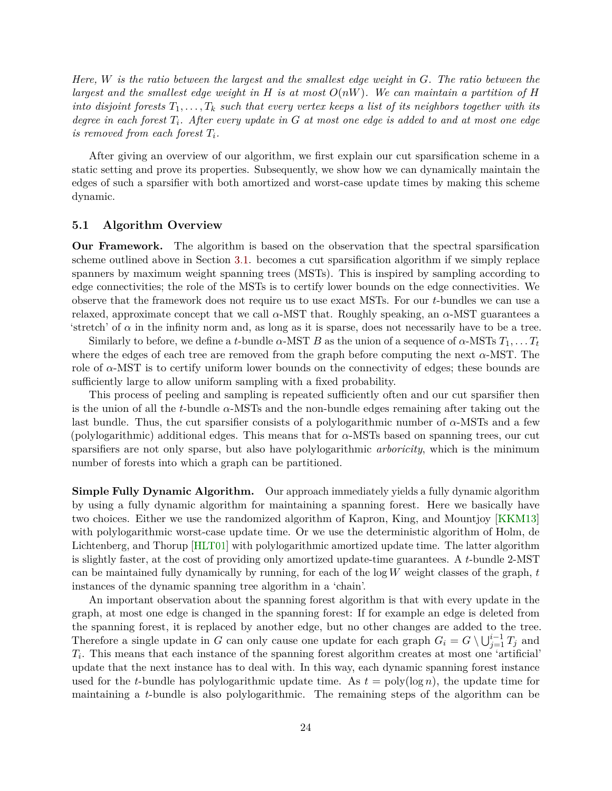<span id="page-25-1"></span>*Here, W is the ratio between the largest and the smallest edge weight in G. The ratio between the largest and the smallest edge weight in H is at most O*(*nW*)*. We can maintain a partition of H into disjoint forests*  $T_1, \ldots, T_k$  *such that every vertex keeps a list of its neighbors together with its degree in each forest Ti. After every update in G at most one edge is added to and at most one edge is removed from each forest*  $T_i$ *.* 

After giving an overview of our algorithm, we first explain our cut sparsification scheme in a static setting and prove its properties. Subsequently, we show how we can dynamically maintain the edges of such a sparsifier with both amortized and worst-case update times by making this scheme dynamic.

#### <span id="page-25-0"></span>**5.1 Algorithm Overview**

**Our Framework.** The algorithm is based on the observation that the spectral sparsification scheme outlined above in Section [3.1.](#page-6-2) becomes a cut sparsification algorithm if we simply replace spanners by maximum weight spanning trees (MSTs). This is inspired by sampling according to edge connectivities; the role of the MSTs is to certify lower bounds on the edge connectivities. We observe that the framework does not require us to use exact MSTs. For our *t*-bundles we can use a relaxed, approximate concept that we call  $\alpha$ -MST that. Roughly speaking, an  $\alpha$ -MST guarantees a 'stretch' of  $\alpha$  in the infinity norm and, as long as it is sparse, does not necessarily have to be a tree.

Similarly to before, we define a *t*-bundle  $\alpha$ -MST *B* as the union of a sequence of  $\alpha$ -MSTs  $T_1, \ldots, T_t$ where the edges of each tree are removed from the graph before computing the next *α*-MST. The role of  $\alpha$ -MST is to certify uniform lower bounds on the connectivity of edges; these bounds are sufficiently large to allow uniform sampling with a fixed probability.

This process of peeling and sampling is repeated sufficiently often and our cut sparsifier then is the union of all the *t*-bundle *α*-MSTs and the non-bundle edges remaining after taking out the last bundle. Thus, the cut sparsifier consists of a polylogarithmic number of *α*-MSTs and a few (polylogarithmic) additional edges. This means that for *α*-MSTs based on spanning trees, our cut sparsifiers are not only sparse, but also have polylogarithmic *arboricity*, which is the minimum number of forests into which a graph can be partitioned.

**Simple Fully Dynamic Algorithm.** Our approach immediately yields a fully dynamic algorithm by using a fully dynamic algorithm for maintaining a spanning forest. Here we basically have two choices. Either we use the randomized algorithm of Kapron, King, and Mountjoy [\[KKM13\]](#page-60-1) with polylogarithmic worst-case update time. Or we use the deterministic algorithm of Holm, de Lichtenberg, and Thorup [\[HLT01\]](#page-60-0) with polylogarithmic amortized update time. The latter algorithm is slightly faster, at the cost of providing only amortized update-time guarantees. A *t*-bundle 2-MST can be maintained fully dynamically by running, for each of the log *W* weight classes of the graph, *t* instances of the dynamic spanning tree algorithm in a 'chain'.

An important observation about the spanning forest algorithm is that with every update in the graph, at most one edge is changed in the spanning forest: If for example an edge is deleted from the spanning forest, it is replaced by another edge, but no other changes are added to the tree. Therefore a single update in *G* can only cause one update for each graph  $G_i = G \setminus \bigcup_{j=1}^{i-1} T_j$  and *Ti* . This means that each instance of the spanning forest algorithm creates at most one 'artificial' update that the next instance has to deal with. In this way, each dynamic spanning forest instance used for the *t*-bundle has polylogarithmic update time. As  $t = \text{poly}(\log n)$ , the update time for maintaining a *t*-bundle is also polylogarithmic. The remaining steps of the algorithm can be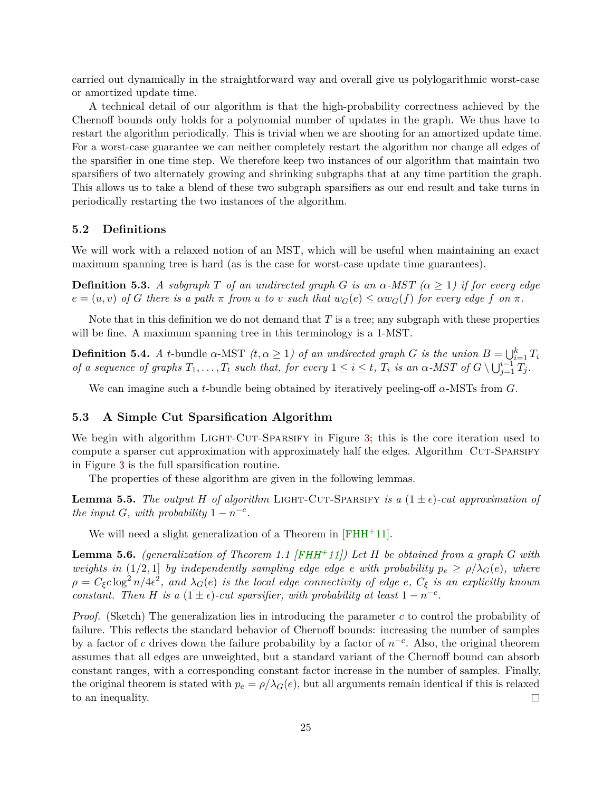<span id="page-26-4"></span>carried out dynamically in the straightforward way and overall give us polylogarithmic worst-case or amortized update time.

A technical detail of our algorithm is that the high-probability correctness achieved by the Chernoff bounds only holds for a polynomial number of updates in the graph. We thus have to restart the algorithm periodically. This is trivial when we are shooting for an amortized update time. For a worst-case guarantee we can neither completely restart the algorithm nor change all edges of the sparsifier in one time step. We therefore keep two instances of our algorithm that maintain two sparsifiers of two alternately growing and shrinking subgraphs that at any time partition the graph. This allows us to take a blend of these two subgraph sparsifiers as our end result and take turns in periodically restarting the two instances of the algorithm.

#### <span id="page-26-0"></span>**5.2 Definitions**

We will work with a relaxed notion of an MST, which will be useful when maintaining an exact maximum spanning tree is hard (as is the case for worst-case update time guarantees).

**Definition 5.3.** *A subgraph T of an undirected graph G is an*  $\alpha$ *-MST* ( $\alpha \geq 1$ ) *if for every edge*  $e = (u, v)$  of G there is a path  $\pi$  from u to v such that  $w_G(e) \leq \alpha w_G(f)$  for every edge f on  $\pi$ .

Note that in this definition we do not demand that *T* is a tree; any subgraph with these properties will be fine. A maximum spanning tree in this terminology is a 1-MST.

**Definition 5.4.** *A t*-bundle *α*-MST  $(t, \alpha \ge 1)$  *of an undirected graph G is the union*  $B = \bigcup_{i=1}^{k} T_i$ of a sequence of graphs  $T_1, \ldots, T_t$  such that, for every  $1 \leq i \leq t$ ,  $T_i$  is an  $\alpha$ -MST of  $G \setminus \bigcup_{j=1}^{i-1} T_j$ .

We can imagine such a *t*-bundle being obtained by iteratively peeling-off *α*-MSTs from *G*.

### <span id="page-26-1"></span>**5.3 A Simple Cut Sparsification Algorithm**

We begin with algorithm LIGHT-CUT-SPARSIFY in Figure [3;](#page-27-0) this is the core iteration used to compute a sparser cut approximation with approximately half the edges. Algorithm CUT-SPARSIFY in Figure [3](#page-27-0) is the full sparsification routine.

The properties of these algorithm are given in the following lemmas.

<span id="page-26-3"></span>**Lemma 5.5.** The output *H* of algorithm LIGHT-CUT-SPARSIFY is a  $(1 \pm \epsilon)$ -cut approximation of *the input G, with probability*  $1 - n^{-c}$ *.* 

We will need a slight generalization of a Theorem in [\[FHH](#page-59-6)<sup>+</sup>11].

<span id="page-26-2"></span>**Lemma 5.6.** *(generalization of Theorem 1.1 [\[FHH](#page-59-6)+11]) Let H be obtained from a graph G with weights in*  $(1/2, 1]$  *by independently sampling edge edge e with probability*  $p_e \ge \rho/\lambda_G(e)$ *, where*  $\rho = C_{\xi}c\log^2 n/4\epsilon^2$ , and  $\lambda_G(e)$  is the local edge connectivity of edge  $e$ ,  $C_{\xi}$  is an explicitly known *constant. Then H is a* (1 ±  $\epsilon$ )-cut sparsifier, with probability at least 1 –  $n^{-c}$ .

*Proof.* (Sketch) The generalization lies in introducing the parameter *c* to control the probability of failure. This reflects the standard behavior of Chernoff bounds: increasing the number of samples by a factor of  $c$  drives down the failure probability by a factor of  $n^{-c}$ . Also, the original theorem assumes that all edges are unweighted, but a standard variant of the Chernoff bound can absorb constant ranges, with a corresponding constant factor increase in the number of samples. Finally, the original theorem is stated with  $p_e = \rho/\lambda_G(e)$ , but all arguments remain identical if this is relaxed to an inequality.  $\Box$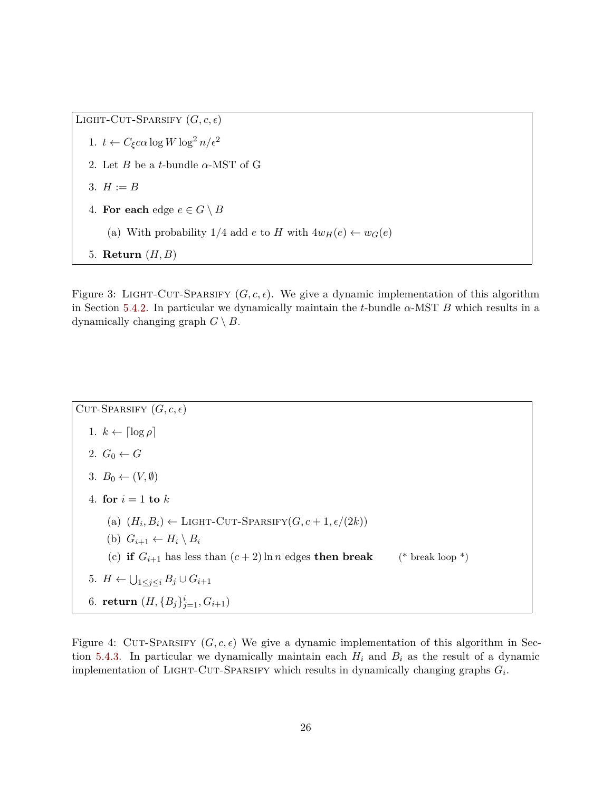LIGHT-CUT-SPARSIFY  $(G, c, \epsilon)$ 1.  $t \leftarrow C_{\xi} c \alpha \log W \log^2 n / \epsilon^2$ 2. Let  $B$  be a *t*-bundle  $\alpha$ -MST of G 3.  $H := B$ 4. For each edge  $e \in G \setminus B$ (a) With probability  $1/4$  add  $e$  to  $H$  with  $4w_H(e) \leftarrow w_G(e)$ 5. **Return** (*H, B*)

<span id="page-27-0"></span>Figure 3: LIGHT-CUT-SPARSIFY  $(G, c, \epsilon)$ . We give a dynamic implementation of this algorithm in Section [5.4.2.](#page-30-0) In particular we dynamically maintain the *t*-bundle  $\alpha$ -MST *B* which results in a dynamically changing graph  $G \setminus B$ .

CUT-SPARSIFY  $(G, c, \epsilon)$ 1.  $k \leftarrow \lceil \log \rho \rceil$ 2.  $G_0 \leftarrow G$ 3.  $B_0 \leftarrow (V, \emptyset)$ 4. **for**  $i = 1$  **to**  $k$ (a)  $(H_i, B_i) \leftarrow$  LIGHT-CUT-SPARSIFY $(G, c + 1, \epsilon/(2k))$ (b)  $G_{i+1} \leftarrow H_i \setminus B_i$ (c) **if**  $G_{i+1}$  has less than  $(c+2)$  ln *n* edges **then break** (\* break loop \*) 5.  $H \leftarrow \bigcup_{1 \leq j \leq i} B_j \cup G_{i+1}$ 6. **return**  $(H, \{B_j\}_{j=1}^i, G_{i+1})$ 

<span id="page-27-1"></span>Figure 4: CUT-SPARSIFY  $(G, c, \epsilon)$  We give a dynamic implementation of this algorithm in Sec-tion [5.4.3.](#page-30-1) In particular we dynamically maintain each  $H_i$  and  $B_i$  as the result of a dynamic implementation of LIGHT-CUT-SPARSIFY which results in dynamically changing graphs  $G_i$ .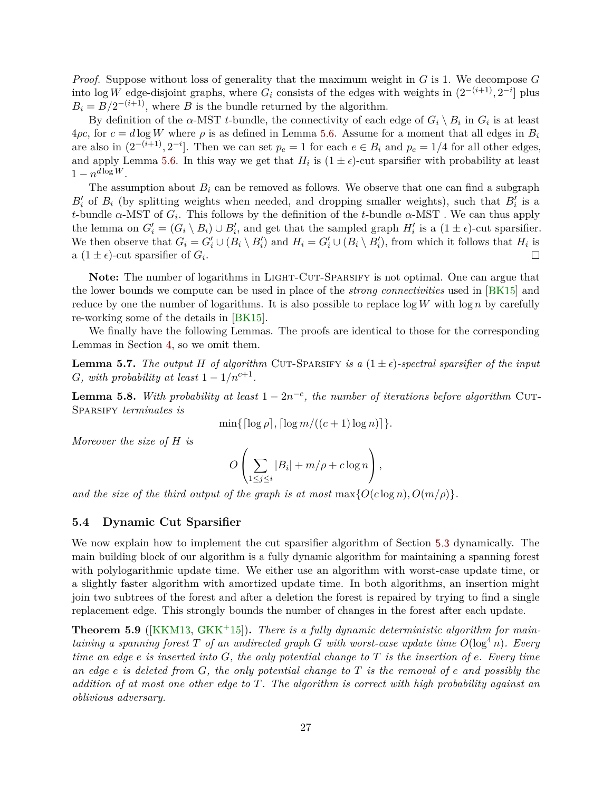<span id="page-28-4"></span>*Proof.* Suppose without loss of generality that the maximum weight in *G* is 1. We decompose *G* into log *W* edge-disjoint graphs, where  $G_i$  consists of the edges with weights in  $(2^{-(i+1)}, 2^{-i}]$  plus  $B_i = B/2^{-(i+1)}$ , where *B* is the bundle returned by the algorithm.

By definition of the *α*-MST *t*-bundle, the connectivity of each edge of  $G_i \setminus B_i$  in  $G_i$  is at least  $4\rho c$ , for  $c = d \log W$  where  $\rho$  is as defined in Lemma [5.6.](#page-26-2) Assume for a moment that all edges in  $B_i$ are also in  $(2^{-(i+1)}, 2^{-i}]$ . Then we can set  $p_e = 1$  for each  $e \in B_i$  and  $p_e = 1/4$  for all other edges, and apply Lemma [5.6.](#page-26-2) In this way we get that  $H_i$  is  $(1 \pm \epsilon)$ -cut sparsifier with probability at least  $1 - n^{d \log W}$ .

The assumption about  $B_i$  can be removed as follows. We observe that one can find a subgraph  $B_i'$  of  $B_i$  (by splitting weights when needed, and dropping smaller weights), such that  $B_i'$  is a *t*-bundle *α*-MST of  $G_i$ . This follows by the definition of the *t*-bundle  $\alpha$ -MST. We can thus apply the lemma on  $G_i' = (G_i \setminus B_i) \cup B_i'$ , and get that the sampled graph  $H_i'$  is a  $(1 \pm \epsilon)$ -cut sparsifier. We then observe that  $G_i = G'_i \cup (B_i \setminus B'_i)$  and  $H_i = G'_i \cup (B_i \setminus B'_i)$ , from which it follows that  $H_i$  is a  $(1 \pm \epsilon)$ -cut sparsifier of  $G_i$ .  $\Box$ 

Note: The number of logarithms in LIGHT-CUT-SPARSIFY is not optimal. One can argue that the lower bounds we compute can be used in place of the *strong connectivities* used in [\[BK15\]](#page-58-7) and reduce by one the number of logarithms. It is also possible to replace  $\log W$  with  $\log n$  by carefully re-working some of the details in [\[BK15\]](#page-58-7).

We finally have the following Lemmas. The proofs are identical to those for the corresponding Lemmas in Section [4,](#page-12-0) so we omit them.

<span id="page-28-2"></span>**Lemma 5.7.** The output *H* of algorithm CUT-SPARSIFY is a  $(1 \pm \epsilon)$ -spectral sparsifier of the input *G, with probability at least*  $1 - 1/n^{c+1}$ *.* 

<span id="page-28-3"></span>**Lemma 5.8.** With probability at least  $1 - 2n^{-c}$ , the number of iterations before algorithm CUT-Sparsify *terminates is*

 $\min\{\lceil \log \rho \rceil, \lceil \log m/((c+1) \log n) \rceil\}.$ 

*Moreover the size of H is*

$$
O\left(\sum_{1\leq j\leq i}|B_i|+m/\rho+c\log n\right),\,
$$

*and the size of the third output of the graph is at most*  $\max\{O(c \log n), O(m/\rho)\}.$ 

#### <span id="page-28-0"></span>**5.4 Dynamic Cut Sparsifier**

We now explain how to implement the cut sparsifier algorithm of Section [5.3](#page-26-1) dynamically. The main building block of our algorithm is a fully dynamic algorithm for maintaining a spanning forest with polylogarithmic update time. We either use an algorithm with worst-case update time, or a slightly faster algorithm with amortized update time. In both algorithms, an insertion might join two subtrees of the forest and after a deletion the forest is repaired by trying to find a single replacement edge. This strongly bounds the number of changes in the forest after each update.

<span id="page-28-1"></span>**Theorem 5.9** ([\[KKM13,](#page-60-1) [GKK](#page-59-11)<sup>+</sup>15]). There is a fully dynamic deterministic algorithm for main*taining a spanning forest*  $T$  *of an undirected graph*  $G$  *with worst-case update time*  $O(\log^4 n)$ *. Every time an edge e is inserted into G, the only potential change to T is the insertion of e. Every time an edge e is deleted from G, the only potential change to T is the removal of e and possibly the addition of at most one other edge to T. The algorithm is correct with high probability against an oblivious adversary.*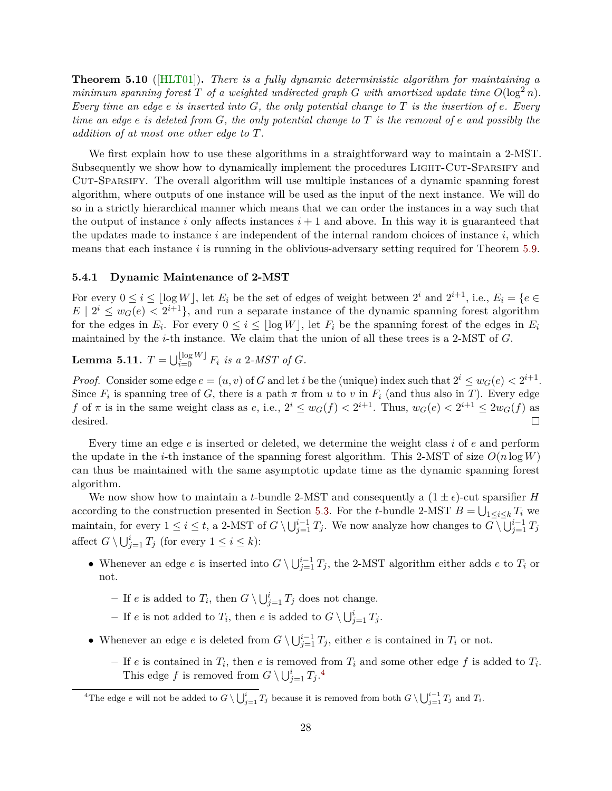<span id="page-29-1"></span>**Theorem 5.10** ([\[HLT01\]](#page-60-0))**.** *There is a fully dynamic deterministic algorithm for maintaining a minimum spanning forest*  $T$  *of a weighted undirected graph*  $G$  *with amortized update time*  $O(\log^2 n)$ *. Every time an edge e is inserted into G, the only potential change to T is the insertion of e. Every time an edge e is deleted from G, the only potential change to T is the removal of e and possibly the addition of at most one other edge to T.*

We first explain how to use these algorithms in a straightforward way to maintain a 2-MST. Subsequently we show how to dynamically implement the procedures LIGHT-CUT-SPARSIFY and Cut-Sparsify. The overall algorithm will use multiple instances of a dynamic spanning forest algorithm, where outputs of one instance will be used as the input of the next instance. We will do so in a strictly hierarchical manner which means that we can order the instances in a way such that the output of instance *i* only affects instances  $i + 1$  and above. In this way it is guaranteed that the updates made to instance  $i$  are independent of the internal random choices of instance  $i$ , which means that each instance *i* is running in the oblivious-adversary setting required for Theorem [5.9.](#page-28-1)

#### **5.4.1 Dynamic Maintenance of 2-MST**

For every  $0 \le i \le \lfloor \log W \rfloor$ , let  $E_i$  be the set of edges of weight between  $2^i$  and  $2^{i+1}$ , i.e.,  $E_i = \{e \in E_i\}$  $E | 2^i \leq w_G(e) < 2^{i+1}$ , and run a separate instance of the dynamic spanning forest algorithm for the edges in  $E_i$ . For every  $0 \le i \le \lfloor \log W \rfloor$ , let  $F_i$  be the spanning forest of the edges in  $E_i$ maintained by the *i*-th instance. We claim that the union of all these trees is a 2-MST of *G*.

**Lemma 5.11.**  $T = \bigcup_{i=0}^{\lfloor \log W \rfloor} F_i$  *is a* 2*-MST of G.* 

*Proof.* Consider some edge  $e = (u, v)$  of *G* and let *i* be the (unique) index such that  $2^i \leq w_G(e) < 2^{i+1}$ . Since  $F_i$  is spanning tree of  $G$ , there is a path  $\pi$  from  $u$  to  $v$  in  $F_i$  (and thus also in  $T$ ). Every edge *f* of  $\pi$  is in the same weight class as *e*, i.e.,  $2^{i} \leq w_G(f) < 2^{i+1}$ . Thus,  $w_G(e) < 2^{i+1} \leq 2w_G(f)$  as desired.  $\Box$ 

Every time an edge *e* is inserted or deleted, we determine the weight class *i* of *e* and perform the update in the *i*-th instance of the spanning forest algorithm. This 2-MST of size  $O(n \log W)$ can thus be maintained with the same asymptotic update time as the dynamic spanning forest algorithm.

We now show how to maintain a *t*-bundle 2-MST and consequently a  $(1 \pm \epsilon)$ -cut sparsifier *H* according to the construction presented in Section [5.3.](#page-26-1) For the *t*-bundle 2-MST  $B = \bigcup_{1 \leq i \leq k} T_i$  we maintain, for every  $1 \leq i \leq t$ , a 2-MST of  $G \setminus \bigcup_{j=1}^{i-1} T_j$ . We now analyze how changes to  $\overline{G} \setminus \overline{\bigcup_{j=1}^{i-1} T_j}$ affect  $G \setminus \bigcup_{j=1}^{i} T_j$  (for every  $1 \leq i \leq k$ ):

- Whenever an edge *e* is inserted into  $G \setminus \bigcup_{j=1}^{i-1} T_j$ , the 2-MST algorithm either adds *e* to  $T_i$  or not.
	- **–** If *e* is added to  $T_i$ , then  $G \setminus \bigcup_{j=1}^i T_j$  does not change.
	- $-$  If *e* is not added to  $T_i$ , then *e* is added to  $G \setminus \bigcup_{j=1}^i T_j$ .
- Whenever an edge *e* is deleted from  $G \setminus \bigcup_{j=1}^{i-1} T_j$ , either *e* is contained in  $T_i$  or not.
	- $-$  If *e* is contained in  $T_i$ , then *e* is removed from  $T_i$  and some other edge  $f$  is added to  $T_i$ . This edge *f* is removed from  $G \setminus \bigcup_{j=1}^{i} T_j$ .<sup>[4](#page-29-0)</sup>

<span id="page-29-0"></span><sup>&</sup>lt;sup>4</sup>The edge *e* will not be added to  $G \setminus \bigcup_{j=1}^{i} T_j$  because it is removed from both  $G \setminus \bigcup_{j=1}^{i-1} T_j$  and  $T_i$ .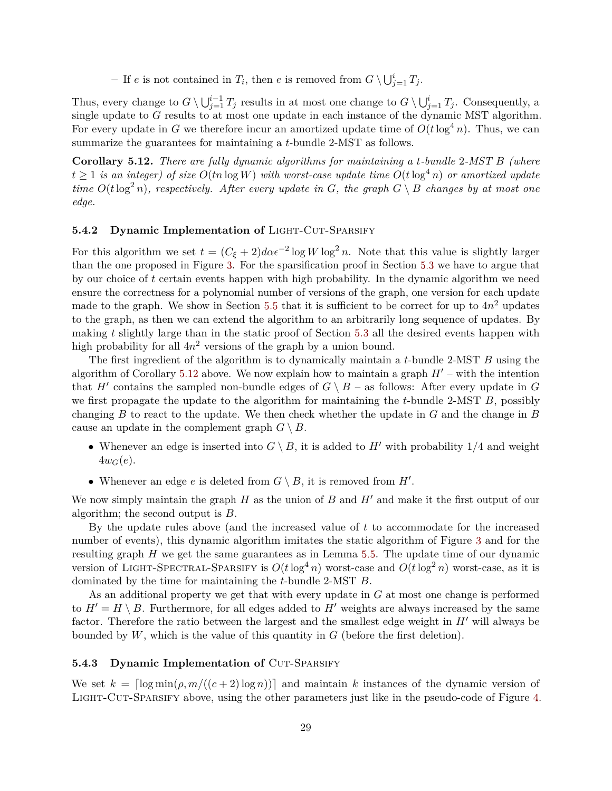$-$  If *e* is not contained in  $T_i$ , then *e* is removed from  $G \setminus \bigcup_{j=1}^i T_j$ .

Thus, every change to  $G \setminus \bigcup_{j=1}^{i-1} T_j$  results in at most one change to  $G \setminus \bigcup_{j=1}^{i} T_j$ . Consequently, a single update to *G* results to at most one update in each instance of the dynamic MST algorithm. For every update in *G* we therefore incur an amortized update time of  $O(t \log^4 n)$ . Thus, we can summarize the guarantees for maintaining a *t*-bundle 2-MST as follows.

<span id="page-30-2"></span>**Corollary 5.12.** *There are fully dynamic algorithms for maintaining a t-bundle* 2*-MST B (where*  $t \geq 1$  *is an integer)* of size  $O(tn \log W)$  with worst-case update time  $O(t \log^4 n)$  or amortized update *time*  $O(t \log^2 n)$ *, respectively. After every update in G, the graph*  $G \setminus B$  *changes by at most one edge.*

# <span id="page-30-0"></span>**5.4.2 Dynamic Implementation of LIGHT-CUT-SPARSIFY**

For this algorithm we set  $t = (C_{\xi} + 2)d\alpha\epsilon^{-2}\log W \log^2 n$ . Note that this value is slightly larger than the one proposed in Figure [3.](#page-27-0) For the sparsification proof in Section [5.3](#page-26-1) we have to argue that by our choice of *t* certain events happen with high probability. In the dynamic algorithm we need ensure the correctness for a polynomial number of versions of the graph, one version for each update made to the graph. We show in Section [5.5](#page-31-0) that it is sufficient to be correct for up to  $4n^2$  updates to the graph, as then we can extend the algorithm to an arbitrarily long sequence of updates. By making *t* slightly large than in the static proof of Section [5.3](#page-26-1) all the desired events happen with high probability for all  $4n^2$  versions of the graph by a union bound.

The first ingredient of the algorithm is to dynamically maintain a *t*-bundle 2-MST *B* using the algorithm of Corollary [5.12](#page-30-2) above. We now explain how to maintain a graph  $H'$  – with the intention that *H*<sup> $\prime$ </sup> contains the sampled non-bundle edges of  $G \setminus B$  – as follows: After every update in *G* we first propagate the update to the algorithm for maintaining the *t*-bundle 2-MST *B*, possibly changing *B* to react to the update. We then check whether the update in *G* and the change in *B* cause an update in the complement graph  $G \setminus B$ .

- Whenever an edge is inserted into  $G \setminus B$ , it is added to  $H'$  with probability  $1/4$  and weight  $4w_G(e)$ .
- Whenever an edge  $e$  is deleted from  $G \setminus B$ , it is removed from  $H'$ .

We now simply maintain the graph  $H$  as the union of  $B$  and  $H'$  and make it the first output of our algorithm; the second output is *B*.

By the update rules above (and the increased value of *t* to accommodate for the increased number of events), this dynamic algorithm imitates the static algorithm of Figure [3](#page-27-0) and for the resulting graph *H* we get the same guarantees as in Lemma [5.5.](#page-26-3) The update time of our dynamic version of LIGHT-SPECTRAL-SPARSIFY is  $O(t \log^4 n)$  worst-case and  $O(t \log^2 n)$  worst-case, as it is dominated by the time for maintaining the *t*-bundle 2-MST *B*.

As an additional property we get that with every update in *G* at most one change is performed to  $H' = H \setminus B$ . Furthermore, for all edges added to  $H'$  weights are always increased by the same factor. Therefore the ratio between the largest and the smallest edge weight in  $H'$  will always be bounded by *W*, which is the value of this quantity in *G* (before the first deletion).

#### <span id="page-30-1"></span>**5.4.3 Dynamic Implementation of CUT-SPARSIFY**

We set  $k = \lceil \log \min(\rho, m/((c+2) \log n)) \rceil$  and maintain k instances of the dynamic version of LIGHT-CUT-SPARSIFY above, using the other parameters just like in the pseudo-code of Figure [4.](#page-27-1)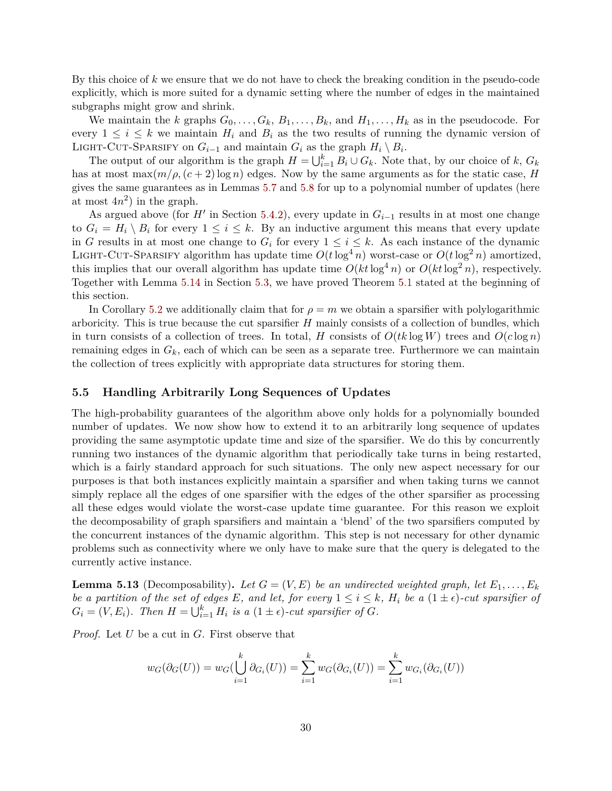By this choice of *k* we ensure that we do not have to check the breaking condition in the pseudo-code explicitly, which is more suited for a dynamic setting where the number of edges in the maintained subgraphs might grow and shrink.

We maintain the *k* graphs  $G_0, \ldots, G_k, B_1, \ldots, B_k$ , and  $H_1, \ldots, H_k$  as in the pseudocode. For every  $1 \leq i \leq k$  we maintain  $H_i$  and  $B_i$  as the two results of running the dynamic version of LIGHT-CUT-SPARSIFY on  $G_{i-1}$  and maintain  $G_i$  as the graph  $H_i \setminus B_i$ .

The output of our algorithm is the graph  $H = \bigcup_{i=1}^{k} B_i \cup G_k$ . Note that, by our choice of *k*,  $G_k$ has at most  $\max(m/\rho, (c+2)\log n)$  edges. Now by the same arguments as for the static case, *H* gives the same guarantees as in Lemmas [5.7](#page-28-2) and [5.8](#page-28-3) for up to a polynomial number of updates (here at most  $4n^2$ ) in the graph.

As argued above (for  $H'$  in Section [5.4.2\)](#page-30-0), every update in  $G_{i-1}$  results in at most one change to  $G_i = H_i \setminus B_i$  for every  $1 \leq i \leq k$ . By an inductive argument this means that every update in *G* results in at most one change to  $G_i$  for every  $1 \leq i \leq k$ . As each instance of the dynamic LIGHT-CUT-SPARSIFY algorithm has update time  $O(t \log^4 n)$  worst-case or  $O(t \log^2 n)$  amortized. this implies that our overall algorithm has update time  $O(kt \log^4 n)$  or  $O(kt \log^2 n)$ , respectively. Together with Lemma [5.14](#page-32-0) in Section [5.3,](#page-26-1) we have proved Theorem [5.1](#page-24-1) stated at the beginning of this section.

In Corollary [5.2](#page-24-2) we additionally claim that for  $\rho = m$  we obtain a sparsifier with polylogarithmic arboricity. This is true because the cut sparsifier *H* mainly consists of a collection of bundles, which in turn consists of a collection of trees. In total, *H* consists of  $O(tk \log W)$  trees and  $O(c \log n)$ remaining edges in *Gk*, each of which can be seen as a separate tree. Furthermore we can maintain the collection of trees explicitly with appropriate data structures for storing them.

#### <span id="page-31-0"></span>**5.5 Handling Arbitrarily Long Sequences of Updates**

The high-probability guarantees of the algorithm above only holds for a polynomially bounded number of updates. We now show how to extend it to an arbitrarily long sequence of updates providing the same asymptotic update time and size of the sparsifier. We do this by concurrently running two instances of the dynamic algorithm that periodically take turns in being restarted, which is a fairly standard approach for such situations. The only new aspect necessary for our purposes is that both instances explicitly maintain a sparsifier and when taking turns we cannot simply replace all the edges of one sparsifier with the edges of the other sparsifier as processing all these edges would violate the worst-case update time guarantee. For this reason we exploit the decomposability of graph sparsifiers and maintain a 'blend' of the two sparsifiers computed by the concurrent instances of the dynamic algorithm. This step is not necessary for other dynamic problems such as connectivity where we only have to make sure that the query is delegated to the currently active instance.

<span id="page-31-1"></span>**Lemma 5.13** (Decomposability). Let  $G = (V, E)$  be an undirected weighted graph, let  $E_1, \ldots, E_k$ *be a partition of the set of edges E, and let, for every*  $1 \leq i \leq k$ *, H<sub>i</sub> be a*  $(1 \pm \epsilon)$ *-cut sparsifier of*  $G_i = (V, E_i)$ *. Then*  $H = \bigcup_{i=1}^k H_i$  *is a*  $(1 \pm \epsilon)$ *-cut sparsifier of G.* 

*Proof.* Let *U* be a cut in *G*. First observe that

$$
w_G(\partial_G(U)) = w_G(\bigcup_{i=1}^k \partial_{G_i}(U)) = \sum_{i=1}^k w_G(\partial_{G_i}(U)) = \sum_{i=1}^k w_{G_i}(\partial_{G_i}(U))
$$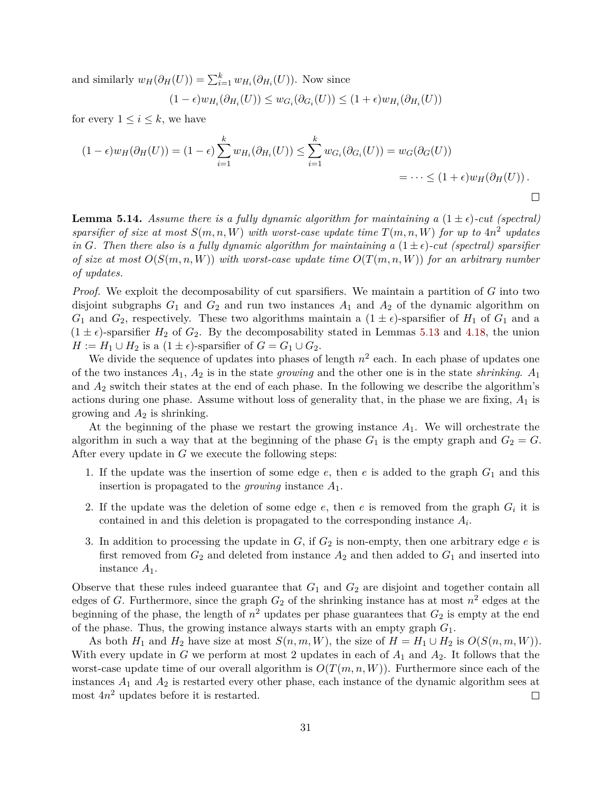and similarly  $w_H(\partial_H(U)) = \sum_{i=1}^k w_{H_i}(\partial_{H_i}(U))$ . Now since

 $(w - \epsilon) w_{H_i}(\partial_{H_i}(U)) \leq w_{G_i}(\partial_{G_i}(U)) \leq (1 + \epsilon) w_{H_i}(\partial_{H_i}(U))$ 

for every  $1 \leq i \leq k$ , we have

$$
(1 - \epsilon)w_H(\partial_H(U)) = (1 - \epsilon) \sum_{i=1}^k w_{H_i}(\partial_{H_i}(U)) \le \sum_{i=1}^k w_{G_i}(\partial_{G_i}(U)) = w_G(\partial_G(U))
$$
  
=  $\cdots \le (1 + \epsilon)w_H(\partial_H(U)).$ 

<span id="page-32-0"></span>**Lemma 5.14.** *Assume there is a fully dynamic algorithm for maintaining a*  $(1 \pm \epsilon)$ *-cut (spectral) sparsifier of size at most*  $S(m, n, W)$  *with worst-case update time*  $T(m, n, W)$  *for up to*  $4n^2$  *updates in G*. Then there also is a fully dynamic algorithm for maintaining a  $(1 \pm \epsilon)$ -cut (spectral) sparsifier *of size at most*  $O(S(m, n, W))$  *with worst-case update time*  $O(T(m, n, W))$  *for an arbitrary number of updates.*

*Proof.* We exploit the decomposability of cut sparsifiers. We maintain a partition of *G* into two disjoint subgraphs  $G_1$  and  $G_2$  and run two instances  $A_1$  and  $A_2$  of the dynamic algorithm on  $G_1$  and  $G_2$ , respectively. These two algorithms maintain a  $(1 \pm \epsilon)$ -sparsifier of  $H_1$  of  $G_1$  and a  $(1 \pm \epsilon)$ -sparsifier  $H_2$  of  $G_2$ . By the decomposability stated in Lemmas [5.13](#page-31-1) and [4.18,](#page-23-3) the union  $H := H_1 \cup H_2$  is a  $(1 \pm \epsilon)$ -sparsifier of  $G = G_1 \cup G_2$ .

We divide the sequence of updates into phases of length  $n^2$  each. In each phase of updates one of the two instances *A*1, *A*<sup>2</sup> is in the state *growing* and the other one is in the state *shrinking*. *A*<sup>1</sup> and *A*<sup>2</sup> switch their states at the end of each phase. In the following we describe the algorithm's actions during one phase. Assume without loss of generality that, in the phase we are fixing, *A*<sup>1</sup> is growing and  $A_2$  is shrinking.

At the beginning of the phase we restart the growing instance *A*1. We will orchestrate the algorithm in such a way that at the beginning of the phase  $G_1$  is the empty graph and  $G_2 = G$ . After every update in *G* we execute the following steps:

- 1. If the update was the insertion of some edge *e*, then *e* is added to the graph *G*<sup>1</sup> and this insertion is propagated to the *growing* instance *A*1.
- 2. If the update was the deletion of some edge  $e$ , then  $e$  is removed from the graph  $G_i$  it is contained in and this deletion is propagated to the corresponding instance *A<sup>i</sup>* .
- 3. In addition to processing the update in  $G$ , if  $G_2$  is non-empty, then one arbitrary edge  $e$  is first removed from  $G_2$  and deleted from instance  $A_2$  and then added to  $G_1$  and inserted into instance *A*1.

Observe that these rules indeed guarantee that *G*<sup>1</sup> and *G*<sup>2</sup> are disjoint and together contain all edges of *G*. Furthermore, since the graph  $G_2$  of the shrinking instance has at most  $n^2$  edges at the beginning of the phase, the length of  $n^2$  updates per phase guarantees that  $G_2$  is empty at the end of the phase. Thus, the growing instance always starts with an empty graph *G*1.

As both  $H_1$  and  $H_2$  have size at most  $S(n, m, W)$ , the size of  $H = H_1 \cup H_2$  is  $O(S(n, m, W))$ . With every update in *G* we perform at most 2 updates in each of *A*<sup>1</sup> and *A*2. It follows that the worst-case update time of our overall algorithm is  $O(T(m, n, W))$ . Furthermore since each of the instances  $A_1$  and  $A_2$  is restarted every other phase, each instance of the dynamic algorithm sees at most 4*n* <sup>2</sup> updates before it is restarted.  $\Box$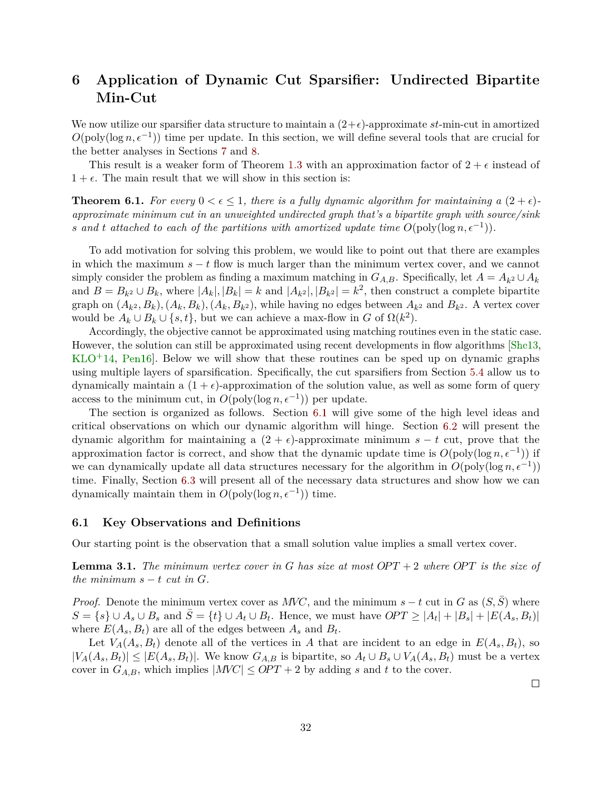# <span id="page-33-3"></span><span id="page-33-0"></span>**6 Application of Dynamic Cut Sparsifier: Undirected Bipartite Min-Cut**

We now utilize our sparsifier data structure to maintain a  $(2+\epsilon)$ -approximate *st*-min-cut in amortized  $O(poly(\log n, \epsilon^{-1}))$  time per update. In this section, we will define several tools that are crucial for the better analyses in Sections [7](#page-40-0) and [8.](#page-46-0)

This result is a weaker form of Theorem [1.3](#page-3-2) with an approximation factor of  $2 + \epsilon$  instead of  $1 + \epsilon$ . The main result that we will show in this section is:

<span id="page-33-2"></span>**Theorem 6.1.** For every  $0 < \epsilon \leq 1$ , there is a fully dynamic algorithm for maintaining a  $(2 + \epsilon)$ *approximate minimum cut in an unweighted undirected graph that's a bipartite graph with source/sink s* and *t* attached to each of the partitions with amortized update time  $O(\text{poly}(\log n, \epsilon^{-1}))$ .

To add motivation for solving this problem, we would like to point out that there are examples in which the maximum  $s - t$  flow is much larger than the minimum vertex cover, and we cannot simply consider the problem as finding a maximum matching in  $G_{A,B}$ . Specifically, let  $A = A_{k^2} \cup A_k$ and  $B = B_{k^2} \cup B_k$ , where  $|A_k|, |B_k| = k$  and  $|A_{k^2}|, |B_{k^2}| = k^2$ , then construct a complete bipartite graph on  $(A_{k^2}, B_k), (A_k, B_k), (A_k, B_{k^2})$ , while having no edges between  $A_{k^2}$  and  $B_{k^2}$ . A vertex cover would be  $A_k \cup B_k \cup \{s, t\}$ , but we can achieve a max-flow in *G* of  $\Omega(k^2)$ .

Accordingly, the objective cannot be approximated using matching routines even in the static case. However, the solution can still be approximated using recent developments in flow algorithms [\[She13,](#page-61-5)  $KLO+14$  $KLO+14$ , Pen16. Below we will show that these routines can be sped up on dynamic graphs using multiple layers of sparsification. Specifically, the cut sparsifiers from Section [5.4](#page-28-0) allow us to dynamically maintain a  $(1 + \epsilon)$ -approximation of the solution value, as well as some form of query access to the minimum cut, in  $O(poly(\log n, \epsilon^{-1}))$  per update.

The section is organized as follows. Section [6.1](#page-33-1) will give some of the high level ideas and critical observations on which our dynamic algorithm will hinge. Section [6.2](#page-35-0) will present the dynamic algorithm for maintaining a  $(2 + \epsilon)$ -approximate minimum  $s - t$  cut, prove that the approximation factor is correct, and show that the dynamic update time is  $O(\text{poly}(\log n, \epsilon^{-1}))$  if we can dynamically update all data structures necessary for the algorithm in  $O(poly(\log n, \epsilon^{-1}))$ time. Finally, Section [6.3](#page-37-0) will present all of the necessary data structures and show how we can dynamically maintain them in  $O(poly(\log n, \epsilon^{-1}))$  time.

#### <span id="page-33-1"></span>**6.1 Key Observations and Definitions**

Our starting point is the observation that a small solution value implies a small vertex cover.

**Lemma 3.1.** The minimum vertex cover in G has size at most  $OPT + 2$  where  $OPT$  is the size of *the minimum*  $s - t$  *cut in G*.

*Proof.* Denote the minimum vertex cover as *MVC*, and the minimum  $s - t$  cut in *G* as  $(S, S)$  where  $S = \{s\} \cup A_s \cup B_s$  and  $\overline{S} = \{t\} \cup A_t \cup B_t$ . Hence, we must have  $OPT \ge |A_t| + |B_s| + |E(A_s, B_t)|$ where  $E(A_s, B_t)$  are all of the edges between  $A_s$  and  $B_t$ .

Let  $V_A(A_s, B_t)$  denote all of the vertices in *A* that are incident to an edge in  $E(A_s, B_t)$ , so  $|V_A(A_s, B_t)| \leq |E(A_s, B_t)|$ . We know  $G_{A,B}$  is bipartite, so  $A_t \cup B_s \cup V_A(A_s, B_t)$  must be a vertex cover in  $G_{A,B}$ , which implies  $|MVC| \leq OPT + 2$  by adding *s* and *t* to the cover.

 $\Box$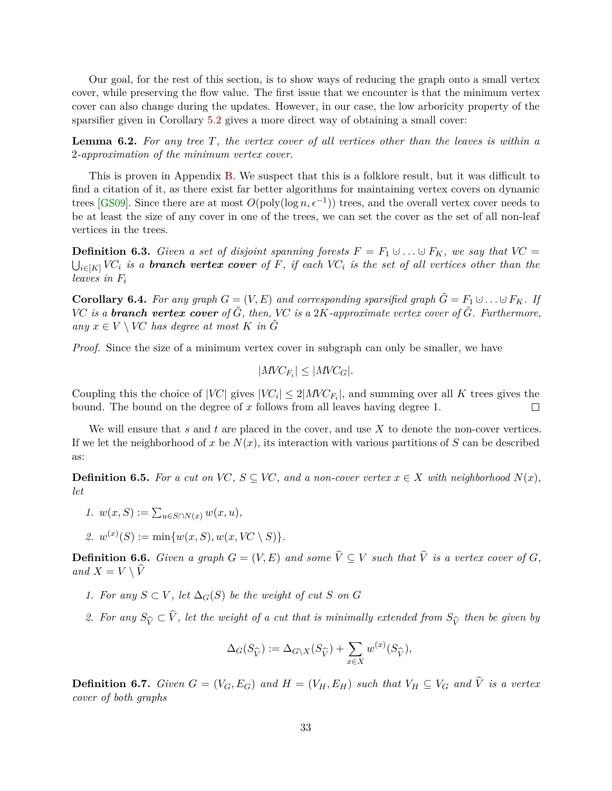<span id="page-34-1"></span>Our goal, for the rest of this section, is to show ways of reducing the graph onto a small vertex cover, while preserving the flow value. The first issue that we encounter is that the minimum vertex cover can also change during the updates. However, in our case, the low arboricity property of the sparsifier given in Corollary [5.2](#page-24-2) gives a more direct way of obtaining a small cover:

<span id="page-34-2"></span>**Lemma 6.2.** *For any tree T, the vertex cover of all vertices other than the leaves is within a* 2*-approximation of the minimum vertex cover.*

This is proven in Appendix [B.](#page-65-0) We suspect that this is a folklore result, but it was difficult to find a citation of it, as there exist far better algorithms for maintaining vertex covers on dynamic trees [\[GS09\]](#page-59-12). Since there are at most  $O(poly(\log n, \epsilon^{-1}))$  trees, and the overall vertex cover needs to be at least the size of any cover in one of the trees, we can set the cover as the set of all non-leaf vertices in the trees.

**Definition 6.3.** *Given a set of disjoint spanning forests*  $F = F_1 \cup \ldots \cup F_K$ *, we say that*  $VC =$  $\bigcup_{i\in [K]} V C_i$  *is a branch vertex cover of*  $F$ *, if each*  $V C_i$  *is the set of all vertices other than the leaves in F<sup>i</sup>*

<span id="page-34-0"></span>**Corollary 6.4.** For any graph  $G = (V, E)$  and corresponding sparsified graph  $\tilde{G} = F_1 \cup \ldots \cup F_K$ . If *VC is a branch vertex cover* of  $\tilde{G}$ , then, *VC is a* 2*K-approximate vertex cover* of  $\tilde{G}$ *. Furthermore,*  $any \; x \in V \setminus VC$  *has degree at most K in*  $\tilde{G}$ 

*Proof.* Since the size of a minimum vertex cover in subgraph can only be smaller, we have

$$
|MVC_{F_i}| \leq |MVC_G|.
$$

Coupling this the choice of  $|VC|$  gives  $|VC_i| \leq 2|MVC_{F_i}|$ , and summing over all K trees gives the bound. The bound on the degree of *x* follows from all leaves having degree 1.  $\Box$ 

We will ensure that *s* and *t* are placed in the cover, and use *X* to denote the non-cover vertices. If we let the neighborhood of x be  $N(x)$ , its interaction with various partitions of S can be described as:

**Definition 6.5.** For a cut on VC,  $S \subseteq VC$ , and a non-cover vertex  $x \in X$  with neighborhood  $N(x)$ , *let*

1. 
$$
w(x, S) := \sum_{u \in S \cap N(x)} w(x, u),
$$

2. 
$$
w^{(x)}(S) := \min\{w(x, S), w(x, VC \setminus S)\}.
$$

**Definition 6.6.** *Given a graph*  $G = (V, E)$  *and some*  $\hat{V} \subseteq V$  *such that*  $\hat{V}$  *is a vertex cover of*  $G$ *, and*  $X = V \setminus \widehat{V}$ 

- *1. For any*  $S ⊂ V$ *, let*  $\Delta_G(S)$  *be the weight of cut S on G*
- *2.* For any  $S_{\widehat{V}} \subset V$ , let the weight of a cut that is minimally extended from  $S_{\widehat{V}}$  then be given by

$$
\Delta_G(S_{\widehat{V}}) := \Delta_{G \backslash X}(S_{\widehat{V}}) + \sum_{x \in X} w^{(x)}(S_{\widehat{V}}),
$$

**Definition 6.7.** Given  $G = (V_G, E_G)$  and  $H = (V_H, E_H)$  such that  $V_H \subseteq V_G$  and  $\hat{V}$  is a vertex *cover of both graphs*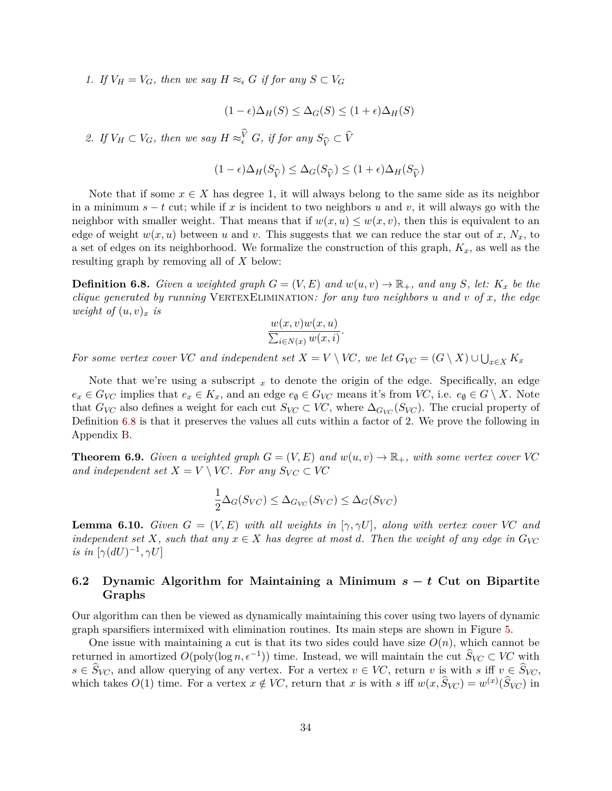*1. If*  $V_H = V_G$ , then we say  $H \approx_{\epsilon} G$  *if for any*  $S \subset V_G$ 

$$
(1 - \epsilon)\Delta_H(S) \leq \Delta_G(S) \leq (1 + \epsilon)\Delta_H(S)
$$

2. *If*  $V_H \subset V_G$ , then we say  $H \approx_{\epsilon}^V G$ , if for any  $S_{\widehat{V}} \subset \widehat{V}$ 

$$
(1 - \epsilon)\Delta_H(S_{\widehat{V}}) \leq \Delta_G(S_{\widehat{V}}) \leq (1 + \epsilon)\Delta_H(S_{\widehat{V}})
$$

Note that if some  $x \in X$  has degree 1, it will always belong to the same side as its neighbor in a minimum *s* − *t* cut; while if *x* is incident to two neighbors *u* and *v*, it will always go with the neighbor with smaller weight. That means that if  $w(x, u) \leq w(x, v)$ , then this is equivalent to an edge of weight  $w(x, u)$  between *u* and *v*. This suggests that we can reduce the star out of *x*,  $N_x$ , to a set of edges on its neighborhood. We formalize the construction of this graph, *Kx*, as well as the resulting graph by removing all of *X* below:

<span id="page-35-1"></span>**Definition 6.8.** *Given a weighted graph*  $G = (V, E)$  *and*  $w(u, v) \rightarrow \mathbb{R}_+$ *, and any S, let:*  $K_x$  *be the clique generated by running* VertexElimination*: for any two neighbors u and v of x, the edge weight of*  $(u, v)_x$  *is* 

$$
\frac{w(x,v)w(x,u)}{\sum_{i\in N(x)}w(x,i)}.
$$

*For some vertex cover VC and independent set*  $X = V \setminus V$ *C, we let*  $G_{V}C = (G \setminus X) \cup \bigcup_{x \in X} K_x$ 

Note that we're using a subscript  $x$  to denote the origin of the edge. Specifically, an edge  $e_x \in G_{V\!C}$  implies that  $e_x \in K_x$ , and an edge  $e_{\emptyset} \in G_{V\!C}$  means it's from *VC*, i.e.  $e_{\emptyset} \in G \setminus X$ . Note that  $G_{V\!C}$  also defines a weight for each cut  $S_{V\!C} \subset V\!C$ , where  $\Delta_{G_{V\!C}}(S_{V\!C})$ . The crucial property of Definition [6.8](#page-35-1) is that it preserves the values all cuts within a factor of 2. We prove the following in Appendix [B.](#page-65-0)

<span id="page-35-3"></span>**Theorem 6.9.** *Given a weighted graph*  $G = (V, E)$  *and*  $w(u, v) \rightarrow \mathbb{R}_+$ *, with some vertex cover VC and independent set*  $X = V \setminus VC$ *. For any*  $S_{VC} \subset VC$ 

$$
\frac{1}{2}\Delta_G(S_{VC}) \leq \Delta_{G_{VC}}(S_{VC}) \leq \Delta_G(S_{VC})
$$

<span id="page-35-2"></span>**Lemma 6.10.** *Given*  $G = (V, E)$  *with all weights in* [ $\gamma$ ,  $\gamma U$ ]*, along with vertex cover VC and independent set X, such that any*  $x \in X$  *has degree at most d. Then the weight of any edge in*  $G_{V\!C}$ *is in*  $[\gamma(dU)^{-1}, \gamma U]$ 

# <span id="page-35-0"></span>**6.2 Dynamic Algorithm for Maintaining a Minimum** *s* **−** *t* **Cut on Bipartite Graphs**

Our algorithm can then be viewed as dynamically maintaining this cover using two layers of dynamic graph sparsifiers intermixed with elimination routines. Its main steps are shown in Figure [5.](#page-36-0)

One issue with maintaining a cut is that its two sides could have size  $O(n)$ , which cannot be returned in amortized  $O(poly(\log n, \epsilon^{-1}))$  time. Instead, we will maintain the cut  $\widehat{S}_{VC} \subset VC$  with  $s \in S_{VC}$ , and allow querying of any vertex. For a vertex  $v \in VC$ , return *v* is with  $s$  iff  $v \in S_{VC}$ , which takes  $O(1)$  time. For a vertex  $x \notin VC$ , return that  $x$  is with  $s$  iff  $w(x, \hat{S}_{VC}) = w^{(x)}(\hat{S}_{VC})$  in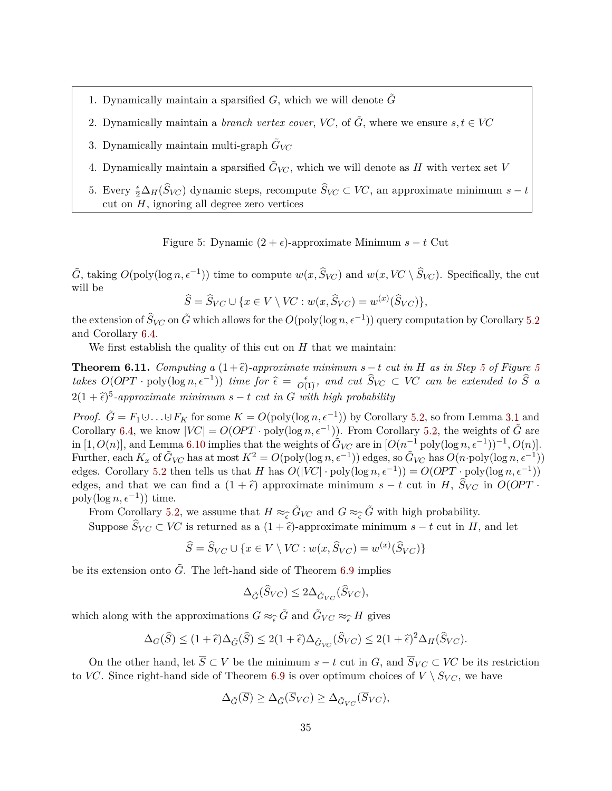- 1. Dynamically maintain a sparsified  $G$ , which we will denote  $G$
- 2. Dynamically maintain a *branch vertex cover*, *VC*, of  $\tilde{G}$ , where we ensure  $s, t \in V\mathbb{C}$
- 3. Dynamically maintain multi-graph  $\tilde{G}_{V\!C}$
- 4. Dynamically maintain a sparsified  $\tilde{G}_{VC}$ , which we will denote as *H* with vertex set *V*
- <span id="page-36-1"></span>5. Every  $\frac{\epsilon}{2} \Delta_H(\hat{S}_{VC})$  dynamic steps, recompute  $\hat{S}_{VC} \subset VC$ , an approximate minimum  $s - t$ cut on *H*, ignoring all degree zero vertices

<span id="page-36-0"></span>Figure 5: Dynamic  $(2 + \epsilon)$ -approximate Minimum  $s - t$  Cut

 $\tilde{G}$ , taking  $O(\text{poly}(\log n, \epsilon^{-1}))$  time to compute  $w(x, \hat{S}_{VC})$  and  $w(x, VC \setminus \hat{S}_{VC})$ . Specifically, the cut will be

$$
\widehat{S} = \widehat{S}_{VC} \cup \{x \in V \setminus VC : w(x, \widehat{S}_{VC}) = w^{(x)}(\widehat{S}_{VC})\},\
$$

the extension of  $\widehat{S}_{VC}$  on  $\tilde{G}$  which allows for the  $O(\text{poly}(\log{n}, \epsilon^{-1}))$  query computation by Corollary [5.2](#page-24-2) and Corollary [6.4.](#page-34-0)

We first establish the quality of this cut on *H* that we maintain:

<span id="page-36-2"></span>**Theorem 6.11.** *Computing a*  $(1+\hat{\epsilon})$ *-approximate minimum*  $s-t$  *cut in H as in Step [5](#page-36-0) of Figure 5 takes*  $O(OPT \cdot poly(log n, \epsilon^{-1}))$  *time for*  $\hat{\epsilon} = \frac{\epsilon}{O(1)}$ *, and cut*  $\hat{S}_{VC} \subset VC$  *can be extended to*  $\hat{S}$  *a*  $2(1+\hat{\epsilon})^5$ -approximate minimum  $s-t$  cut in G with high probability

*Proof.*  $\tilde{G} = F_1 \cup \ldots \cup F_K$  for some  $K = O(\text{poly}(\log n, \epsilon^{-1}))$  by Corollary [5.2,](#page-24-2) so from Lemma [3.1](#page-10-0) and Corollary [6.4,](#page-34-0) we know  $|VC| = O(OPT \cdot \text{poly}(\log n, \epsilon^{-1}))$ . From Corollary [5.2,](#page-24-2) the weights of  $\tilde{G}$  are  $\int [1, O(n)]$ , and Lemma [6.10](#page-35-2) implies that the weights of  $\tilde{G}_{V\!C}$  are in  $[O(n^{-1} \text{ poly}(\log n, \epsilon^{-1}))^{-1}, O(n)]$ . Further, each  $K_x$  of  $\tilde{G}_{VC}$  has at most  $K^2 = O(\text{poly}(\log n, \epsilon^{-1}))$  edges, so  $\tilde{G}_{VC}$  has  $O(n \cdot \text{poly}(\log n, \epsilon^{-1}))$ edges. Corollary [5.2](#page-24-2) then tells us that *H* has  $O(|VC| \cdot \text{poly}(\log n, \epsilon^{-1})) = O(OPT \cdot \text{poly}(\log n, \epsilon^{-1}))$ edges, and that we can find a  $(1 + \hat{\epsilon})$  approximate minimum  $s - t$  cut in *H*,  $S_{VC}$  in  $O(OPT \cdot$ poly(log  $n, \epsilon^{-1}$ )) time.

From Corollary [5.2,](#page-24-2) we assume that  $H \approx_{\widehat{\epsilon}} \widetilde{G}_{VC}$  and  $G \approx_{\widehat{\epsilon}} \widetilde{G}$  with high probability.<br>Suppose  $\widehat{S}_{VC} \subset VC$  is returned as a  $(1+\widehat{\epsilon})$ -approximate minimum  $s-t$  cut in H Suppose  $S_{VC} \subset VC$  is returned as a  $(1 + \hat{\epsilon})$ -approximate minimum  $s - t$  cut in *H*, and let

$$
\widehat{S} = \widehat{S}_{VC} \cup \{ x \in V \setminus VC : w(x, \widehat{S}_{VC}) = w^{(x)}(\widehat{S}_{VC}) \}
$$

be its extension onto  $\tilde{G}$ . The left-hand side of Theorem [6.9](#page-35-3) implies

$$
\Delta_{\tilde{G}}(\widehat{S}_{VC}) \le 2\Delta_{\tilde{G}_{VC}}(\widehat{S}_{VC}),
$$

which along with the approximations  $G \approx_{\widehat{\epsilon}} \widetilde{G}$  and  $\widetilde{G}_{VC} \approx_{\widehat{\epsilon}} H$  gives

$$
\Delta_G(\widehat{S}) \le (1+\widehat{\epsilon})\Delta_{\widetilde{G}}(\widehat{S}) \le 2(1+\widehat{\epsilon})\Delta_{\widetilde{G}_{VC}}(\widehat{S}_{VC}) \le 2(1+\widehat{\epsilon})^2\Delta_H(\widehat{S}_{VC}).
$$

On the other hand, let  $\overline{S} \subset V$  be the minimum  $s - t$  cut in *G*, and  $\overline{S}_{VC} \subset V\overline{C}$  be its restriction to *VC*. Since right-hand side of Theorem [6.9](#page-35-3) is over optimum choices of  $V \setminus S_{VC}$ , we have

$$
\Delta_{\tilde{G}}(\overline{S}) \geq \Delta_{\tilde{G}}(\overline{S}_{VC}) \geq \Delta_{\tilde{G}_{VC}}(\overline{S}_{VC}),
$$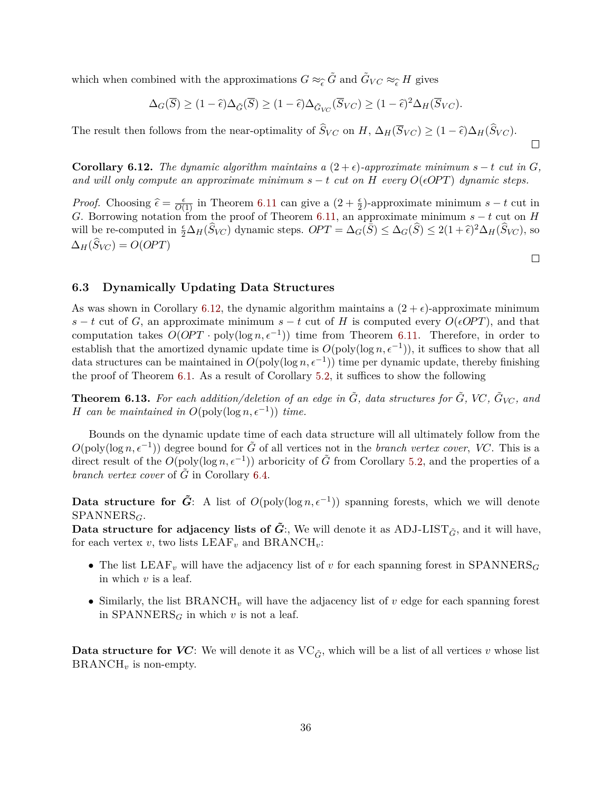which when combined with the approximations  $G \approx_{\widehat{\epsilon}} \widetilde{G}$  and  $\widetilde{G}_{VC} \approx_{\widehat{\epsilon}} H$  gives

$$
\Delta_G(\overline{S}) \ge (1 - \widehat{\epsilon}) \Delta_{\widetilde{G}}(\overline{S}) \ge (1 - \widehat{\epsilon}) \Delta_{\widetilde{G}_{VC}}(\overline{S}_{VC}) \ge (1 - \widehat{\epsilon})^2 \Delta_H(\overline{S}_{VC}).
$$

The result then follows from the near-optimality of  $S_{VC}$  on  $H$ ,  $\Delta_H(\overline{S}_{VC}) \geq (1 - \hat{\epsilon})\Delta_H(S_{VC})$ .

<span id="page-37-1"></span>**Corollary 6.12.** *The dynamic algorithm maintains a*  $(2 + \epsilon)$ *-approximate minimum s − t cut in G*, *and will only compute an approximate minimum*  $s - t$  *cut on*  $H$  *every*  $O(\epsilon OPT)$  *dynamic steps.* 

*Proof.* Choosing  $\hat{\epsilon} = \frac{\epsilon}{O(1)}$  in Theorem [6.11](#page-36-2) can give a  $(2 + \frac{\epsilon}{2})$ -approximate minimum  $s - t$  cut in *G*. Borrowing notation from the proof of Theorem [6.11,](#page-36-2) an approximate minimum  $s - t$  cut on *H* will be re-computed in  $\frac{\epsilon}{2}\Delta_H(\widehat{S}_{VC})$  dynamic steps.  $OPT = \Delta_G(\overline{S}) \leq \Delta_G(\widehat{S}) \leq 2(1+\widehat{\epsilon})^2\Delta_H(\widehat{S}_{VC})$ , so  $\Delta_H(S_{V\!C}) = O(OPT)$ 

 $\Box$ 

 $\Box$ 

#### <span id="page-37-0"></span>**6.3 Dynamically Updating Data Structures**

As was shown in Corollary [6.12,](#page-37-1) the dynamic algorithm maintains a  $(2 + \epsilon)$ -approximate minimum *s* − *t* cut of *G*, an approximate minimum *s* − *t* cut of *H* is computed every  $O(\epsilon OPT)$ , and that computation takes  $O(OPT \cdot poly(\log n, \epsilon^{-1}))$  time from Theorem [6.11.](#page-36-2) Therefore, in order to establish that the amortized dynamic update time is  $O(poly(\log n, \epsilon^{-1}))$ , it suffices to show that all data structures can be maintained in  $O(poly(\log n, \epsilon^{-1}))$  time per dynamic update, thereby finishing the proof of Theorem [6.1.](#page-33-2) As a result of Corollary [5.2,](#page-24-2) it suffices to show the following

<span id="page-37-2"></span>**Theorem 6.13.** For each addition/deletion of an edge in  $\tilde{G}$ , data structures for  $\tilde{G}$ , VC,  $\tilde{G}_{VC}$ , and *H can be maintained in*  $O(\text{poly}(\log n, \epsilon^{-1}))$  *time.* 

Bounds on the dynamic update time of each data structure will all ultimately follow from the  $O(\text{poly}(\log n, \epsilon^{-1}))$  degree bound for  $\tilde{G}$  of all vertices not in the *branch vertex cover, VC*. This is a direct result of the  $O(\text{poly}(\log n, \epsilon^{-1}))$  arboricity of  $\tilde{G}$  from Corollary [5.2,](#page-24-2) and the properties of a *branch vertex cover* of *G* in Corollary [6.4.](#page-34-0)

**Data structure for**  $\tilde{G}$ **:** A list of  $O(\text{poly}(\log n, \epsilon^{-1}))$  spanning forests, which we will denote SPANNERS*G*.

**Data structure for adjacency lists of**  $\tilde{G}$ **:**, We will denote it as ADJ-LIST<sub> $\tilde{G}$ </sub>, and it will have, for each vertex  $v$ , two lists  $LEAF_v$  and  $BRANCH_v$ :

- The list LEAF*<sup>v</sup>* will have the adjacency list of *v* for each spanning forest in SPANNERS*<sup>G</sup>* in which *v* is a leaf.
- Similarly, the list BRANCH*<sup>v</sup>* will have the adjacency list of *v* edge for each spanning forest in  $SPANNERS<sub>G</sub>$  in which *v* is not a leaf.

**Data structure for** *VC*: We will denote it as  $VC_{\tilde{G}}$ , which will be a list of all vertices *v* whose list  $\text{BRANCH}_v$  is non-empty.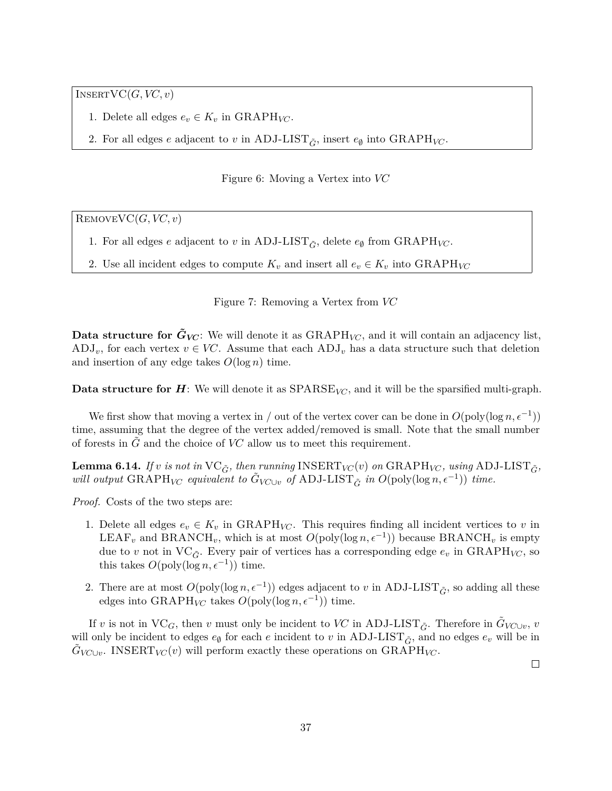InsertVC(*G, VC, v*)

- 1. Delete all edges  $e_v \in K_v$  in GRAPH<sub>*VC*</sub>.
- 2. For all edges  $e$  adjacent to  $v$  in ADJ-LIST<sub> $\tilde{G}$ </sub>, insert  $e_{\emptyset}$  into GRAPH<sub>VC</sub>.

Figure 6: Moving a Vertex into *VC*

RemoveVC(*G, VC, v*)

- 1. For all edges *e* adjacent to *v* in ADJ-LIST<sub> $\tilde{G}$ </sub>, delete  $e_{\emptyset}$  from GRAPH<sub>VC</sub>.
- 2. Use all incident edges to compute  $K_v$  and insert all  $e_v \in K_v$  into GRAPH<sub>VC</sub>

Figure 7: Removing a Vertex from *VC*

**Data structure for**  $\tilde{G}_{VC}$ **:** We will denote it as  $\text{GRAPH}_{VC}$ , and it will contain an adjacency list,  $\text{ADJ}_v$ , for each vertex  $v \in VC$ . Assume that each  $\text{ADJ}_v$  has a data structure such that deletion and insertion of any edge takes  $O(\log n)$  time.

**Data structure for** *H*: We will denote it as SPARSE<sub>*VC*</sub>, and it will be the sparsified multi-graph.

We first show that moving a vertex in / out of the vertex cover can be done in  $O(\text{poly}(\log n, \epsilon^{-1}))$ time, assuming that the degree of the vertex added/removed is small. Note that the small number of forests in *G*˜ and the choice of *VC* allow us to meet this requirement.

<span id="page-38-0"></span>**Lemma 6.14.** *If v is not in*  $VC_{\tilde{G}}$ *, then running* INSERT<sub>*VC*</sub>(*v*) *on* GRAPH<sub>*VC*</sub>*, using* ADJ-LIST<sub> $\tilde{G}$ </sub>*, will output*  $\text{GRAPH}_{VC}$  *equivalent to*  $\tilde{G}_{VC\cup v}$  *of* ADJ-LIST<sub> $\tilde{G}$ </sub> *in*  $O(\text{poly}(\log n, \epsilon^{-1}))$  *time.* 

*Proof.* Costs of the two steps are:

- 1. Delete all edges  $e_v \in K_v$  in GRAPH<sub>VC</sub>. This requires finding all incident vertices to v in LEAF<sub>*v*</sub> and BRANCH<sub>*v*</sub>, which is at most  $O(\text{poly}(\log n, \epsilon^{-1}))$  because BRANCH<sub>*v*</sub> is empty due to *v* not in  $VC_{\tilde{G}}$ . Every pair of vertices has a corresponding edge  $e_v$  in GRAPH<sub>VC</sub>, so this takes  $O(\text{poly}(\log n, \epsilon^{-1}))$  time.
- 2. There are at most  $O(poly(\log n, \epsilon^{-1}))$  edges adjacent to *v* in ADJ-LIST<sub> $\tilde{G}$ </sub>, so adding all these edges into  $\text{GRAPH}_{VC}$  takes  $O(\text{poly}(\log n, \epsilon^{-1}))$  time.

<span id="page-38-1"></span>If *v* is not in  $VC_G$ , then *v* must only be incident to *VC* in ADJ-LIST<sub> $\tilde{G}$ </sub>. Therefore in  $\tilde{G}_{VC\cup v}$ , *v* will only be incident to edges  $e_{\emptyset}$  for each  $e$  incident to  $v$  in ADJ-LIST<sub> $\tilde{G}$ </sub>, and no edges  $e_v$  will be in  $\tilde{G}_{V\!C\cup v}$ . INSERT<sub>*VC*</sub> $(v)$  will perform exactly these operations on GRAPH<sub>*VC*</sub>.

 $\Box$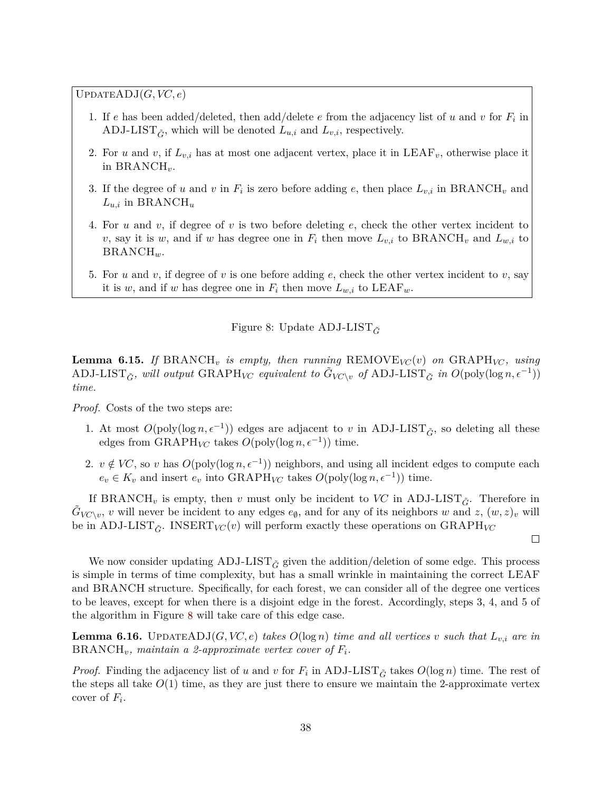$UPDATEADJ(G, VC, e)$ 

- 1. If *e* has been added/deleted, then add/delete *e* from the adjacency list of *u* and *v* for *F<sup>i</sup>* in ADJ-LIST<sub> $\tilde{G}$ </sub>, which will be denoted  $L_{u,i}$  and  $L_{v,i}$ , respectively.
- 2. For *u* and *v*, if  $L_{v,i}$  has at most one adjacent vertex, place it in LEAF<sub>*v*</sub>, otherwise place it in BRANCH*v*.
- 3. If the degree of *u* and *v* in  $F_i$  is zero before adding *e*, then place  $L_{v,i}$  in BRANCH<sub>*v*</sub> and *Lu,i* in BRANCH*<sup>u</sup>*
- 4. For *u* and *v*, if degree of *v* is two before deleting *e*, check the other vertex incident to *v*, say it is *w*, and if *w* has degree one in  $F_i$  then move  $L_{v,i}$  to BRANCH<sub>*v*</sub> and  $L_{w,i}$  to BRANCH*w*.
- 5. For *u* and *v*, if degree of *v* is one before adding *e*, check the other vertex incident to *v*, say it is *w*, and if *w* has degree one in  $F_i$  then move  $L_{w,i}$  to  $LEAF_w$ .

<span id="page-39-0"></span>Figure 8: Update ADJ-LIST<sub> $\tilde{G}$ </sub>

**Lemma 6.15.** *If* BRANCH<sub>*v*</sub> *is empty, then running* REMOVE<sub>*VC*</sub>(*v*) *on* GRAPH<sub>*VC</sub>*, *using*</sub> ADJ-LIST<sub> $\tilde{G}$ </sub>, will output GRAPH<sub>VC</sub> equivalent to  $\tilde{G}_{V\!C\setminus v}$  of ADJ-LIST<sub> $\tilde{G}$ </sub> in  $O(\text{poly}(\log n, \epsilon^{-1}))$ *time.*

*Proof.* Costs of the two steps are:

- 1. At most  $O(poly(\log n, \epsilon^{-1}))$  edges are adjacent to *v* in ADJ-LIST<sub> $\tilde{G}$ </sub>, so deleting all these edges from  $\text{GRAPH}_{VC}$  takes  $O(\text{poly}(\log n, \epsilon^{-1}))$  time.
- 2.  $v \notin VC$ , so *v* has  $O(poly(\log n, \epsilon^{-1}))$  neighbors, and using all incident edges to compute each  $e_v \in K_v$  and insert  $e_v$  into GRAPH<sub>*VC*</sub> takes  $O(\text{poly}(\log n, \epsilon^{-1}))$  time.

If BRANCH<sub>v</sub> is empty, then *v* must only be incident to *VC* in ADJ-LIST<sub> $\tilde{C}$ </sub>. Therefore in  $\tilde{G}_{V\!C\setminus v}$ , *v* will never be incident to any edges  $e_{\emptyset}$ , and for any of its neighbors *w* and *z*,  $(w, z)_v$  will be in ADJ-LIST<sub> $\tilde{G}$ </sub>. INSERT<sub>*VC*</sub> $(v)$  will perform exactly these operations on GRAPH<sub>*VC*</sub>

 $\Box$ 

We now consider updating  $ADJ-LIST_{\tilde{G}}$  given the addition/deletion of some edge. This process is simple in terms of time complexity, but has a small wrinkle in maintaining the correct LEAF and BRANCH structure. Specifically, for each forest, we can consider all of the degree one vertices to be leaves, except for when there is a disjoint edge in the forest. Accordingly, steps 3, 4, and 5 of the algorithm in Figure [8](#page-39-0) will take care of this edge case.

<span id="page-39-1"></span>**Lemma 6.16.** UPDATEADJ $(G, VC, e)$  *takes*  $O(log n)$  *time and all vertices v such that*  $L_{v,i}$  *are in*  $BRANCH<sub>v</sub>$ *, maintain a 2-approximate vertex cover of*  $F<sub>i</sub>$ *.* 

*Proof.* Finding the adjacency list of *u* and *v* for  $F_i$  in ADJ-LIST<sub> $\tilde{G}$ </sub> takes  $O(\log n)$  time. The rest of the steps all take  $O(1)$  time, as they are just there to ensure we maintain the 2-approximate vertex cover of *F<sup>i</sup>* .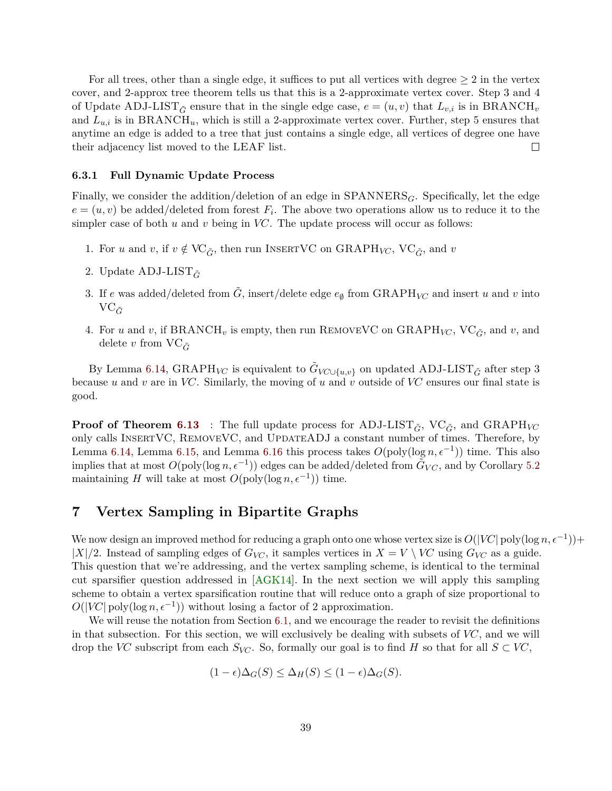<span id="page-40-1"></span>For all trees, other than a single edge, it suffices to put all vertices with degree  $\geq 2$  in the vertex cover, and 2-approx tree theorem tells us that this is a 2-approximate vertex cover. Step 3 and 4 of Update ADJ-LIST<sub> $\tilde{G}$ </sub> ensure that in the single edge case,  $e = (u, v)$  that  $L_{v,i}$  is in BRANCH<sub>*v*</sub> and  $L_{u,i}$  is in BRANCH<sub>u</sub>, which is still a 2-approximate vertex cover. Further, step 5 ensures that anytime an edge is added to a tree that just contains a single edge, all vertices of degree one have their adjacency list moved to the LEAF list.  $\Box$ 

#### **6.3.1 Full Dynamic Update Process**

Finally, we consider the addition/deletion of an edge in  $SPANNERS_G$ . Specifically, let the edge  $e = (u, v)$  be added/deleted from forest  $F_i$ . The above two operations allow us to reduce it to the simpler case of both *u* and *v* being in *VC*. The update process will occur as follows:

- 1. For *u* and *v*, if  $v \notin \text{VC}_{\tilde{G}}$ , then run INSERTVC on GRAPH<sub>*VC*</sub>, VC<sub> $\tilde{G}$ </sub>, and *v*
- 2. Update ADJ-LIST*G*˜
- 3. If *e* was added/deleted from  $\tilde{G}$ , insert/delete edge  $e_{\emptyset}$  from GRAPH<sub>VC</sub> and insert *u* and *v* into  $\mathrm{VC}_{\tilde{G}}$
- 4. For *u* and *v*, if BRANCH<sub>*v*</sub> is empty, then run REMOVEVC on GRAPH<sub>*VC*</sub>, VC<sub> $\tilde{G}$ </sub>, and *v*, and delete *v* from  $VC_{\tilde{G}}$

By Lemma [6.14,](#page-38-0)  $\text{GRAPH}_{V\!C}$  is equivalent to  $\tilde{G}_{V\!C\cup\{u,v\}}$  on updated ADJ-LIST $_{\tilde{G}}$  after step 3 because *u* and *v* are in *VC*. Similarly, the moving of *u* and *v* outside of *VC* ensures our final state is good.

**Proof of Theorem [6.13](#page-37-2)** : The full update process for ADJ-LIST<sub> $\tilde{G}$ </sub>, VC<sub> $\tilde{G}$ </sub>, and GRAPH<sub>VC</sub> only calls InsertVC, RemoveVC, and UpdateADJ a constant number of times. Therefore, by Lemma [6.14,](#page-38-0) Lemma [6.15,](#page-38-1) and Lemma [6.16](#page-39-1) this process takes  $O(\text{poly}(\log n, \epsilon^{-1}))$  time. This also implies that at most  $O(poly(\log n, \epsilon^{-1}))$  edges can be added/deleted from  $\tilde{G}_{VC}$ , and by Corollary [5.2](#page-24-2) maintaining *H* will take at most  $O(\text{poly}(\log n, \epsilon^{-1}))$  time.

# <span id="page-40-0"></span>**7 Vertex Sampling in Bipartite Graphs**

We now design an improved method for reducing a graph onto one whose vertex size is  $O(|VC| \text{poly}(\log n, \epsilon^{-1}))$ +  $|X|/2$ . Instead of sampling edges of  $G_{VC}$ , it samples vertices in  $X = V \setminus VC$  using  $G_{VC}$  as a guide. This question that we're addressing, and the vertex sampling scheme, is identical to the terminal cut sparsifier question addressed in [\[AGK14\]](#page-58-8). In the next section we will apply this sampling scheme to obtain a vertex sparsification routine that will reduce onto a graph of size proportional to  $O(|VC|$  poly(log  $n, \epsilon^{-1})$ ) without losing a factor of 2 approximation.

We will reuse the notation from Section [6.1,](#page-33-1) and we encourage the reader to revisit the definitions in that subsection. For this section, we will exclusively be dealing with subsets of *VC*, and we will drop the *VC* subscript from each  $S_{VC}$ . So, formally our goal is to find *H* so that for all  $S \subset VC$ ,

$$
(1 - \epsilon)\Delta_G(S) \le \Delta_H(S) \le (1 - \epsilon)\Delta_G(S).
$$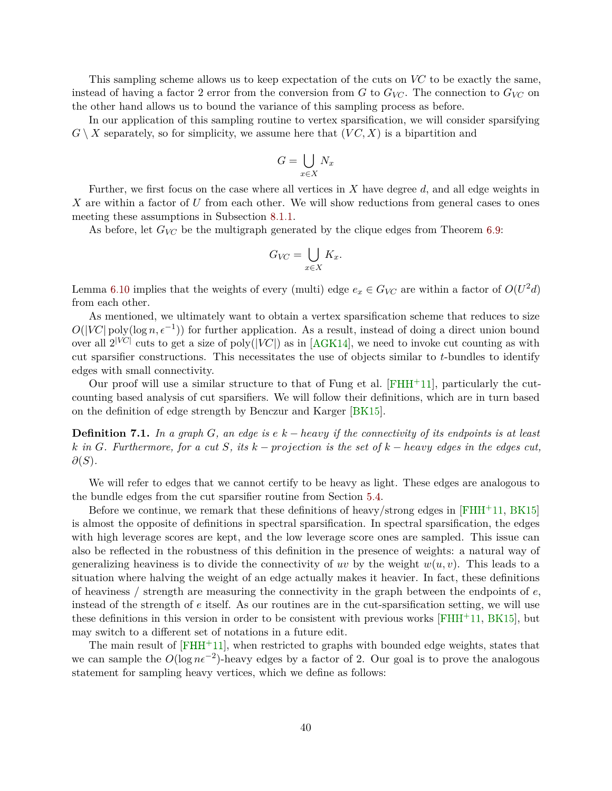<span id="page-41-0"></span>This sampling scheme allows us to keep expectation of the cuts on *VC* to be exactly the same, instead of having a factor 2 error from the conversion from *G* to  $G_{V\!C}$ . The connection to  $G_{V\!C}$  on the other hand allows us to bound the variance of this sampling process as before.

In our application of this sampling routine to vertex sparsification, we will consider sparsifying  $G \setminus X$  separately, so for simplicity, we assume here that  $(VC, X)$  is a bipartition and

$$
G = \bigcup_{x \in X} N_x
$$

Further, we first focus on the case where all vertices in *X* have degree *d*, and all edge weights in *X* are within a factor of *U* from each other. We will show reductions from general cases to ones meeting these assumptions in Subsection [8.1.1.](#page-47-0)

As before, let  $G_{V\!C}$  be the multigraph generated by the clique edges from Theorem [6.9:](#page-35-3)

$$
G_{V\!C} = \bigcup_{x \in X} K_x.
$$

Lemma [6.10](#page-35-2) implies that the weights of every (multi) edge  $e_x \in G_{VC}$  are within a factor of  $O(U^2d)$ from each other.

As mentioned, we ultimately want to obtain a vertex sparsification scheme that reduces to size  $O(|V\tilde{C}| \text{poly}(\log n, \epsilon^{-1}))$  for further application. As a result, instead of doing a direct union bound over all  $2^{|VC|}$  cuts to get a size of poly( $|VC|$ ) as in [\[AGK14\]](#page-58-8), we need to invoke cut counting as with cut sparsifier constructions. This necessitates the use of objects similar to *t*-bundles to identify edges with small connectivity.

Our proof will use a similar structure to that of Fung et al.  $[FHH^+11]$  $[FHH^+11]$ , particularly the cutcounting based analysis of cut sparsifiers. We will follow their definitions, which are in turn based on the definition of edge strength by Benczur and Karger [\[BK15\]](#page-58-7).

**Definition 7.1.** *In a graph G, an edge is e k* − *heavy if the connectivity of its endpoints is at least k in G. Furthermore, for a cut S, its k* − *projection is the set of k* − *heavy edges in the edges cut, ∂*(*S*)*.*

We will refer to edges that we cannot certify to be heavy as light. These edges are analogous to the bundle edges from the cut sparsifier routine from Section [5.4.](#page-28-0)

Before we continue, we remark that these definitions of heavy/strong edges in  $[FHH<sup>+</sup>11, BK15]$  $[FHH<sup>+</sup>11, BK15]$  $[FHH<sup>+</sup>11, BK15]$ is almost the opposite of definitions in spectral sparsification. In spectral sparsification, the edges with high leverage scores are kept, and the low leverage score ones are sampled. This issue can also be reflected in the robustness of this definition in the presence of weights: a natural way of generalizing heaviness is to divide the connectivity of *uv* by the weight  $w(u, v)$ . This leads to a situation where halving the weight of an edge actually makes it heavier. In fact, these definitions of heaviness / strength are measuring the connectivity in the graph between the endpoints of *e*, instead of the strength of *e* itself. As our routines are in the cut-sparsification setting, we will use these definitions in this version in order to be consistent with previous works  $[FHH^+11, BK15]$  $[FHH^+11, BK15]$  $[FHH^+11, BK15]$ , but may switch to a different set of notations in a future edit.

The main result of  $[FHH^+11]$  $[FHH^+11]$ , when restricted to graphs with bounded edge weights, states that we can sample the  $O(\log n\epsilon^{-2})$ -heavy edges by a factor of 2. Our goal is to prove the analogous statement for sampling heavy vertices, which we define as follows: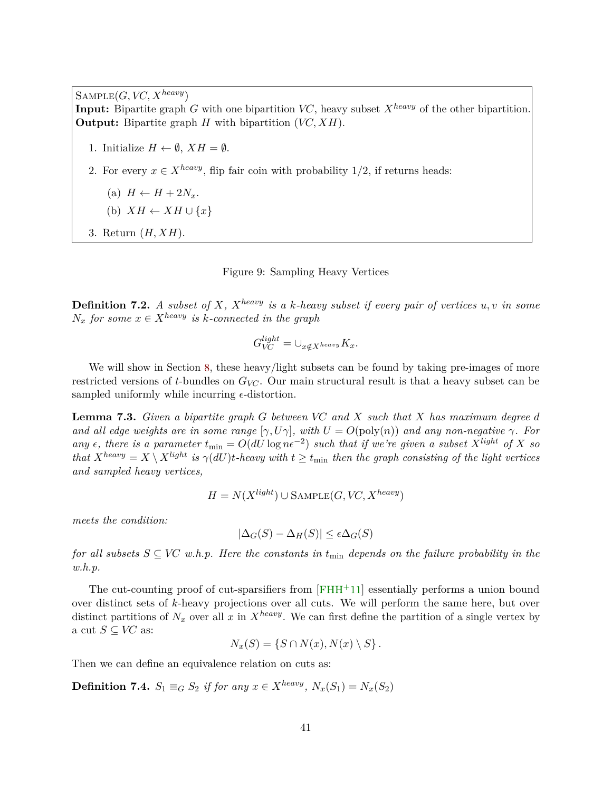<span id="page-42-1"></span> $S$ AMPLE $(G, VC, X^{heavy})$ 

**Input:** Bipartite graph *G* with one bipartition *VC*, heavy subset  $X^{heavy}$  of the other bipartition. **Output:** Bipartite graph *H* with bipartition (*VC, XH*).

1. Initialize  $H \leftarrow \emptyset$ ,  $XH = \emptyset$ .

- 2. For every  $x \in X^{heavy}$ , flip fair coin with probability 1/2, if returns heads:
	- (a)  $H \leftarrow H + 2N_x$ .
	- (b)  $XH \leftarrow XH \cup \{x\}$
- 3. Return (*H, XH*).

#### Figure 9: Sampling Heavy Vertices

**Definition 7.2.** *A subset of X,*  $X^{heavy}$  *is a k-heavy subset if every pair of vertices*  $u, v$  *in some*  $N_x$  *for some*  $x \in X^{heavy}$  *is k-connected in the graph* 

$$
G_{V\!C}^{light} = \cup_{x \notin X^{heavy}} K_x.
$$

We will show in Section [8,](#page-46-0) these heavy/light subsets can be found by taking pre-images of more restricted versions of *t*-bundles on *GVC*. Our main structural result is that a heavy subset can be sampled uniformly while incurring  $\epsilon$ -distortion.

<span id="page-42-0"></span>**Lemma 7.3.** *Given a bipartite graph G between VC and X such that X has maximum degree d and all edge weights are in some range*  $[\gamma, U\gamma]$ *, with*  $U = O(\text{poly}(n))$  *and any non-negative*  $\gamma$ *. For*  $any \epsilon$ , there is a parameter  $t_{\min} = O(dU \log n\epsilon^{-2})$  such that if we're given a subset  $X^{light}$  of X so *that*  $X^{heavy} = X \setminus X^{light}$  *is*  $\gamma(dU)t$ *-heavy with*  $t \geq t_{\min}$  *then the graph consisting of the light vertices and sampled heavy vertices,*

$$
H = N(X^{light}) \cup \text{SAMPLE}(G, VC, X^{heavy})
$$

*meets the condition:*

$$
|\Delta_G(S) - \Delta_H(S)| \le \epsilon \Delta_G(S)
$$

*for all subsets*  $S \subseteq VC$  *w.h.p.* Here the constants in  $t_{\min}$  depends on the failure probability in the *w.h.p.*

The cut-counting proof of cut-sparsifiers from  $[FHH+11]$  $[FHH+11]$  essentially performs a union bound over distinct sets of *k*-heavy projections over all cuts. We will perform the same here, but over distinct partitions of  $N_x$  over all x in  $X^{heavy}$ . We can first define the partition of a single vertex by a cut  $S \subseteq V\!C$  as:

$$
N_x(S) = \{ S \cap N(x), N(x) \setminus S \}.
$$

Then we can define an equivalence relation on cuts as:

**Definition 7.4.**  $S_1 \equiv_G S_2$  if for any  $x \in X^{heavy}$ ,  $N_x(S_1) = N_x(S_2)$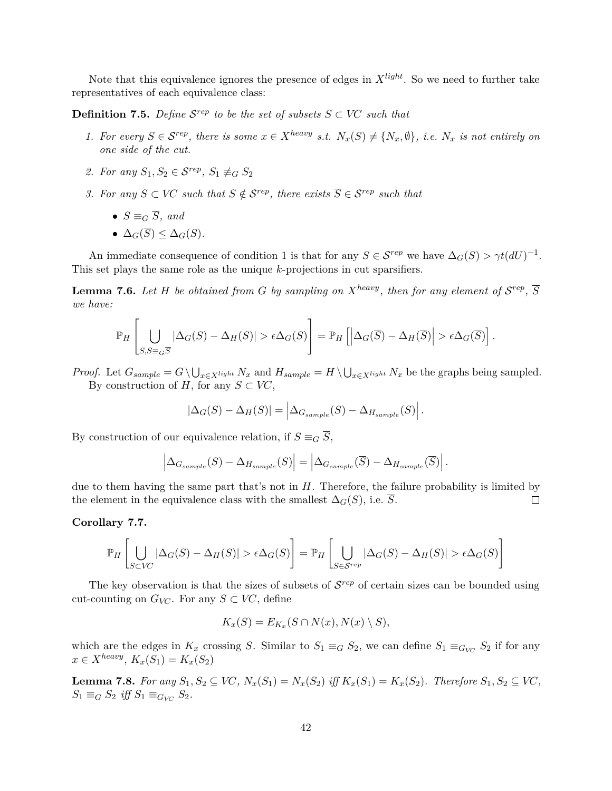Note that this equivalence ignores the presence of edges in *Xlight*. So we need to further take representatives of each equivalence class:

**Definition 7.5.** Define  $\mathcal{S}^{rep}$  to be the set of subsets  $S \subset V\mathbb{C}$  such that

- 1. For every  $S \in \mathcal{S}^{rep}$ , there is some  $x \in X^{heavy}$  s.t.  $N_x(S) \neq \{N_x, \emptyset\}$ , i.e.  $N_x$  is not entirely on *one side of the cut.*
- 2. For any  $S_1, S_2 \in \mathcal{S}^{rep}, S_1 \not\equiv_G S_2$
- *3. For any*  $S \subset V\mathbb{C}$  *such that*  $S \notin \mathcal{S}^{rep}$ *, there exists*  $\overline{S} \in \mathcal{S}^{rep}$  *such that* 
	- $S \equiv_G \overline{S}$ *, and*
	- $\bullet$   $\Delta_G(\overline{S}) \leq \Delta_G(S)$ .

An immediate consequence of condition 1 is that for any  $S \in \mathcal{S}^{rep}$  we have  $\Delta_G(S) > \gamma t (dU)^{-1}$ . This set plays the same role as the unique *k*-projections in cut sparsifiers.

**Lemma 7.6.** Let H be obtained from G by sampling on  $X^{heavy}$ , then for any element of  $S^{rep}$ ,  $\overline{S}$ *we have:*

$$
\mathbb{P}_H\left[\bigcup_{S,S\equiv_G\overline{S}}|\Delta_G(S)-\Delta_H(S)|>\epsilon\Delta_G(S)\right]=\mathbb{P}_H\left[\left|\Delta_G(\overline{S})-\Delta_H(\overline{S})\right|>\epsilon\Delta_G(\overline{S})\right].
$$

*Proof.* Let  $G_{sample} = G \setminus \bigcup_{x \in X^{light}} N_x$  and  $H_{sample} = H \setminus \bigcup_{x \in X^{light}} N_x$  be the graphs being sampled. By construction of *H*, for any  $S \subset V\mathbb{C}$ ,

$$
|\Delta_G(S) - \Delta_H(S)| = \left| \Delta_{G_{sample}}(S) - \Delta_{H_{sample}}(S) \right|.
$$

By construction of our equivalence relation, if  $S \equiv_G \overline{S}$ ,

$$
\left|\Delta_{G_{sample}}(S) - \Delta_{H_{sample}}(S)\right| = \left|\Delta_{G_{sample}}(\overline{S}) - \Delta_{H_{sample}}(\overline{S})\right|.
$$

due to them having the same part that's not in *H*. Therefore, the failure probability is limited by the element in the equivalence class with the smallest  $\Delta_G(S)$ , i.e.  $\overline{S}$ .  $\Box$ 

#### **Corollary 7.7.**

$$
\mathbb{P}_H\left[\bigcup_{S\subset VC}|\Delta_G(S)-\Delta_H(S)|>\epsilon\Delta_G(S)\right]=\mathbb{P}_H\left[\bigcup_{S\in\mathcal{S}^{rep}}|\Delta_G(S)-\Delta_H(S)|>\epsilon\Delta_G(S)\right]
$$

The key observation is that the sizes of subsets of  $\mathcal{S}^{rep}$  of certain sizes can be bounded using cut-counting on  $G_{VC}$ . For any  $S \subset VC$ , define

$$
K_x(S) = E_{K_x}(S \cap N(x), N(x) \setminus S),
$$

which are the edges in  $K_x$  crossing *S*. Similar to  $S_1 \equiv_G S_2$ , we can define  $S_1 \equiv_{G_{VC}} S_2$  if for any *x* ∈ *X*<sup>*heavy*</sup>, *K<sub>x</sub>*(*S*<sub>1</sub>) = *K<sub>x</sub>*(*S*<sub>2</sub>)

<span id="page-43-0"></span>**Lemma 7.8.** For any  $S_1, S_2 \subseteq V\mathbb{C}$ ,  $N_x(S_1) = N_x(S_2)$  iff  $K_x(S_1) = K_x(S_2)$ . Therefore  $S_1, S_2 \subseteq V\mathbb{C}$ ,  $S_1 \equiv_G S_2$  *iff*  $S_1 \equiv_{G_{VC}} S_2$ .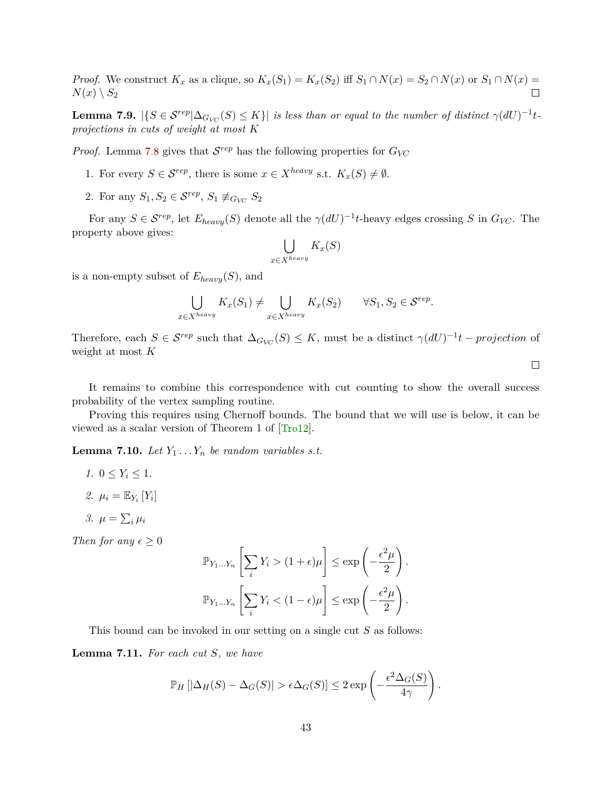<span id="page-44-1"></span>*Proof.* We construct  $K_x$  as a clique, so  $K_x(S_1) = K_x(S_2)$  iff  $S_1 \cap N(x) = S_2 \cap N(x)$  or  $S_1 \cap N(x) = S_2$  $N(x) \setminus S_2$  $\Box$ 

**Lemma 7.9.**  $|\{S \in \mathcal{S}^{rep} | \Delta_{G_{VC}}(S) \leq K\}|$  is less than or equal to the number of distinct  $\gamma(dU)^{-1}t$ *projections in cuts of weight at most K*

*Proof.* Lemma [7.8](#page-43-0) gives that  $S^{rep}$  has the following properties for  $G_{VC}$ 

- 1. For every  $S \in \mathcal{S}^{rep}$ , there is some  $x \in X^{heavy}$  s.t.  $K_x(S) \neq \emptyset$ .
- 2. For any  $S_1, S_2 \in \mathcal{S}^{rep}, S_1 \not\equiv_{G_{VC}} S_2$

For any  $S \in \mathcal{S}^{rep}$ , let  $E_{heavy}(S)$  denote all the  $\gamma(dU)^{-1}t$ -heavy edges crossing *S* in  $G_{VC}$ . The property above gives:

$$
\bigcup_{x \in X^{heavy}} K_x(S)
$$

is a non-empty subset of *Eheavy*(*S*), and

$$
\bigcup_{x \in X^{heavy}} K_x(S_1) \neq \bigcup_{x \in X^{heavy}} K_x(S_2) \qquad \forall S_1, S_2 \in \mathcal{S}^{rep}.
$$

Therefore, each  $S \in \mathcal{S}^{rep}$  such that  $\Delta_{G_{VC}}(S) \leq K$ , must be a distinct  $\gamma(dU)^{-1}t$  – *projection* of weight at most *K*

It remains to combine this correspondence with cut counting to show the overall success probability of the vertex sampling routine.

Proving this requires using Chernoff bounds. The bound that we will use is below, it can be viewed as a scalar version of Theorem 1 of [\[Tro12\]](#page-62-4).

<span id="page-44-0"></span>**Lemma 7.10.** *Let*  $Y_1 \ldots Y_n$  *be random variables s.t.* 

- *1.*  $0 \le Y_i \le 1$ *.*
- 2.  $\mu_i = \mathbb{E}_{Y_i} [Y_i]$
- 3.  $\mu = \sum_i \mu_i$

*Then for any*  $\epsilon \geq 0$ 

$$
\mathbb{P}_{Y_1...Y_n} \left[ \sum_i Y_i > (1 + \epsilon) \mu \right] \le \exp\left( -\frac{\epsilon^2 \mu}{2} \right).
$$

$$
\mathbb{P}_{Y_1...Y_n} \left[ \sum_i Y_i < (1 - \epsilon) \mu \right] \le \exp\left( -\frac{\epsilon^2 \mu}{2} \right).
$$

This bound can be invoked in our setting on a single cut *S* as follows:

**Lemma 7.11.** *For each cut S, we have*

$$
\mathbb{P}_H\left[|\Delta_H(S) - \Delta_G(S)| > \epsilon \Delta_G(S)\right] \leq 2 \exp\left(-\frac{\epsilon^2 \Delta_G(S)}{4\gamma}\right).
$$

 $\Box$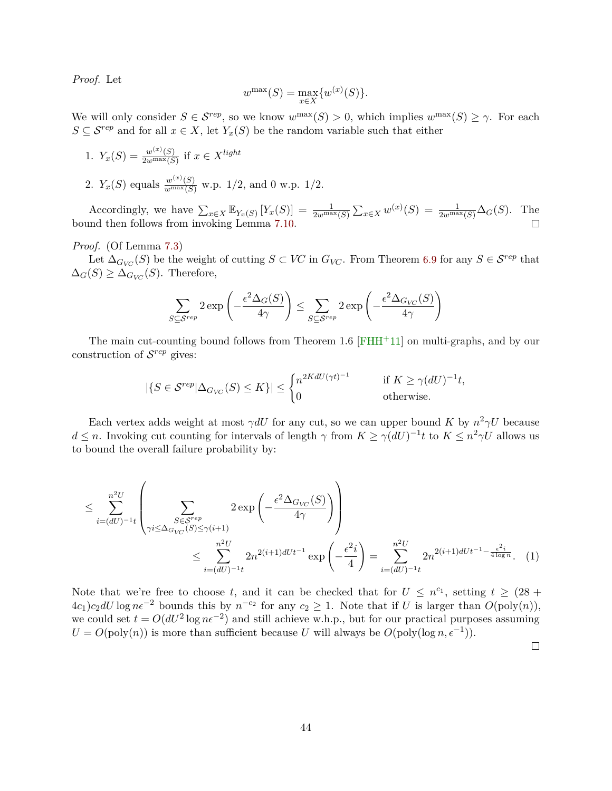<span id="page-45-0"></span>*Proof.* Let

$$
w^{\max}(S) = \max_{x \in X} \{w^{(x)}(S)\}.
$$

We will only consider  $S \in \mathcal{S}^{rep}$ , so we know  $w^{\max}(S) > 0$ , which implies  $w^{\max}(S) \geq \gamma$ . For each *S* ⊆  $S^{rep}$  and for all  $x \in X$ , let  $Y_x(S)$  be the random variable such that either

1. 
$$
Y_x(S) = \frac{w^{(x)}(S)}{2w^{\max}(S)}
$$
 if  $x \in X^{light}$   
2.  $Y_x(S)$  equals  $\frac{w^{(x)}(S)}{w^{\max}(S)}$  w.p. 1/2, and 0 w.p. 1/2.

Accordingly, we have  $\sum_{x\in X} \mathbb{E}_{Y_x(S)} [Y_x(S)] = \frac{1}{2w^{\max}(S)} \sum_{x\in X} w^{(x)}(S) = \frac{1}{2w^{\max}(S)} \Delta_G(S)$ . The bound then follows from invoking Lemma [7.10.](#page-44-0)

*Proof.* (Of Lemma [7.3\)](#page-42-0)

Let  $\Delta_{G_{VC}}(S)$  be the weight of cutting  $S \subset VC$  in  $G_{VC}$ . From Theorem [6.9](#page-35-3) for any  $S \in \mathcal{S}^{rep}$  that  $\Delta_G(S) \geq \Delta_{G_{VC}}(S)$ . Therefore,

$$
\sum_{S \subseteq \mathcal{S}^{rep}} 2 \exp \left(-\frac{\epsilon^2 \Delta_G(S)}{4\gamma}\right) \le \sum_{S \subseteq \mathcal{S}^{rep}} 2 \exp \left(-\frac{\epsilon^2 \Delta_{G_{VC}}(S)}{4\gamma}\right)
$$

The main cut-counting bound follows from Theorem 1.6  $[FHH<sup>+</sup>11]$  $[FHH<sup>+</sup>11]$  on multi-graphs, and by our construction of S *rep* gives:

$$
|\{S \in \mathcal{S}^{rep} | \Delta_{G_{VC}}(S) \le K\}| \le \begin{cases} n^{2KdU(\gamma t)^{-1}} & \text{if } K \ge \gamma (dU)^{-1}t, \\ 0 & \text{otherwise.} \end{cases}
$$

Each vertex adds weight at most  $\gamma dU$  for any cut, so we can upper bound *K* by  $n^2 \gamma U$  because  $d \leq n$ . Invoking cut counting for intervals of length  $\gamma$  from  $K \geq \gamma (dU)^{-1}t$  to  $K \leq n^2 \gamma U$  allows us to bound the overall failure probability by:

$$
\leq \sum_{i=(dU)^{-1}t}^{n^2U} \left( \sum_{\substack{S \in \mathcal{S}^{rep} \\ \gamma i \leq \Delta_{G_{VC}}(S) \leq \gamma(i+1)}} 2 \exp\left(-\frac{\epsilon^2 \Delta_{G_{VC}}(S)}{4\gamma}\right) \right) \n\leq \sum_{i=(dU)^{-1}t}^{n^2U} 2n^{2(i+1)dUt^{-1}} \exp\left(-\frac{\epsilon^2 i}{4}\right) = \sum_{i=(dU)^{-1}t}^{n^2U} 2n^{2(i+1)dUt^{-1} - \frac{\epsilon^2 i}{4\log n}}.
$$
 (1)

Note that we're free to choose *t*, and it can be checked that for  $U \leq n^{c_1}$ , setting  $t \geq (28 +$  $4c_1$ ) $c_2$ dU log  $n\epsilon^{-2}$  bounds this by  $n^{-c_2}$  for any  $c_2 \geq 1$ . Note that if U is larger than  $O(poly(n)),$ we could set  $t = O(dU^2 \log n\epsilon^{-2})$  and still achieve w.h.p., but for our practical purposes assuming  $U = O(poly(n))$  is more than sufficient because *U* will always be  $O(poly(\log n, \epsilon^{-1}))$ .

 $\Box$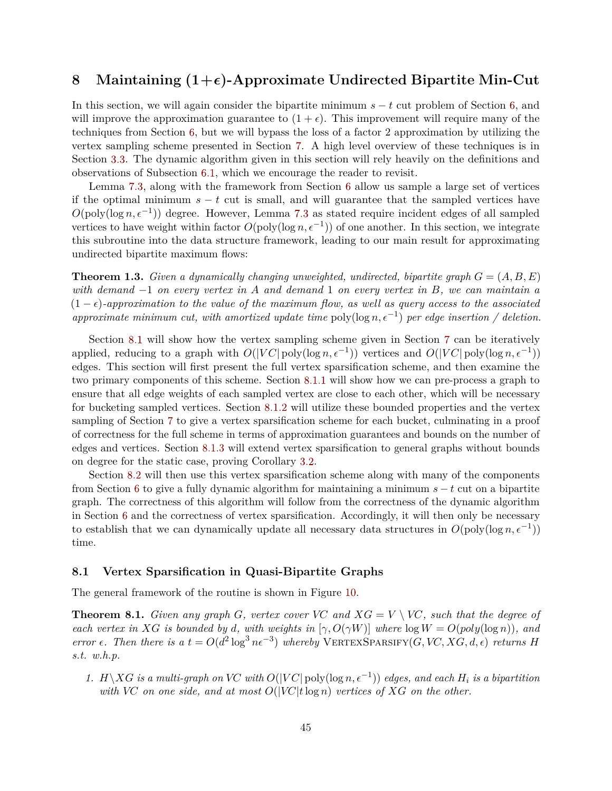# <span id="page-46-0"></span>**8** Maintaining  $(1+\epsilon)$ -Approximate Undirected Bipartite Min-Cut

In this section, we will again consider the bipartite minimum *s* − *t* cut problem of Section [6,](#page-33-0) and will improve the approximation guarantee to  $(1 + \epsilon)$ . This improvement will require many of the techniques from Section [6,](#page-33-0) but we will bypass the loss of a factor 2 approximation by utilizing the vertex sampling scheme presented in Section [7.](#page-40-0) A high level overview of these techniques is in Section [3.3.](#page-9-0) The dynamic algorithm given in this section will rely heavily on the definitions and observations of Subsection [6.1,](#page-33-1) which we encourage the reader to revisit.

Lemma [7.3,](#page-42-0) along with the framework from Section [6](#page-33-0) allow us sample a large set of vertices if the optimal minimum  $s - t$  cut is small, and will guarantee that the sampled vertices have  $O(poly(\log n, \epsilon^{-1}))$  degree. However, Lemma [7.3](#page-42-0) as stated require incident edges of all sampled vertices to have weight within factor  $O(\text{poly}(\log n, \epsilon^{-1}))$  of one another. In this section, we integrate this subroutine into the data structure framework, leading to our main result for approximating undirected bipartite maximum flows:

**Theorem 1.3.** *Given a dynamically changing unweighted, undirected, bipartite graph G* = (*A, B, E*) *with demand* −1 *on every vertex in A and demand* 1 *on every vertex in B, we can maintain a*  $(1 - \epsilon)$ -approximation to the value of the maximum flow, as well as query access to the associated *approximate minimum cut, with amortized update time* poly(log  $n, \epsilon^{-1}$ ) *per edge insertion* / deletion.

Section [8.1](#page-46-1) will show how the vertex sampling scheme given in Section [7](#page-40-0) can be iteratively applied, reducing to a graph with  $O(|VC| \text{poly}(\log n, \epsilon^{-1}))$  vertices and  $O(|VC| \text{poly}(\log n, \epsilon^{-1}))$ edges. This section will first present the full vertex sparsification scheme, and then examine the two primary components of this scheme. Section [8.1.1](#page-47-0) will show how we can pre-process a graph to ensure that all edge weights of each sampled vertex are close to each other, which will be necessary for bucketing sampled vertices. Section [8.1.2](#page-48-0) will utilize these bounded properties and the vertex sampling of Section [7](#page-40-0) to give a vertex sparsification scheme for each bucket, culminating in a proof of correctness for the full scheme in terms of approximation guarantees and bounds on the number of edges and vertices. Section [8.1.3](#page-51-0) will extend vertex sparsification to general graphs without bounds on degree for the static case, proving Corollary [3.2.](#page-11-1)

Section [8.2](#page-52-0) will then use this vertex sparsification scheme along with many of the components from Section [6](#page-33-0) to give a fully dynamic algorithm for maintaining a minimum *s* − *t* cut on a bipartite graph. The correctness of this algorithm will follow from the correctness of the dynamic algorithm in Section [6](#page-33-0) and the correctness of vertex sparsification. Accordingly, it will then only be necessary to establish that we can dynamically update all necessary data structures in  $O(poly(\log n, \epsilon^{-1}))$ time.

#### <span id="page-46-1"></span>**8.1 Vertex Sparsification in Quasi-Bipartite Graphs**

The general framework of the routine is shown in Figure [10.](#page-47-1)

<span id="page-46-2"></span>**Theorem 8.1.** *Given any graph G, vertex cover VC and*  $XG = V \setminus VC$ *, such that the degree of each vertex in XG is bounded by d, with weights in* [ $\gamma$ ,  $O(\gamma W)$ ] *where*  $\log W = O(\text{poly}(\log n))$ *, and error*  $\epsilon$ . Then there is a  $t = O(d^2 \log^3 n \epsilon^{-3})$  whereby VERTEXSPARSIFY(*G, VC, XG, d,*  $\epsilon$ *) returns H s.t. w.h.p.*

*1. H* \*XG is a multi-graph on VC with*  $O(|VC|$  poly(log *n,*  $\epsilon^{-1}$ )) *edges, and each H<sub>i</sub> is a bipartition with VC on one side, and at most O*(|*VC*|*t*log *n*) *vertices of XG on the other.*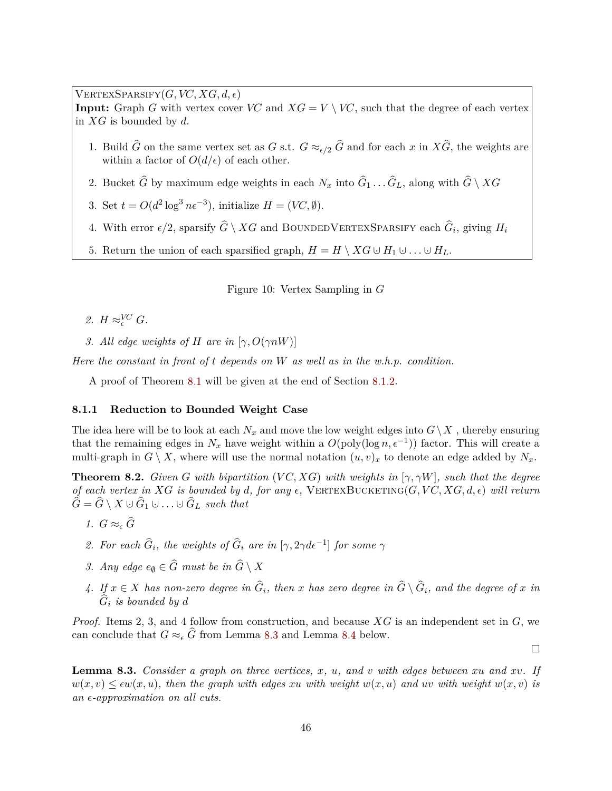$V \text{ERTEXSPARSIFY}(G, VC, XG, d, \epsilon)$ 

**Input:** Graph *G* with vertex cover *VC* and  $XG = V \setminus VC$ , such that the degree of each vertex in *XG* is bounded by *d*.

- 1. Build  $\hat{G}$  on the same vertex set as *G* s.t.  $G \approx_{\epsilon/2} \hat{G}$  and for each *x* in  $X\hat{G}$ , the weights are within a factor of  $O(d/\epsilon)$  of each other.
- 2. Bucket *G* by maximum edge weights in each  $N_x$  into  $G_1 \ldots G_L$ , along with  $G \setminus XG$
- 3. Set  $t = O(d^2 \log^3 n \epsilon^{-3})$ , initialize  $H = (V\mathcal{C}, \emptyset)$ .
- 4. With error  $\epsilon/2$ , sparsify  $\widehat{G} \setminus XG$  and BOUNDEDVERTEXSPARSIFY each  $\widehat{G}_i$ , giving  $H_i$
- 5. Return the union of each sparsified graph,  $H = H \setminus XG \cup H_1 \cup \ldots \cup H_L$ .

<span id="page-47-1"></span>Figure 10: Vertex Sampling in *G*

- 2.  $H \approx_{\epsilon}^{VC} G$ .
- *3. All edge weights of H* are in  $[\gamma, O(\gamma nW)]$

*Here the constant in front of t depends on W as well as in the w.h.p. condition.*

A proof of Theorem [8.1](#page-46-2) will be given at the end of Section [8.1.2.](#page-48-0)

#### <span id="page-47-0"></span>**8.1.1 Reduction to Bounded Weight Case**

The idea here will be to look at each  $N_x$  and move the low weight edges into  $G\setminus X$ , thereby ensuring that the remaining edges in  $N_x$  have weight within a  $O(poly(\log n, \epsilon^{-1}))$  factor. This will create a multi-graph in  $G \setminus X$ , where will use the normal notation  $(u, v)_x$  to denote an edge added by  $N_x$ .

<span id="page-47-3"></span>**Theorem 8.2.** *Given G with bipartition* (*VC, XG*) *with weights in* [ $\gamma$ ,  $\gamma$ *W*], *such that the degree of each vertex in*  $XG$  *is bounded by d, for any*  $\epsilon$ , VERTEXBUCKETING( $G$ ,  $VC$ ,  $XG$ ,  $d$ ,  $\epsilon$ ) will return  $G = G \setminus X \cup G_1 \cup \ldots \cup G_L$  *such that* 

- *1.*  $G ≈ ∈ G$
- 2. For each  $\hat{G}_i$ , the weights of  $\hat{G}_i$  are in  $[\gamma, 2\gamma d\epsilon^{-1}]$  for some  $\gamma$
- *3. Any edge*  $e_{\emptyset} \in \widehat{G}$  *must be in*  $\widehat{G} \setminus X$
- *4.* If  $x \in X$  has non-zero degree in  $G_i$ , then  $x$  has zero degree in  $G \setminus G_i$ , and the degree of  $x$  in  $G_i$  *is bounded by d*

*Proof.* Items 2, 3, and 4 follow from construction, and because *XG* is an independent set in *G*, we can conclude that  $G \approx_{\epsilon} \widehat{G}$  from Lemma [8.3](#page-47-2) and Lemma [8.4](#page-48-1) below.

 $\Box$ 

<span id="page-47-2"></span>**Lemma 8.3.** *Consider a graph on three vertices, x, u, and v with edges between xu and xv. If*  $w(x, v) \leq \epsilon w(x, u)$ , then the graph with edges *xu* with weight  $w(x, u)$  and *uv* with weight  $w(x, v)$  is *an -approximation on all cuts.*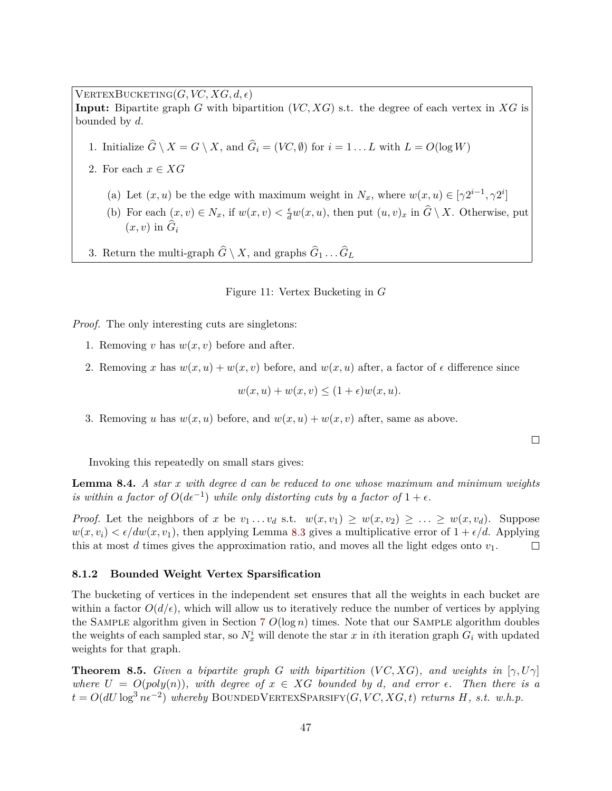$V \text{ERTEXBUCKETING}(G, VC, XG, d, \epsilon)$ **Input:** Bipartite graph *G* with bipartition (*VC, XG*) s.t. the degree of each vertex in *XG* is bounded by *d*.

- 1. Initialize  $G \setminus X = G \setminus X$ , and  $G_i = (VC, \emptyset)$  for  $i = 1 \dots L$  with  $L = O(\log W)$
- 2. For each  $x \in XG$ 
	- (a) Let  $(x, u)$  be the edge with maximum weight in  $N_x$ , where  $w(x, u) \in [\gamma 2^{i-1}, \gamma 2^i]$
	- (b) For each  $(x, v) \in N_x$ , if  $w(x, v) < \frac{\epsilon}{d}w(x, u)$ , then put  $(u, v)_x$  in  $\widehat{G} \setminus X$ . Otherwise, put  $(x, v)$  in  $G_i$
- 3. Return the multi-graph  $G \setminus X$ , and graphs  $G_1 \ldots G_L$

Figure 11: Vertex Bucketing in *G*

*Proof.* The only interesting cuts are singletons:

- 1. Removing *v* has  $w(x, v)$  before and after.
- 2. Removing *x* has  $w(x, u) + w(x, v)$  before, and  $w(x, u)$  after, a factor of  $\epsilon$  difference since

$$
w(x, u) + w(x, v) \le (1 + \epsilon)w(x, u).
$$

3. Removing *u* has  $w(x, u)$  before, and  $w(x, u) + w(x, v)$  after, same as above.

 $\Box$ 

Invoking this repeatedly on small stars gives:

<span id="page-48-1"></span>**Lemma 8.4.** *A star x with degree d can be reduced to one whose maximum and minimum weights is within a factor of*  $O(d\epsilon^{-1})$  *while only distorting cuts by a factor of*  $1 + \epsilon$ .

*Proof.* Let the neighbors of *x* be  $v_1 \ldots v_d$  s.t.  $w(x, v_1) \geq w(x, v_2) \geq \ldots \geq w(x, v_d)$ . Suppose  $w(x, v_i) < \epsilon/dw(x, v_1)$ , then applying Lemma [8.3](#page-47-2) gives a multiplicative error of  $1 + \epsilon/d$ . Applying this at most *d* times gives the approximation ratio, and moves all the light edges onto *v*1.  $\Box$ 

#### <span id="page-48-0"></span>**8.1.2 Bounded Weight Vertex Sparsification**

The bucketing of vertices in the independent set ensures that all the weights in each bucket are within a factor  $O(d/\epsilon)$ , which will allow us to iteratively reduce the number of vertices by applying the SAMPLE algorithm given in Section [7](#page-40-0)  $O(\log n)$  times. Note that our SAMPLE algorithm doubles the weights of each sampled star, so  $N_x^i$  will denote the star *x* in *i*th iteration graph  $G_i$  with updated weights for that graph.

<span id="page-48-2"></span>**Theorem 8.5.** *Given a bipartite graph G with bipartition* (*VC,XG*)*, and weights in* [ $\gamma$ ,*U* $\gamma$ ] *where*  $U = O(poly(n))$ *, with degree of*  $x \in XG$  *bounded by d, and error*  $\epsilon$ *. Then there is a*  $t = O(dU \log^3 n \epsilon^{-2})$  *whereby* BOUNDEDVERTEXSPARSIFY(*G, VC, XG, t*) *returns H, s.t. w.h.p.*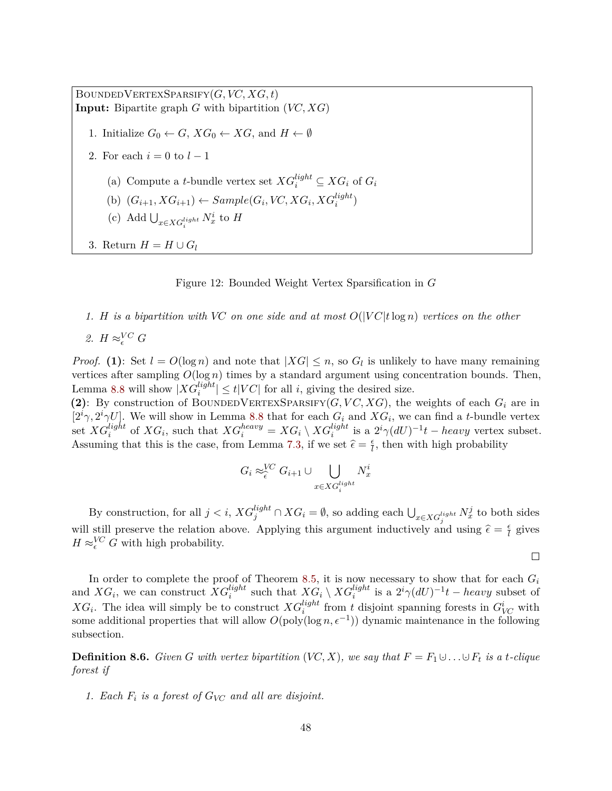BoundedVertexSparsify(*G, VC, XG, t*) **Input:** Bipartite graph *G* with bipartition (*VC, XG*) 1. Initialize  $G_0 \leftarrow G$ ,  $XG_0 \leftarrow XG$ , and  $H \leftarrow \emptyset$ 2. For each  $i = 0$  to  $l - 1$ (a) Compute a *t*-bundle vertex set  $XG_i^{light} \subseteq XG_i$  of  $G_i$ (b)  $(G_{i+1}, XG_{i+1}) \leftarrow Sample(G_i, VC, XG_i, XG_i^{light})$ (c) Add  $\bigcup_{x \in XG_i^{light}} N_x^i$  to *H* 3. Return  $H = H \cup G_l$ 

Figure 12: Bounded Weight Vertex Sparsification in *G*

#### *1. H* is a bipartition with VC on one side and at most  $O(|VC|t \log n)$  vertices on the other

2. 
$$
H \approx_{\epsilon}^{VC} G
$$

*Proof.* (1): Set  $l = O(\log n)$  and note that  $|XG| \leq n$ , so  $G_l$  is unlikely to have many remaining vertices after sampling  $O(\log n)$  times by a standard argument using concentration bounds. Then, Lemma [8.8](#page-50-0) will show  $|XG_i^{light}| \le t|VC|$  for all *i*, giving the desired size.

(2): By construction of BOUNDEDVERTEXSPARSIFY( $G, VC, XG$ ), the weights of each  $G_i$  are in  $[2^i\gamma, 2^i\gamma U]$ . We will show in Lemma [8.8](#page-50-0) that for each  $G_i$  and  $XG_i$ , we can find a *t*-bundle vertex set  $XG_i^{light}$  of  $XG_i$ , such that  $XG_i^{heavy} = XG_i \setminus XG_i^{light}$  is a  $2^i \gamma (dU)^{-1}t - heavy$  vertex subset. Assuming that this is the case, from Lemma [7.3,](#page-42-0) if we set  $\hat{\epsilon} = \frac{\epsilon}{l}$  $\frac{\epsilon}{l}$ , then with high probability

$$
G_i \approx_{\epsilon}^{VC} G_{i+1} \cup \bigcup_{x \in XG_i^{light}} N_x^i
$$

By construction, for all  $j < i$ ,  $XG_j^{light} \cap XG_i = \emptyset$ , so adding each  $\bigcup_{x \in XG_j^{light}} N_x^j$  to both sides will still preserve the relation above. Applying this argument inductively and using  $\hat{\epsilon} = \frac{\epsilon}{l}$  $\frac{\epsilon}{l}$  gives  $H \approx_{\epsilon}^{VC} G$  with high probability.

 $\Box$ 

In order to complete the proof of Theorem [8.5,](#page-48-2) it is now necessary to show that for each  $G_i$ and  $XG_i$ , we can construct  $XG_i^{light}$  such that  $XG_i \setminus XG_i^{light}$  is a  $2^i \gamma (dU)^{-1}t$  – *heavy* subset of *XG*<sup>*i*</sup>. The idea will simply be to construct  $XG_i^{light}$  from *t* disjoint spanning forests in  $G_{VC}^i$  with some additional properties that will allow  $O(\text{poly}(\log n, \epsilon^{-1}))$  dynamic maintenance in the following subsection.

**Definition 8.6.** *Given G with vertex bipartition*  $(VC, X)$ *, we say that*  $F = F_1 \cup \ldots \cup F_t$  *is a t-clique forest if*

*1. Each F<sup>i</sup> is a forest of GVC and all are disjoint.*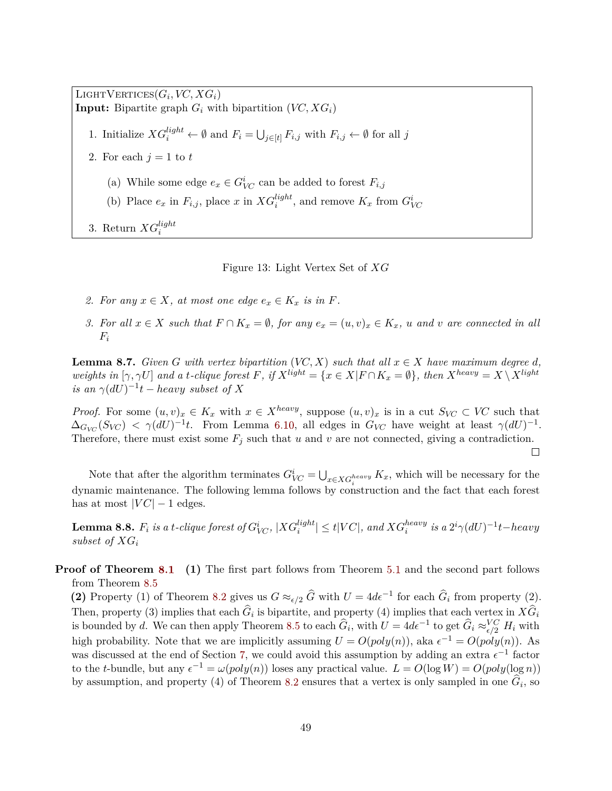$\text{LIGHTVERTICES}(G_i, VC, XG_i)$ **Input:** Bipartite graph  $G_i$  with bipartition  $(VC, XG_i)$ 1. Initialize  $XG_i^{light} \leftarrow \emptyset$  and  $F_i = \bigcup_{j \in [t]} F_{i,j}$  with  $F_{i,j} \leftarrow \emptyset$  for all *j* 2. For each  $j = 1$  to  $t$ (a) While some edge  $e_x \in G^i_{VC}$  can be added to forest  $F_{i,j}$ (b) Place  $e_x$  in  $F_{i,j}$ , place  $x$  in  $XG_i^{light}$ , and remove  $K_x$  from  $G_{VC}^i$ 3. Return  $XG_i^{light}$ 

Figure 13: Light Vertex Set of *XG*

- 2. For any  $x \in X$ , at most one edge  $e_x \in K_x$  is in F.
- 3. For all  $x \in X$  such that  $F \cap K_x = \emptyset$ , for any  $e_x = (u, v)_x \in K_x$ , u and v are connected in all *Fi*

**Lemma 8.7.** *Given G with vertex bipartition* (*VC, X*) *such that all*  $x \in X$  *have maximum degree d,* weights in  $[\gamma, \gamma U]$  and a t-clique forest F, if  $X^{light} = \{x \in X | F \cap K_x = \emptyset\}$ , then  $X^{heavy} = X \setminus X^{light}$  $i$ *s* an  $\gamma(dU)^{-1}$ *t* − *heavy subset of X* 

*Proof.* For some  $(u, v)_x \in K_x$  with  $x \in X^{heavy}$ , suppose  $(u, v)_x$  is in a cut  $S_{VC} \subset VC$  such that  $\Delta_{G_{VC}}(S_{VC}) \leq \gamma(dU)^{-1}t$ . From Lemma [6.10,](#page-35-2) all edges in  $G_{VC}$  have weight at least  $\gamma(dU)^{-1}$ . Therefore, there must exist some  $F_j$  such that  $u$  and  $v$  are not connected, giving a contradiction.

 $\Box$ 

Note that after the algorithm terminates  $G_{VC}^i = \bigcup_{x \in X} G_i^{heavy} K_x$ , which will be necessary for the dynamic maintenance. The following lemma follows by construction and the fact that each forest has at most  $|VC| - 1$  edges.

<span id="page-50-0"></span> ${\bf Lemma~8.8.}$   $F_i$  is a  $t$ -clique forest of  $G_{VC}^i,$   $|XG_i^{light}| \leq t|VC|$ , and  $XG_i^{heavy}$  is a  $2^i \gamma (dU)^{-1}t-heavy$ *subset of XG<sup>i</sup>*

**Proof of Theorem [8.1](#page-46-2)** (1) The first part follows from Theorem [5.1](#page-24-1) and the second part follows from Theorem [8.5](#page-48-2)

**(2)** Property (1) of Theorem [8.2](#page-47-3) gives us  $G \approx_{\epsilon/2} \widehat{G}$  with  $U = 4d\epsilon^{-1}$  for each  $\widehat{G}_i$  from property (2). Then, property (3) implies that each  $G_i$  is bipartite, and property (4) implies that each vertex in  $XG_i$ is bounded by *d*. We can then apply Theorem [8.5](#page-48-2) to each  $\widehat{G}_i$ , with  $U = 4d\epsilon^{-1}$  to get  $\widehat{G}_i \approx_{\epsilon/2}^{VC} H_i$  with high probability. Note that we are implicitly assuming  $U = O(poly(n))$ , aka  $\epsilon^{-1} = O(poly(n))$ . As was discussed at the end of Section [7,](#page-40-0) we could avoid this assumption by adding an extra  $\epsilon^{-1}$  factor to the *t*-bundle, but any  $\epsilon^{-1} = \omega(poly(n))$  loses any practical value.  $L = O(\log W) = O(poly(\log n))$ by assumption, and property (4) of Theorem [8.2](#page-47-3) ensures that a vertex is only sampled in one  $G_i$ , so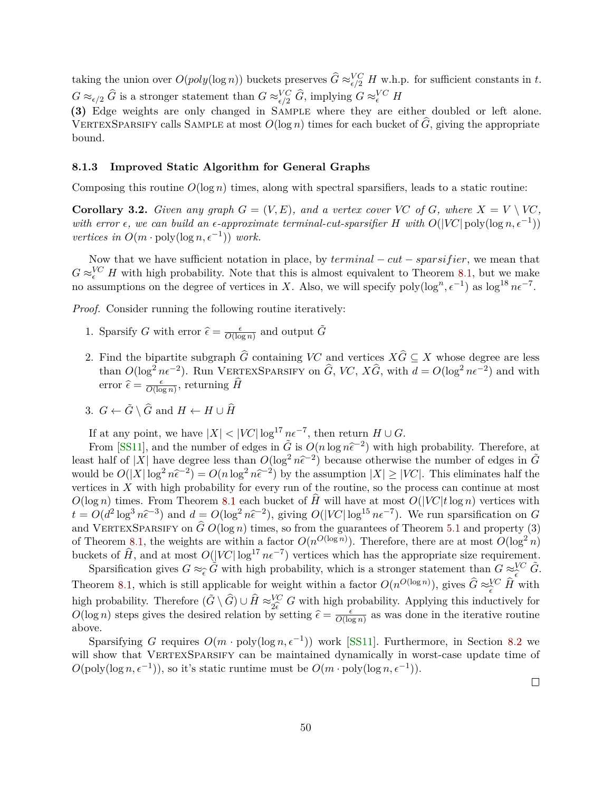<span id="page-51-1"></span>taking the union over  $O(poly(\log n))$  buckets preserves  $\widehat{G} \approx_{\epsilon/2}^{VC} H$  w.h.p. for sufficient constants in *t*.  $G \approx_{\epsilon/2} \widehat{G}$  is a stronger statement than  $G \approx_{\epsilon/2}^{VC} \widehat{G}$ , implying  $G \approx_{\epsilon}^{VC} H$ 

**(3)** Edge weights are only changed in Sample where they are either doubled or left alone. VERTEXSPARSIFY calls SAMPLE at most  $O(\log n)$  times for each bucket of  $\tilde{G}$ , giving the appropriate bound.

#### <span id="page-51-0"></span>**8.1.3 Improved Static Algorithm for General Graphs**

Composing this routine  $O(\log n)$  times, along with spectral sparsifiers, leads to a static routine:

**Corollary 3.2.** *Given any graph*  $G = (V, E)$ *, and a vertex cover VC of G, where*  $X = V \setminus V\mathbb{C}$ *, with error*  $\epsilon$ , we can build an  $\epsilon$ -approximate terminal-cut-sparsifier H with  $O(|VC| \text{poly}(\log n, \epsilon^{-1}))$ *vertices in*  $O(m \cdot \text{poly}(\log n, \epsilon^{-1}))$  *work.* 

Now that we have sufficient notation in place, by *terminal* − *cut* − *sparsif ier*, we mean that  $G \approx_{\epsilon}^{VC} H$  with high probability. Note that this is almost equivalent to Theorem [8.1,](#page-46-2) but we make no assumptions on the degree of vertices in *X*. Also, we will specify  $\text{poly}(\log^n, \epsilon^{-1})$  as  $\log^{18} n\epsilon^{-7}$ .

*Proof.* Consider running the following routine iteratively:

- 1. Sparsify *G* with error  $\hat{\epsilon} = \frac{\epsilon}{O(\log n)}$  $\frac{\epsilon}{O(\log n)}$  and output  $\tilde{G}$
- 2. Find the bipartite subgraph  $\widehat{G}$  containing *VC* and vertices  $X\widehat{G} \subseteq X$  whose degree are less than  $O(\log^2 n\epsilon^{-2})$ . Run VERTEXSPARSIFY on  $\widehat{G}$ , *VC*,  $X\widehat{G}$ , with  $d = O(\log^2 n\epsilon^{-2})$  and with error  $\hat{\epsilon} = \frac{\epsilon}{O(\log \epsilon)}$  $\frac{\epsilon}{O(\log n)}$ , returning *H*
- 3.  $G \leftarrow \tilde{G} \setminus \hat{G}$  and  $H \leftarrow H \cup \hat{H}$

If at any point, we have  $|X| < |VC| \log^{17} n \epsilon^{-7}$ , then return  $H \cup G$ .

From [\[SS11\]](#page-61-12), and the number of edges in  $\tilde{G}$  is  $O(n \log n \tilde{\epsilon}^{-2})$  with high probability. Therefore, at least half of |*X*| have degree less than  $O(\log^2 n\hat{\epsilon}^{-2})$  because otherwise the number of edges in  $\tilde{G}$ would be  $O(|X|\log^2 n\hat{\epsilon}^{-2}) = O(n\log^2 n\hat{\epsilon}^{-2})$  by the assumption  $|X| \geq |VC|$ . This eliminates half the vertices in *X* with high probability for every run of the routine, so the process can continue at most  $O(\log n)$  times. From Theorem [8.1](#page-46-2) each bucket of  $\hat{H}$  will have at most  $O(|VC|t \log n)$  vertices with  $t = O(d^2 \log^3 n \hat{\epsilon}^{-3})$  and  $d = O(\log^2 n \hat{\epsilon}^{-2})$ , giving  $O(|V\mathcal{C}| \log^{15} n \epsilon^{-7})$ . We run sparsification on *G* and VERTEXSPARSIFY on  $\hat{G} O(\log n)$  times, so from the guarantees of Theorem [5.1](#page-24-1) and property (3) of Theorem [8.1,](#page-46-2) the weights are within a factor  $O(n^{O(\log n)})$ . Therefore, there are at most  $O(\log^2 n)$ buckets of  $\hat{H}$ , and at most  $O(|VC|\log^{17} n\epsilon^{-7})$  vertices which has the appropriate size requirement.

Sparsification gives  $G \approx_{\widehat{\epsilon}} \widetilde{G}$  with high probability, which is a stronger statement than  $G \approx_{\widehat{\epsilon}}^{VC} \widetilde{G}$ . Theorem [8.1,](#page-46-2) which is still applicable for weight within a factor  $O(n^{O(\log n)})$ , gives  $\hat{G} \approx_{\hat{\epsilon}}^{VC} \hat{H}$  with better that the sum approach of weight within a ractor  $\sigma(n)$ , gives  $G \circ \sigma$  in with<br>high probability. Therefore  $(\tilde{G} \setminus \hat{G}) \cup \hat{H} \approx_{2\epsilon}^{V\bar{C}} G$  with high probability. Applying this inductively for<br> $O(\log n)$  steps gi  $O(\log n)$  steps gives the desired relation by setting  $\hat{\epsilon} = \frac{\epsilon}{O(\log n)}$  $\frac{\epsilon}{O(\log n)}$  as was done in the iterative routine above.

Sparsifying *G* requires  $O(m \cdot \text{poly}(\log n, \epsilon^{-1}))$  work [\[SS11\]](#page-61-12). Furthermore, in Section [8.2](#page-52-0) we will show that VERTEXSPARSIFY can be maintained dynamically in worst-case update time of  $O(\text{poly}(\log n, \epsilon^{-1}))$ , so it's static runtime must be  $O(m \cdot \text{poly}(\log n, \epsilon^{-1}))$ .

 $\Box$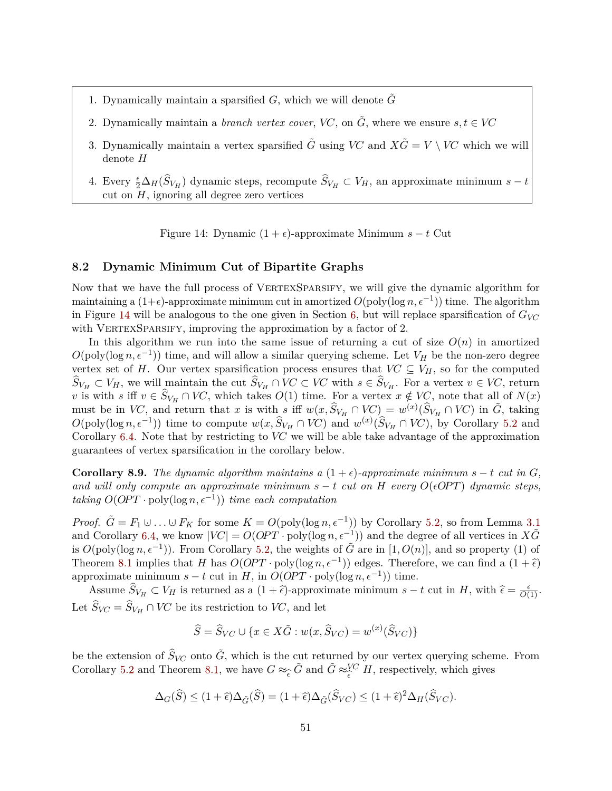- 1. Dynamically maintain a sparsified  $G$ , which we will denote  $G$
- 2. Dynamically maintain a *branch vertex cover*, *VC*, on  $\tilde{G}$ , where we ensure  $s, t \in V\mathbb{C}$
- 3. Dynamically maintain a vertex sparsified  $\tilde{G}$  using *VC* and  $X\tilde{G} = V \setminus V\tilde{G}$  which we will denote *H*
- 4. Every  $\frac{\epsilon}{2} \Delta_H(\hat{S}_{V_H})$  dynamic steps, recompute  $\hat{S}_{V_H} \subset V_H$ , an approximate minimum  $s t$ cut on *H*, ignoring all degree zero vertices

<span id="page-52-1"></span>Figure 14: Dynamic  $(1 + \epsilon)$ -approximate Minimum  $s - t$  Cut

### <span id="page-52-0"></span>**8.2 Dynamic Minimum Cut of Bipartite Graphs**

Now that we have the full process of VERTEXSPARSIFY, we will give the dynamic algorithm for maintaining a  $(1+\epsilon)$ -approximate minimum cut in amortized  $O(poly(\log n, \epsilon^{-1}))$  time. The algorithm in Figure [14](#page-52-1) will be analogous to the one given in Section [6,](#page-33-0) but will replace sparsification of  $G_{V\!C}$ with VERTEXSPARSIFY, improving the approximation by a factor of 2.

In this algorithm we run into the same issue of returning a cut of size  $O(n)$  in amortized  $O(poly(\log n, \epsilon^{-1}))$  time, and will allow a similar querying scheme. Let  $V_H$  be the non-zero degree vertex set of *H*. Our vertex sparsification process ensures that  $VC \subseteq V_H$ , so for the computed  $S_{V_H} \subset V_H$ , we will maintain the cut  $S_{V_H} \cap V_C \subset V_C$  with  $s \in S_{V_H}$ . For a vertex  $v \in V_C$ , return *v* is with *s* iff  $v \in S_{V_H} \cap V_C$ , which takes  $O(1)$  time. For a vertex  $x \notin V_C$ , note that all of  $N(x)$ must be in *VC*, and return that *x* is with *s* iff  $w(x, \hat{S}_{V_H} \cap V_C) = w^{(x)}(\hat{S}_{V_H} \cap V_C)$  in  $\tilde{G}$ , taking  $O(poly(\log n, \epsilon^{-1}))$  time to compute  $w(x, \hat{S}_{V_H} \cap V_C)$  and  $w^{(x)}(\hat{S}_{V_H} \cap V_C)$ , by Corollary [5.2](#page-24-2) and Corollary [6.4.](#page-34-0) Note that by restricting to *VC* we will be able take advantage of the approximation guarantees of vertex sparsification in the corollary below.

**Corollary 8.9.** *The dynamic algorithm maintains a*  $(1 + \epsilon)$ *-approximate minimum*  $s - t$  *cut in G, and will only compute an approximate minimum*  $s - t$  *cut on*  $H$  *every*  $O(\epsilon OPT)$  *dynamic steps, taking*  $O(OPT \cdot poly(log n, \epsilon^{-1}))$  *time each computation* 

*Proof.*  $\tilde{G} = F_1 \cup \ldots \cup F_K$  for some  $K = O(\text{poly}(\log n, \epsilon^{-1}))$  by Corollary [5.2,](#page-24-2) so from Lemma [3.1](#page-10-0) and Corollary [6.4,](#page-34-0) we know  $|VC| = O(OPT \cdot \text{poly}(\log n, \epsilon^{-1}))$  and the degree of all vertices in  $X\tilde{G}$ is  $O(\text{poly}(\log n, \epsilon^{-1}))$ . From Corollary [5.2,](#page-24-2) the weights of  $\tilde{G}$  are in [1,  $O(n)$ ], and so property (1) of Theorem [8.1](#page-46-2) implies that *H* has  $O(OPT \cdot poly(\log n, \epsilon^{-1}))$  edges. Therefore, we can find a  $(1 + \hat{\epsilon})$ approximate minimum  $s - t$  cut in  $H$ , in  $O(OPT \cdot poly(\log n, \epsilon^{-1}))$  time.

Assume  $\hat{S}_{V_H} \subset V_H$  is returned as a  $(1 + \hat{\epsilon})$ -approximate minimum  $s - t$  cut in *H*, with  $\hat{\epsilon} = \frac{\epsilon}{O(1)}$ . Let  $S_{VC} = S_{V_H} \cap VC$  be its restriction to *VC*, and let

$$
\widehat{S} = \widehat{S}_{VC} \cup \{ x \in X\tilde{G} : w(x, \widehat{S}_{VC}) = w^{(x)}(\widehat{S}_{VC}) \}
$$

be the extension of  $\hat{S}_{VC}$  onto  $\tilde{G}$ , which is the cut returned by our vertex querying scheme. From Corollary [5.2](#page-24-2) and Theorem [8.1,](#page-46-2) we have  $G \approx_{\widehat{\epsilon}} \widetilde{G}$  and  $\widetilde{G} \approx_{\widehat{\epsilon}}^{VC} H$ , respectively, which gives

$$
\Delta_G(\widehat{S}) \le (1+\widehat{\epsilon})\Delta_{\widetilde{G}}(\widehat{S}) = (1+\widehat{\epsilon})\Delta_{\widetilde{G}}(\widehat{S}_{VC}) \le (1+\widehat{\epsilon})^2\Delta_H(\widehat{S}_{VC}).
$$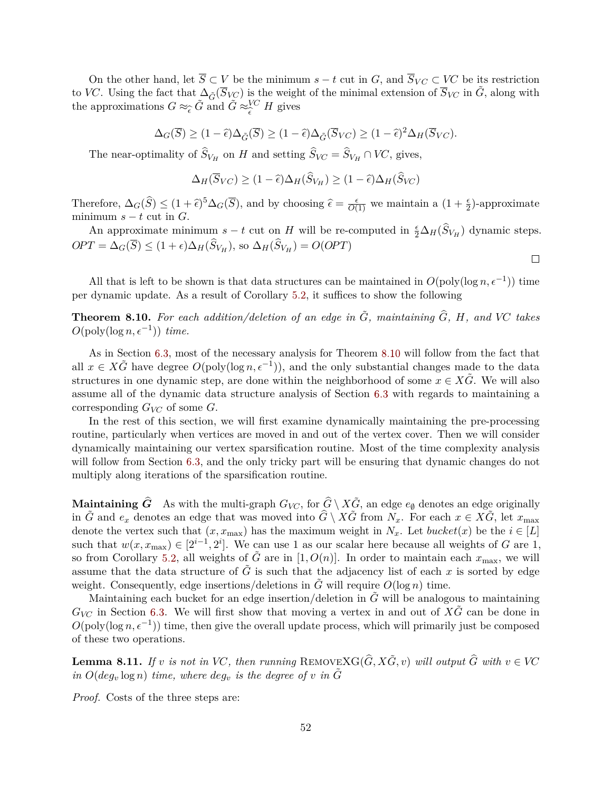On the other hand, let  $\overline{S} \subset V$  be the minimum  $s - t$  cut in *G*, and  $\overline{S}_{VC} \subset V\overline{C}$  be its restriction to *VC*. Using the fact that  $\Delta_{\tilde{G}}(\overline{S}_{VC})$  is the weight of the minimal extension of  $\overline{S}_{VC}$  in  $\tilde{G}$ , along with the approximations  $G \approx_{\widehat{\epsilon}} \widetilde{G}$  and  $\widetilde{G} \approx_{\widehat{\epsilon}}^{VC} H$  gives

$$
\Delta_G(\overline{S}) \ge (1 - \widehat{\epsilon}) \Delta_{\widetilde{G}}(\overline{S}) \ge (1 - \widehat{\epsilon}) \Delta_{\widetilde{G}}(\overline{S}_{VC}) \ge (1 - \widehat{\epsilon})^2 \Delta_H(\overline{S}_{VC}).
$$

The near-optimality of  $S_{V_H}$  on *H* and setting  $S_{V_C} = S_{V_H} \cap V_C$ , gives,

$$
\Delta_H(\overline{S}_{VC}) \ge (1 - \widehat{\epsilon}) \Delta_H(\widehat{S}_{V_H}) \ge (1 - \widehat{\epsilon}) \Delta_H(\widehat{S}_{VC})
$$

Therefore,  $\Delta_G(\widehat{S}) \leq (1+\widehat{\epsilon})^5 \Delta_G(\overline{S})$ , and by choosing  $\widehat{\epsilon} = \frac{\epsilon}{O(1)}$  we maintain a  $(1+\frac{\epsilon}{2})$ -approximate minimum  $s - t$  cut in  $G$ .

An approximate minimum  $s - t$  cut on *H* will be re-computed in  $\frac{\epsilon}{2} \Delta_H(\widehat{S}_{V_H})$  dynamic steps.  $OPT = \Delta_G(\overline{S}) \le (1 + \epsilon) \Delta_H(\overline{S}_{V_H}),$  so  $\Delta_H(\overline{S}_{V_H}) = O(OPT)$ 

 $\Box$ 

All that is left to be shown is that data structures can be maintained in  $O(poly(\log n, \epsilon^{-1}))$  time per dynamic update. As a result of Corollary [5.2,](#page-24-2) it suffices to show the following

<span id="page-53-0"></span>**Theorem 8.10.** For each addition/deletion of an edge in  $\tilde{G}$ , maintaining  $\tilde{G}$ ,  $H$ *, and*  $VC$  takes  $O(\text{poly}(\log n, \epsilon^{-1}))$  *time.* 

As in Section [6.3,](#page-37-0) most of the necessary analysis for Theorem [8.10](#page-53-0) will follow from the fact that all  $x \in X\tilde{G}$  have degree  $O(\text{poly}(\log n, \epsilon^{-1}))$ , and the only substantial changes made to the data structures in one dynamic step, are done within the neighborhood of some  $x \in X\tilde{G}$ . We will also assume all of the dynamic data structure analysis of Section [6.3](#page-37-0) with regards to maintaining a corresponding *GVC* of some *G*.

In the rest of this section, we will first examine dynamically maintaining the pre-processing routine, particularly when vertices are moved in and out of the vertex cover. Then we will consider dynamically maintaining our vertex sparsification routine. Most of the time complexity analysis will follow from Section [6.3,](#page-37-0) and the only tricky part will be ensuring that dynamic changes do not multiply along iterations of the sparsification routine.

**Maintaining**  $\hat{G}$  As with the multi-graph  $G_{VC}$ , for  $\hat{G} \setminus X\tilde{G}$ , an edge  $e_{\emptyset}$  denotes an edge originally in  $\tilde{G}$  and  $e_x$  denotes an edge that was moved into  $\hat{G} \setminus X\tilde{G}$  from  $N_x$ . For each  $x \in X\tilde{G}$ , let  $x_{\text{max}}$ denote the vertex such that  $(x, x_{\text{max}})$  has the maximum weight in  $N_x$ . Let *bucket* $(x)$  be the  $i \in [L]$ such that  $w(x, x_{\text{max}}) \in [2^{i-1}, 2^i]$ . We can use 1 as our scalar here because all weights of *G* are 1, so from Corollary [5.2,](#page-24-2) all weights of  $\tilde{G}$  are in [1,  $O(n)$ ]. In order to maintain each  $x_{\text{max}}$ , we will assume that the data structure of  $G$  is such that the adjacency list of each  $x$  is sorted by edge weight. Consequently, edge insertions/deletions in *G* will require  $O(\log n)$  time.

Maintaining each bucket for an edge insertion/deletion in  $G$  will be analogous to maintaining  $G_{V\!C}$  in Section [6.3.](#page-37-0) We will first show that moving a vertex in and out of  $X\tilde{G}$  can be done in  $O(poly(\log n, \epsilon^{-1}))$  time, then give the overall update process, which will primarily just be composed of these two operations.

**Lemma 8.11.** *If v is not in VC, then running* REMOVEXG( $\hat{G}$ ,  $X\tilde{G}$ ,  $v$ ) *will output*  $\hat{G}$  *with*  $v \in V\tilde{G}$ *in*  $O(deg_v \log n)$  *time, where*  $deg_v$  *is the degree of v in*  $\tilde{G}$ 

*Proof.* Costs of the three steps are: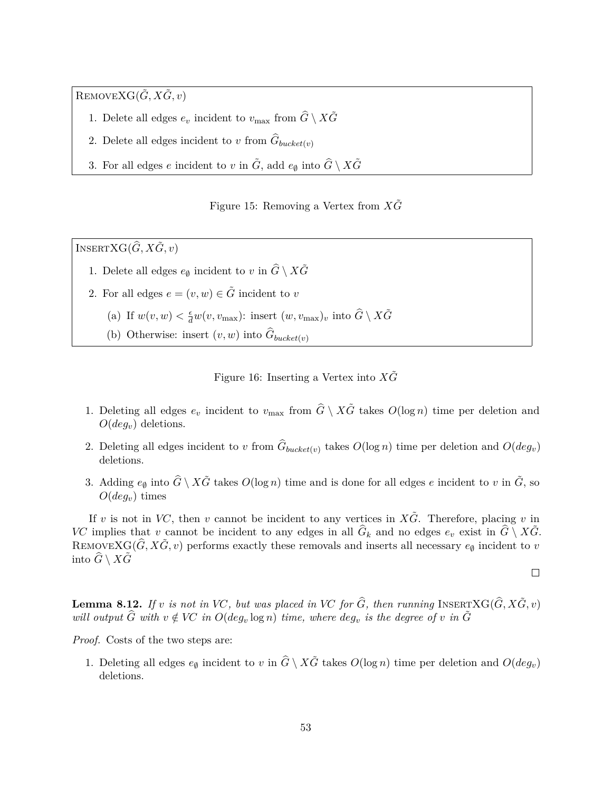$\text{REMOVEXG}(\tilde{G}, X\tilde{G}, v)$ 

- 1. Delete all edges  $e_v$  incident to  $v_{\text{max}}$  from  $\widehat{G} \setminus X\widetilde{G}$
- 2. Delete all edges incident to  $v$  from  $G_{bucket(v)}$
- 3. For all edges *e* incident to *v* in  $\tilde{G}$ , add  $e_{\emptyset}$  into  $\hat{G} \setminus X\tilde{G}$

Figure 15: Removing a Vertex from  $X\tilde{G}$ 

 $I$ <sup>NSERT</sub>XG( $\hat{G}$ ,  $X\tilde{G}$ ,  $v$ )</sup>

- 1. Delete all edges  $e_{\emptyset}$  incident to  $v$  in  $\widehat{G} \setminus X\widetilde{G}$
- 2. For all edges  $e = (v, w) \in \tilde{G}$  incident to *v* 
	- (a) If  $w(v, w) < \frac{\epsilon}{d}w(v, v_{\text{max}})$ : insert  $(w, v_{\text{max}})_v$  into  $\widehat{G} \setminus X\widetilde{G}$
	- (b) Otherwise: insert  $(v, w)$  into  $G_{bucket(v)}$

Figure 16: Inserting a Vertex into  $X\tilde{G}$ 

- 1. Deleting all edges  $e_v$  incident to  $v_{\text{max}}$  from  $\hat{G} \setminus X\tilde{G}$  takes  $O(\log n)$  time per deletion and *O*(*degv*) deletions.
- 2. Deleting all edges incident to *v* from  $G_{bucket(v)}$  takes  $O(\log n)$  time per deletion and  $O(deg_v)$ deletions.
- 3. Adding  $e_{\emptyset}$  into  $\hat{G} \setminus X\tilde{G}$  takes  $O(\log n)$  time and is done for all edges *e* incident to *v* in  $\tilde{G}$ , so  $O(deq_v)$  times

If *v* is not in *VC*, then *v* cannot be incident to any vertices in  $X\tilde{G}$ . Therefore, placing *v* in *VC* implies that *v* cannot be incident to any edges in all  $\hat{G}_k$  and no edges  $e_v$  exist in  $\hat{G} \setminus X\tilde{G}$ . REMOVEX $G(\widehat{G}, X\widetilde{G}, v)$  performs exactly these removals and inserts all necessary  $e_{\emptyset}$  incident to *v* into  $\ddot{G} \setminus X\ddot{G}$ 

$$
\qquad \qquad \Box
$$

**Lemma 8.12.** If *v* is not in VC, but was placed in VC for  $\widehat{G}$ , then running INSERTXG( $\widehat{G}$ ,  $X\widetilde{G}$ ,  $v$ ) *will output*  $\hat{G}$  *with*  $v \notin VC$  *in*  $O(deg_v log n)$  *time, where*  $deg_v$  *is the degree of v in*  $\tilde{G}$ 

*Proof.* Costs of the two steps are:

1. Deleting all edges  $e_{\emptyset}$  incident to *v* in  $\hat{G} \setminus X\tilde{G}$  takes  $O(\log n)$  time per deletion and  $O(deg_v)$ deletions.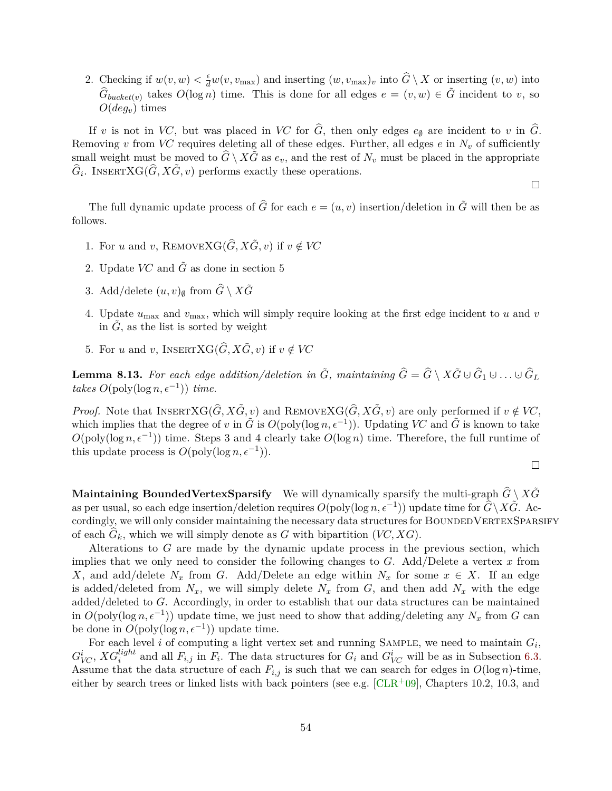<span id="page-55-1"></span>2. Checking if  $w(v, w) < \frac{\epsilon}{d}w(v, v_{\max})$  and inserting  $(w, v_{\max})_v$  into  $\widehat{G} \setminus X$  or inserting  $(v, w)$  into  $\hat{G}_{bucket(v)}$  takes  $O(\log n)$  time. This is done for all edges  $e = (v, w) \in \tilde{G}$  incident to *v*, so *O*(*degv*) times

If *v* is not in *VC*, but was placed in *VC* for  $\hat{G}$ , then only edges  $e_{\emptyset}$  are incident to *v* in  $\hat{G}$ . Removing *v* from *VC* requires deleting all of these edges. Further, all edges  $e$  in  $N_v$  of sufficiently small weight must be moved to  $\hat{G} \setminus X\tilde{G}$  as  $e_v$ , and the rest of  $N_v$  must be placed in the appropriate  $\hat{G}_i$ . INSERTXG( $\hat{G}, X\tilde{G}, v$ ) performs exactly these operations.

 $\Box$ 

The full dynamic update process of  $\hat{G}$  for each  $e = (u, v)$  insertion/deletion in  $\tilde{G}$  will then be as follows.

- 1. For *u* and *v*, REMOVEXG( $\hat{G}$ ,  $X\tilde{G}$ , *v*) if  $v \notin VC$
- 2. Update  $VC$  and  $\tilde{G}$  as done in section 5
- 3. Add/delete  $(u, v)$ <sup> $\emptyset$ </sup> from  $\widehat{G} \setminus X\widetilde{G}$
- 4. Update *u*max and *v*max, which will simply require looking at the first edge incident to *u* and *v* in  $\tilde{G}$ , as the list is sorted by weight
- 5. For *u* and *v*, INSERTXG( $\hat{G}$ ,  $X\tilde{G}$ , *v*) if  $v \notin VC$

<span id="page-55-0"></span>**Lemma 8.13.** For each edge addition/deletion in  $\tilde{G}$ , maintaining  $\hat{G} = \hat{G} \setminus X\tilde{G} \cup \hat{G}_1 \cup \ldots \cup \hat{G}_L$ *takes*  $O(\text{poly}(\log n, \epsilon^{-1}))$  *time.* 

*Proof.* Note that INSERTXG( $\hat{G}$ ,  $X\tilde{G}$ ,  $v$ ) and REMOVEXG( $\hat{G}$ ,  $X\tilde{G}$ ,  $v$ ) are only performed if  $v \notin VC$ , which implies that the degree of *v* in  $\tilde{G}$  is  $O(\text{poly}(\log n, \epsilon^{-1}))$ . Updating *VC* and  $\tilde{G}$  is known to take  $O(\text{poly}(\log n, \epsilon^{-1}))$  time. Steps 3 and 4 clearly take  $O(\log n)$  time. Therefore, the full runtime of this update process is  $O(\text{poly}(\log n, \epsilon^{-1}))$ .

$$
\Box
$$

**Maintaining BoundedVertexSparsify** We will dynamically sparsify the multi-graph  $\hat{G} \setminus X\tilde{G}$ as per usual, so each edge insertion/deletion requires  $O(\text{poly}(\log n, \epsilon^{-1}))$  update time for  $\widehat{G}\setminus X\widetilde{G}$ . Accordingly, we will only consider maintaining the necessary data structures for BOUNDEDVERTEXSPARSIFY of each  $G_k$ , which we will simply denote as  $G$  with bipartition  $(VC, XG)$ .

Alterations to *G* are made by the dynamic update process in the previous section, which implies that we only need to consider the following changes to *G*. Add/Delete a vertex *x* from *X*, and add/delete  $N_x$  from *G*. Add/Delete an edge within  $N_x$  for some  $x \in X$ . If an edge is added/deleted from  $N_x$ , we will simply delete  $N_x$  from  $G$ , and then add  $N_x$  with the edge added/deleted to *G*. Accordingly, in order to establish that our data structures can be maintained in  $O(poly(\log n, \epsilon^{-1}))$  update time, we just need to show that adding/deleting any  $N_x$  from *G* can be done in  $O(\text{poly}(\log n, \epsilon^{-1}))$  update time.

For each level *i* of computing a light vertex set and running SAMPLE, we need to maintain  $G_i$ ,  $G_V^i$ ,  $XG_i^{light}$  and all  $F_{i,j}$  in  $F_i$ . The data structures for  $G_i$  and  $G_{VC}^i$  will be as in Subsection [6.3.](#page-37-0) Assume that the data structure of each  $F_{i,j}$  is such that we can search for edges in  $O(\log n)$ -time, either by search trees or linked lists with back pointers (see e.g.  $\lbrack \text{CLR}^+09 \rbrack$ , Chapters 10.2, 10.3, and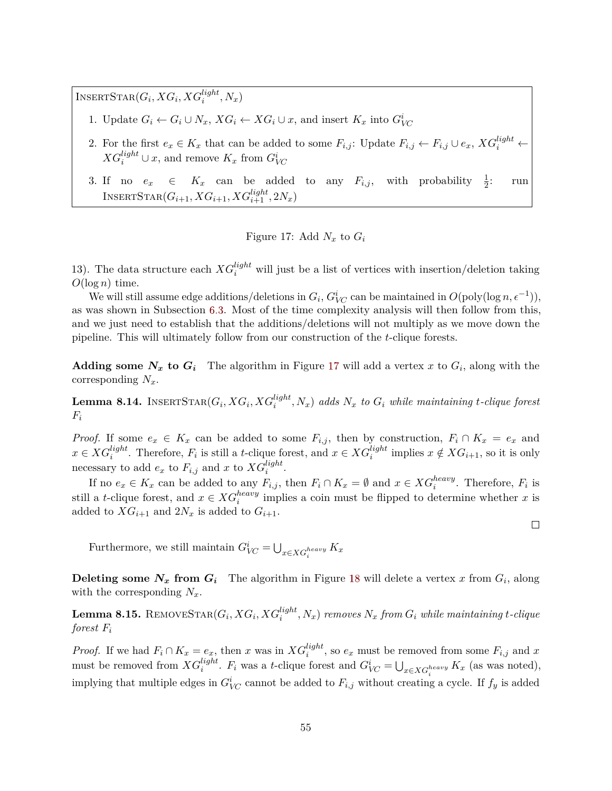$\text{INSERTSTAR}(G_i, XG_i, XG_i^{light}, N_x)$ 

- 1. Update  $G_i \leftarrow G_i \cup N_x$ ,  $XG_i \leftarrow XG_i \cup x$ , and insert  $K_x$  into  $G_{VC}^i$
- 2. For the first  $e_x \in K_x$  that can be added to some  $F_{i,j}$ : Update  $F_{i,j} \leftarrow F_{i,j} \cup e_x$ ,  $XG_i^{light} \leftarrow$  $XG_i^{light} \cup x$ , and remove  $K_x$  from  $G_{VC}^i$
- 3. If no  $e_x \in K_x$  can be added to any  $F_{i,j}$ , with probability  $\frac{1}{2}$ <br>INSERTSTAR $(G_{i+1}, XG_{i+1}, XG_{i+1}^{light}, 2N_x)$ : run

<span id="page-56-0"></span>Figure 17: Add 
$$
N_x
$$
 to  $G_i$ 

13). The data structure each  $XG_i^{light}$  will just be a list of vertices with insertion/deletion taking  $O(\log n)$  time.

We will still assume edge additions/deletions in  $G_i$ ,  $G^i_{VC}$  can be maintained in  $O(\text{poly}(\log n, \epsilon^{-1}))$ , as was shown in Subsection [6.3.](#page-37-0) Most of the time complexity analysis will then follow from this, and we just need to establish that the additions/deletions will not multiply as we move down the pipeline. This will ultimately follow from our construction of the *t*-clique forests.

**Adding some**  $N_x$  to  $G_i$  The algorithm in Figure [17](#page-56-0) will add a vertex x to  $G_i$ , along with the corresponding *Nx*.

**Lemma 8.14.** INSERT $\text{STAR}(G_i, XG_i, XG_i^{light}, N_x)$  adds  $N_x$  to  $G_i$  while maintaining t-clique forest  $F_i$ 

*Proof.* If some  $e_x \in K_x$  can be added to some  $F_{i,j}$ , then by construction,  $F_i \cap K_x = e_x$  and  $x \in XG_i^{light}$ . Therefore,  $F_i$  is still a *t*-clique forest, and  $x \in XG_i^{light}$  implies  $x \notin XG_{i+1}$ , so it is only necessary to add  $e_x$  to  $F_{i,j}$  and  $x$  to  $XG_i^{light}$ .

If no  $e_x \in K_x$  can be added to any  $F_{i,j}$ , then  $F_i \cap K_x = \emptyset$  and  $x \in XG_i^{heavy}$ . Therefore,  $F_i$  is still a *t*-clique forest, and  $x \in XG_i^{heavy}$  implies a coin must be flipped to determine whether *x* is added to  $\hat{X}G_{i+1}$  and  $2N_x$  is added to  $G_{i+1}$ .

Furthermore, we still maintain  $G_{VC}^i = \bigcup_{x \in XG_i^{heavy}} K_x$ 

**Deleting some**  $N_x$  **from**  $G_i$  The algorithm in Figure [18](#page-57-1) will delete a vertex  $x$  from  $G_i$ , along with the corresponding  $N_x$ .

 ${\bf Lemma~8.15.~REMOVESTAR}(G_i, XG_i, XG_i^{light}, N_x)$  removes  $N_x$  from  $G_i$  while maintaining t-clique *forest F<sup>i</sup>*

*Proof.* If we had  $F_i \cap K_x = e_x$ , then *x* was in  $XG_i^{light}$ , so  $e_x$  must be removed from some  $F_{i,j}$  and *x* must be removed from  $XG_i^{light}$ .  $F_i$  was a *t*-clique forest and  $G_{VC}^i = \bigcup_{x \in XG_i^{heavy}} K_x$  (as was noted), implying that multiple edges in  $G_{VC}^i$  cannot be added to  $F_{i,j}$  without creating a cycle. If  $f_y$  is added

 $\Box$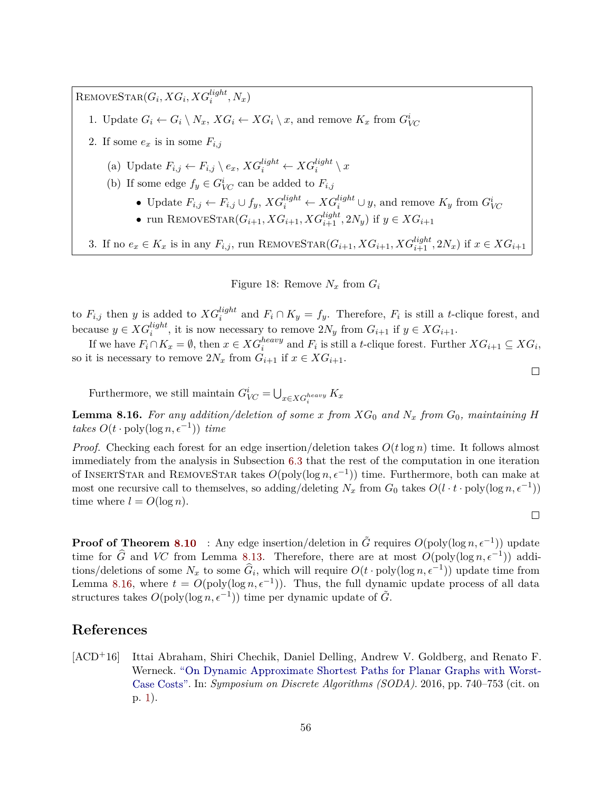$\text{REMOVESTAR}(G_i, XG_i, XG_i^{light}, N_x)$ 

- 1. Update  $G_i \leftarrow G_i \setminus N_x$ ,  $XG_i \leftarrow XG_i \setminus x$ , and remove  $K_x$  from  $G_{VC}^i$
- 2. If some  $e_x$  is in some  $F_{i,j}$ 
	- (a) Update  $F_{i,j} \leftarrow F_{i,j} \setminus e_x$ ,  $XG_i^{light} \leftarrow XG_i^{light} \setminus x$
	- (b) If some edge  $f_y \in G^i_{VC}$  can be added to  $F_{i,j}$ 
		- Update  $F_{i,j} \leftarrow F_{i,j} \cup f_y$ ,  $XG_i^{light} \leftarrow XG_i^{light} \cup y$ , and remove  $K_y$  from  $G_{VC}^i$
		- run REMOVESTAR( $G_{i+1}, XG_{i+1}, XG_{i+1}^{light}, 2N_y$ ) if  $y \in XG_{i+1}$

3. If no  $e_x \in K_x$  is in any  $F_{i,j}$ , run REMOVESTAR $(G_{i+1}, XG_{i+1}, XG_{i+1}^{light}, 2N_x)$  if  $x \in XG_{i+1}$ 

<span id="page-57-1"></span>Figure 18: Remove  $N_x$  from  $G_i$ 

to  $F_{i,j}$  then *y* is added to  $XG_i^{light}$  and  $F_i \cap K_y = f_y$ . Therefore,  $F_i$  is still a *t*-clique forest, and because  $y \in XG_i^{light}$ , it is now necessary to remove  $2N_y$  from  $G_{i+1}$  if  $y \in XG_{i+1}$ .

*i* and *F*<sup>*i*</sup> ∈ *XG*<sup>*i*</sup><sub>*i*</sub> + *i* E *i* s interpreted in  $x \in XG_i^{heavy}$  and *F<sub>i</sub>* is still a *t*-clique forest. Further  $XG_{i+1} \subseteq XG_i$ , if we have  $F_i \cap K_x = ∅$ , then  $x \in XG_i^{heavy}$  and  $F_i$  is still a *t*-clique forest. so it is necessary to remove  $2N_x$  from  $G_{i+1}$  if  $x \in XG_{i+1}$ .

Furthermore, we still maintain  $G_{VC}^i = \bigcup_{x \in XG_i^{heavy}} K_x$ 

<span id="page-57-2"></span>**Lemma 8.16.** For any addition/deletion of some x from  $XG_0$  and  $N_x$  from  $G_0$ , maintaining H  $takes \ O(t \cdot \text{poly}(\log n, \epsilon^{-1})) \ time$ 

*Proof.* Checking each forest for an edge insertion/deletion takes *O*(*t*log *n*) time. It follows almost immediately from the analysis in Subsection [6.3](#page-37-0) that the rest of the computation in one iteration of INSERTSTAR and REMOVESTAR takes  $O(\text{poly}(\log n, \epsilon^{-1}))$  time. Furthermore, both can make at most one recursive call to themselves, so adding/deleting  $N_x$  from  $G_0$  takes  $O(l \cdot t \cdot \text{poly}(\log n, \epsilon^{-1}))$ time where  $l = O(\log n)$ .

 $\Box$ 

 $\Box$ 

**Proof of Theorem [8.10](#page-53-0)** : Any edge insertion/deletion in  $\tilde{G}$  requires  $O(\text{poly}(\log n, \epsilon^{-1}))$  update time for  $\widehat{G}$  and *VC* from Lemma [8.13.](#page-55-0) Therefore, there are at most  $O(\text{poly}(\log n, \epsilon^{-1}))$  additions/deletions of some  $N_x$  to some  $\hat{G}_i$ , which will require  $O(t \cdot \text{poly}(\log n, \epsilon^{-1}))$  update time from Lemma [8.16,](#page-57-2) where  $t = O(\text{poly}(\log n, \epsilon^{-1}))$ . Thus, the full dynamic update process of all data structures takes  $O(\text{poly}(\log n, \epsilon^{-1}))$  time per dynamic update of  $\tilde{G}$ .

## **References**

<span id="page-57-0"></span>[ACD+16] Ittai Abraham, Shiri Chechik, Daniel Delling, Andrew V. Goldberg, and Renato F. Werneck. ["On Dynamic Approximate Shortest Paths for Planar Graphs with Worst-](http://dx.doi.org/10.1137/1.9781611974331.ch53)[Case Costs".](http://dx.doi.org/10.1137/1.9781611974331.ch53) In: *Symposium on Discrete Algorithms (SODA)*. 2016, pp. 740–753 (cit. on p. [1\)](#page-2-1).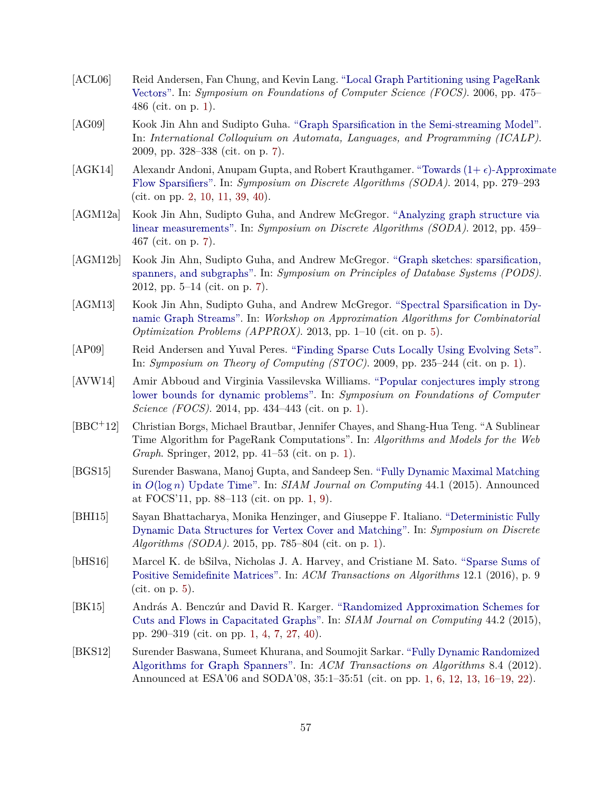- <span id="page-58-1"></span>[ACL06] Reid Andersen, Fan Chung, and Kevin Lang. ["Local Graph Partitioning using PageRank](http://dx.doi.org/10.1109/FOCS.2006.44) [Vectors".](http://dx.doi.org/10.1109/FOCS.2006.44) In: *Symposium on Foundations of Computer Science (FOCS)*. 2006, pp. 475– 486 (cit. on p. [1\)](#page-2-1).
- <span id="page-58-11"></span>[AG09] Kook Jin Ahn and Sudipto Guha. ["Graph Sparsification in the Semi-streaming Model".](http://dx.doi.org/10.1007/978-3-642-02930-1_27) In: *International Colloquium on Automata, Languages, and Programming (ICALP)*. 2009, pp. 328–338 (cit. on p. [7\)](#page-8-1).
- <span id="page-58-8"></span>[AGK14] Alexandr Andoni, Anupam Gupta, and Robert Krauthgamer. "Towards  $(1+\epsilon)$ -Approximate [Flow Sparsifiers".](http://dx.doi.org/10.1137/1.9781611973402.20) In: *Symposium on Discrete Algorithms (SODA)*. 2014, pp. 279–293 (cit. on pp. [2,](#page-3-4) [10,](#page-11-2) [11,](#page-12-2) [39,](#page-40-1) [40\)](#page-41-0).
- <span id="page-58-12"></span>[AGM12a] Kook Jin Ahn, Sudipto Guha, and Andrew McGregor. ["Analyzing graph structure via](http://dx.doi.org/10.1137/1.9781611973099.40) [linear measurements".](http://dx.doi.org/10.1137/1.9781611973099.40) In: *Symposium on Discrete Algorithms (SODA)*. 2012, pp. 459– 467 (cit. on p. [7\)](#page-8-1).
- <span id="page-58-13"></span>[AGM12b] Kook Jin Ahn, Sudipto Guha, and Andrew McGregor. ["Graph sketches: sparsification,](http://dx.doi.org/10.1145/2213556.2213560) [spanners, and subgraphs".](http://dx.doi.org/10.1145/2213556.2213560) In: *Symposium on Principles of Database Systems (PODS)*. 2012, pp. 5–14 (cit. on p. [7\)](#page-8-1).
- <span id="page-58-10"></span>[AGM13] Kook Jin Ahn, Sudipto Guha, and Andrew McGregor. ["Spectral Sparsification in Dy](http://dx.doi.org/10.1007/978-3-642-40328-6_1)[namic Graph Streams".](http://dx.doi.org/10.1007/978-3-642-40328-6_1) In: *Workshop on Approximation Algorithms for Combinatorial Optimization Problems (APPROX)*. 2013, pp. 1–10 (cit. on p. [5\)](#page-6-3).
- <span id="page-58-2"></span>[AP09] Reid Andersen and Yuval Peres. ["Finding Sparse Cuts Locally Using Evolving Sets".](http://dx.doi.org/10.1145/1536414.1536449) In: *Symposium on Theory of Computing (STOC)*. 2009, pp. 235–244 (cit. on p. [1\)](#page-2-1).
- <span id="page-58-6"></span>[AVW14] Amir Abboud and Virginia Vassilevska Williams. ["Popular conjectures imply strong](http://dx.doi.org/10.1109/FOCS.2014.53) [lower bounds for dynamic problems".](http://dx.doi.org/10.1109/FOCS.2014.53) In: *Symposium on Foundations of Computer Science (FOCS)*. 2014, pp. 434–443 (cit. on p. [1\)](#page-2-1).
- <span id="page-58-0"></span>[BBC+12] Christian Borgs, Michael Brautbar, Jennifer Chayes, and Shang-Hua Teng. "A Sublinear Time Algorithm for PageRank Computations". In: *Algorithms and Models for the Web Graph*. Springer, 2012, pp. 41–53 (cit. on p. [1\)](#page-2-1).
- <span id="page-58-3"></span>[BGS15] Surender Baswana, Manoj Gupta, and Sandeep Sen. ["Fully Dynamic Maximal Matching](http://dx.doi.org/10.1137/130914140) in *O*(log *n*) [Update Time".](http://dx.doi.org/10.1137/130914140) In: *SIAM Journal on Computing* 44.1 (2015). Announced at FOCS'11, pp. 88–113 (cit. on pp. [1,](#page-2-1) [9\)](#page-10-1).
- <span id="page-58-4"></span>[BHI15] Sayan Bhattacharya, Monika Henzinger, and Giuseppe F. Italiano. ["Deterministic Fully](http://dx.doi.org/10.1137/1.9781611973730.54) [Dynamic Data Structures for Vertex Cover and Matching".](http://dx.doi.org/10.1137/1.9781611973730.54) In: *Symposium on Discrete Algorithms (SODA)*. 2015, pp. 785–804 (cit. on p. [1\)](#page-2-1).
- <span id="page-58-9"></span>[bHS16] Marcel K. de bSilva, Nicholas J. A. Harvey, and Cristiane M. Sato. ["Sparse Sums of](http://dx.doi.org/10.1145/2746241) [Positive Semidefinite Matrices".](http://dx.doi.org/10.1145/2746241) In: *ACM Transactions on Algorithms* 12.1 (2016), p. 9 (cit. on p. [5\)](#page-6-3).
- <span id="page-58-7"></span>[BK15] András A. Benczúr and David R. Karger. ["Randomized Approximation Schemes for](http://dx.doi.org/10.1137/070705970) [Cuts and Flows in Capacitated Graphs".](http://dx.doi.org/10.1137/070705970) In: *SIAM Journal on Computing* 44.2 (2015), pp. 290–319 (cit. on pp. [1,](#page-2-1) [4,](#page-5-2) [7,](#page-8-1) [27,](#page-28-4) [40\)](#page-41-0).
- <span id="page-58-5"></span>[BKS12] Surender Baswana, Sumeet Khurana, and Soumojit Sarkar. ["Fully Dynamic Randomized](http://dx.doi.org/10.1145/2344422.2344425) [Algorithms for Graph Spanners".](http://dx.doi.org/10.1145/2344422.2344425) In: *ACM Transactions on Algorithms* 8.4 (2012). Announced at ESA'06 and SODA'08, 35:1–35:51 (cit. on pp. [1,](#page-2-1) [6,](#page-7-1) [12,](#page-13-2) [13,](#page-14-1) [16–](#page-17-2)[19,](#page-20-0) [22\)](#page-23-4).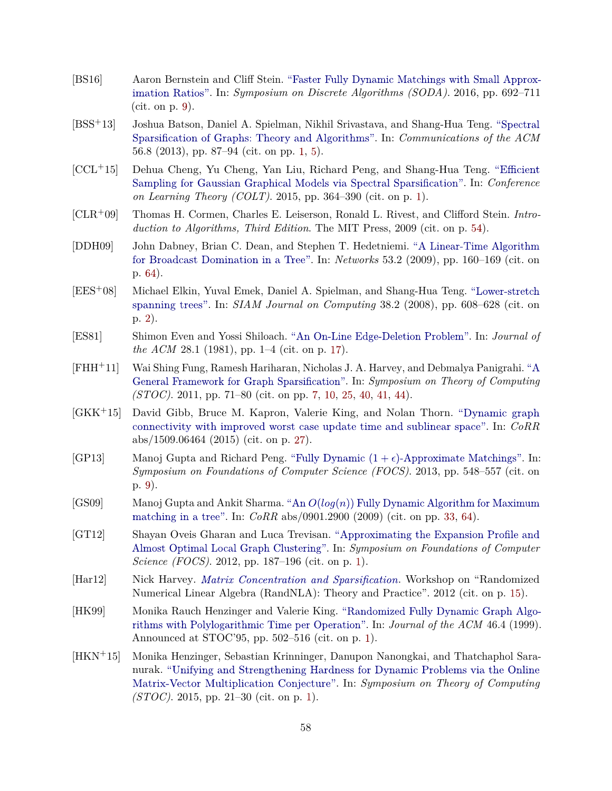- <span id="page-59-8"></span>[BS16] Aaron Bernstein and Cliff Stein. ["Faster Fully Dynamic Matchings with Small Approx](http://dx.doi.org/10.1137/1.9781611974331.ch50)[imation Ratios".](http://dx.doi.org/10.1137/1.9781611974331.ch50) In: *Symposium on Discrete Algorithms (SODA)*. 2016, pp. 692–711 (cit. on p. [9\)](#page-10-1).
- <span id="page-59-3"></span>[BSS+13] Joshua Batson, Daniel A. Spielman, Nikhil Srivastava, and Shang-Hua Teng. ["Spectral](http://dx.doi.org/10.1145/2492007.2492029) [Sparsification of Graphs: Theory and Algorithms".](http://dx.doi.org/10.1145/2492007.2492029) In: *Communications of the ACM* 56.8 (2013), pp. 87–94 (cit. on pp. [1,](#page-2-1) [5\)](#page-6-3).
- <span id="page-59-4"></span>[CCL+15] Dehua Cheng, Yu Cheng, Yan Liu, Richard Peng, and Shang-Hua Teng. ["Efficient](http://jmlr.org/proceedings/papers/v40/Cheng15.pdf) [Sampling for Gaussian Graphical Models via Spectral Sparsification".](http://jmlr.org/proceedings/papers/v40/Cheng15.pdf) In: *Conference on Learning Theory (COLT)*. 2015, pp. 364–390 (cit. on p. [1\)](#page-2-1).
- <span id="page-59-13"></span>[CLR+09] Thomas H. Cormen, Charles E. Leiserson, Ronald L. Rivest, and Clifford Stein. *Introduction to Algorithms, Third Edition*. The MIT Press, 2009 (cit. on p. [54\)](#page-55-1).
- <span id="page-59-14"></span>[DDH09] John Dabney, Brian C. Dean, and Stephen T. Hedetniemi. ["A Linear-Time Algorithm](http://dx.doi.org/10.1002/net.20275) [for Broadcast Domination in a Tree".](http://dx.doi.org/10.1002/net.20275) In: *Networks* 53.2 (2009), pp. 160–169 (cit. on p. [64\)](#page-65-1).
- <span id="page-59-5"></span>[EES+08] Michael Elkin, Yuval Emek, Daniel A. Spielman, and Shang-Hua Teng. ["Lower-stretch](http://dx.doi.org/10.1002/net.20275) [spanning trees".](http://dx.doi.org/10.1002/net.20275) In: *SIAM Journal on Computing* 38.2 (2008), pp. 608–628 (cit. on p. [2\)](#page-3-4).
- <span id="page-59-10"></span>[ES81] Shimon Even and Yossi Shiloach. ["An On-Line Edge-Deletion Problem".](http://dx.doi.org/10.1145/322234.322235) In: *Journal of the ACM* 28.1 (1981), pp. 1–4 (cit. on p. [17\)](#page-18-4).
- <span id="page-59-6"></span>[FHH+11] Wai Shing Fung, Ramesh Hariharan, Nicholas J. A. Harvey, and Debmalya Panigrahi. ["A](http://dx.doi.org/10.1145/1993636.1993647) [General Framework for Graph Sparsification".](http://dx.doi.org/10.1145/1993636.1993647) In: *Symposium on Theory of Computing (STOC)*. 2011, pp. 71–80 (cit. on pp. [7,](#page-8-1) [10,](#page-11-2) [25,](#page-26-4) [40,](#page-41-0) [41,](#page-42-1) [44\)](#page-45-0).
- <span id="page-59-11"></span>[GKK+15] David Gibb, Bruce M. Kapron, Valerie King, and Nolan Thorn. ["Dynamic graph](http://arxiv.org/abs/1509.06464) [connectivity with improved worst case update time and sublinear space".](http://arxiv.org/abs/1509.06464) In: *CoRR* abs/1509.06464 (2015) (cit. on p. [27\)](#page-28-4).
- <span id="page-59-7"></span>[GP13] Manoj Gupta and Richard Peng. "Fully Dynamic  $(1 + \epsilon)$ -Approximate Matchings". In: *Symposium on Foundations of Computer Science (FOCS)*. 2013, pp. 548–557 (cit. on p. [9\)](#page-10-1).
- <span id="page-59-12"></span>[GS09] Manoj Gupta and Ankit Sharma. "An *O*(*log*(*n*)) [Fully Dynamic Algorithm for Maximum](http://arxiv.org/abs/0901.2900) [matching in a tree".](http://arxiv.org/abs/0901.2900) In: *CoRR* abs/0901.2900 (2009) (cit. on pp. [33,](#page-34-1) [64\)](#page-65-1).
- <span id="page-59-0"></span>[GT12] Shayan Oveis Gharan and Luca Trevisan. ["Approximating the Expansion Profile and](http://dx.doi.org/10.1109/FOCS.2012.85) [Almost Optimal Local Graph Clustering".](http://dx.doi.org/10.1109/FOCS.2012.85) In: *Symposium on Foundations of Computer Science (FOCS)*. 2012, pp. 187–196 (cit. on p. [1\)](#page-2-1).
- <span id="page-59-9"></span>[Har12] Nick Harvey. *[Matrix Concentration and Sparsification](http://www.drineas.org/RandNLA/slides/Harvey_RandNLA@FOCS_2012.pdf)*. Workshop on "Randomized Numerical Linear Algebra (RandNLA): Theory and Practice". 2012 (cit. on p. [15\)](#page-16-3).
- <span id="page-59-1"></span>[HK99] Monika Rauch Henzinger and Valerie King. ["Randomized Fully Dynamic Graph Algo](http://dx.doi.org/10.1145/320211.320215)[rithms with Polylogarithmic Time per Operation".](http://dx.doi.org/10.1145/320211.320215) In: *Journal of the ACM* 46.4 (1999). Announced at STOC'95, pp. 502–516 (cit. on p. [1\)](#page-2-1).
- <span id="page-59-2"></span>[HKN+15] Monika Henzinger, Sebastian Krinninger, Danupon Nanongkai, and Thatchaphol Saranurak. ["Unifying and Strengthening Hardness for Dynamic Problems via the Online](http://dx.doi.org/10.1145/2746539.2746609) [Matrix-Vector Multiplication Conjecture".](http://dx.doi.org/10.1145/2746539.2746609) In: *Symposium on Theory of Computing (STOC)*. 2015, pp. 21–30 (cit. on p. [1\)](#page-2-1).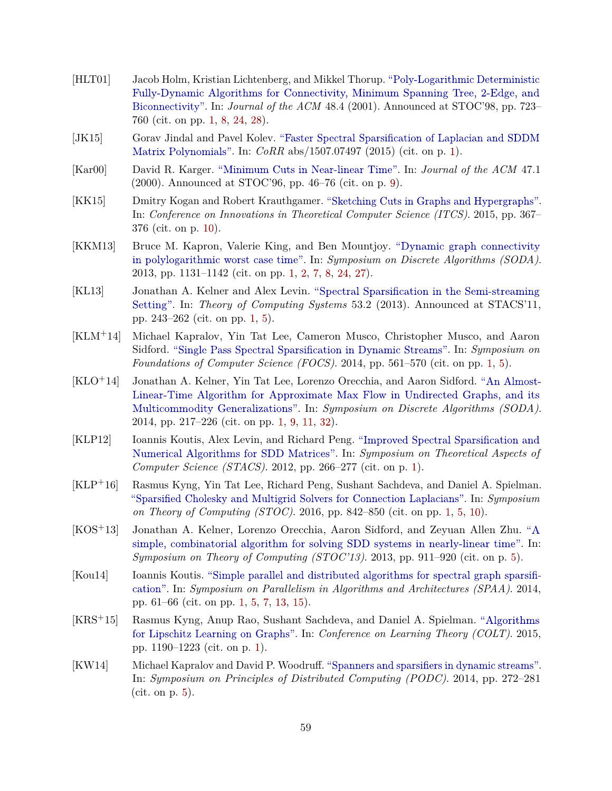- <span id="page-60-0"></span>[HLT01] Jacob Holm, Kristian Lichtenberg, and Mikkel Thorup. ["Poly-Logarithmic Deterministic](http://dx.doi.org/10.1145/502090.502095) [Fully-Dynamic Algorithms for Connectivity, Minimum Spanning Tree,](http://dx.doi.org/10.1145/502090.502095) 2-Edge, and [Biconnectivity".](http://dx.doi.org/10.1145/502090.502095) In: *Journal of the ACM* 48.4 (2001). Announced at STOC'98, pp. 723– 760 (cit. on pp. [1,](#page-2-1) [8,](#page-9-1) [24,](#page-25-1) [28\)](#page-29-1).
- <span id="page-60-9"></span>[JK15] Gorav Jindal and Pavel Kolev. ["Faster Spectral Sparsification of Laplacian and SDDM](http://arxiv.org/abs/1507.07497) [Matrix Polynomials".](http://arxiv.org/abs/1507.07497) In: *CoRR* abs/1507.07497 (2015) (cit. on p. [1\)](#page-2-1).
- <span id="page-60-12"></span>[Kar00] David R. Karger. ["Minimum Cuts in Near-linear Time".](http://dx.doi.org/10.1145/331605.331608) In: *Journal of the ACM* 47.1 (2000). Announced at STOC'96, pp. 46–76 (cit. on p. [9\)](#page-10-1).
- <span id="page-60-13"></span>[KK15] Dmitry Kogan and Robert Krauthgamer. ["Sketching Cuts in Graphs and Hypergraphs".](http://dx.doi.org/10.1145/2688073.2688093) In: *Conference on Innovations in Theoretical Computer Science (ITCS)*. 2015, pp. 367– 376 (cit. on p. [10\)](#page-11-2).
- <span id="page-60-1"></span>[KKM13] Bruce M. Kapron, Valerie King, and Ben Mountjoy. ["Dynamic graph connectivity](http://dx.doi.org/10.1137/1.9781611973105.81) [in polylogarithmic worst case time".](http://dx.doi.org/10.1137/1.9781611973105.81) In: *Symposium on Discrete Algorithms (SODA)*. 2013, pp. 1131–1142 (cit. on pp. [1,](#page-2-1) [2,](#page-3-4) [7,](#page-8-1) [8,](#page-9-1) [24,](#page-25-1) [27\)](#page-28-4).
- <span id="page-60-6"></span>[KL13] Jonathan A. Kelner and Alex Levin. ["Spectral Sparsification in the Semi-streaming](http://dx.doi.org/10.1007/s00224-012-9396-1) [Setting".](http://dx.doi.org/10.1007/s00224-012-9396-1) In: *Theory of Computing Systems* 53.2 (2013). Announced at STACS'11, pp. 243–262 (cit. on pp. [1,](#page-2-1) [5\)](#page-6-3).
- <span id="page-60-8"></span>[KLM+14] Michael Kapralov, Yin Tat Lee, Cameron Musco, Christopher Musco, and Aaron Sidford. ["Single Pass Spectral Sparsification in Dynamic Streams".](http://dx.doi.org/10.1109/FOCS.2014.66) In: *Symposium on Foundations of Computer Science (FOCS)*. 2014, pp. 561–570 (cit. on pp. [1,](#page-2-1) [5\)](#page-6-3).
- <span id="page-60-2"></span>[KLO+14] Jonathan A. Kelner, Yin Tat Lee, Lorenzo Orecchia, and Aaron Sidford. ["An Almost-](http://dx.doi.org/10.1137/1.9781611973402.16)[Linear-Time Algorithm for Approximate Max Flow in Undirected Graphs, and its](http://dx.doi.org/10.1137/1.9781611973402.16) [Multicommodity Generalizations".](http://dx.doi.org/10.1137/1.9781611973402.16) In: *Symposium on Discrete Algorithms (SODA)*. 2014, pp. 217–226 (cit. on pp. [1,](#page-2-1) [9,](#page-10-1) [11,](#page-12-2) [32\)](#page-33-3).
- <span id="page-60-7"></span>[KLP12] Ioannis Koutis, Alex Levin, and Richard Peng. ["Improved Spectral Sparsification and](http://dx.doi.org/10.4230/LIPIcs.STACS.2012.266) [Numerical Algorithms for SDD Matrices".](http://dx.doi.org/10.4230/LIPIcs.STACS.2012.266) In: *Symposium on Theoretical Aspects of Computer Science (STACS)*. 2012, pp. 266–277 (cit. on p. [1\)](#page-2-1).
- <span id="page-60-3"></span>[KLP+16] Rasmus Kyng, Yin Tat Lee, Richard Peng, Sushant Sachdeva, and Daniel A. Spielman. ["Sparsified Cholesky and Multigrid Solvers for Connection Laplacians".](http://dx.doi.org/10.1145/2897518.2897640) In: *Symposium on Theory of Computing (STOC)*. 2016, pp. 842–850 (cit. on pp. [1,](#page-2-1) [5,](#page-6-3) [10\)](#page-11-2).
- <span id="page-60-11"></span>[KOS+13] Jonathan A. Kelner, Lorenzo Orecchia, Aaron Sidford, and Zeyuan Allen Zhu. ["A](http://dx.doi.org/10.1145/2488608.2488724) [simple, combinatorial algorithm for solving SDD systems in nearly-linear time".](http://dx.doi.org/10.1145/2488608.2488724) In: *Symposium on Theory of Computing (STOC'13)*. 2013, pp. 911–920 (cit. on p. [5\)](#page-6-3).
- <span id="page-60-4"></span>[Kou14] Ioannis Koutis. ["Simple parallel and distributed algorithms for spectral graph sparsifi](http://dx.doi.org/10.1145/2612669.2612676)[cation".](http://dx.doi.org/10.1145/2612669.2612676) In: *Symposium on Parallelism in Algorithms and Architectures (SPAA)*. 2014, pp. 61–66 (cit. on pp. [1,](#page-2-1) [5,](#page-6-3) [7,](#page-8-1) [13,](#page-14-1) [15\)](#page-16-3).
- <span id="page-60-5"></span>[KRS+15] Rasmus Kyng, Anup Rao, Sushant Sachdeva, and Daniel A. Spielman. ["Algorithms](http://jmlr.org/proceedings/papers/v40/Kyng15.html) [for Lipschitz Learning on Graphs".](http://jmlr.org/proceedings/papers/v40/Kyng15.html) In: *Conference on Learning Theory (COLT)*. 2015, pp. 1190–1223 (cit. on p. [1\)](#page-2-1).
- <span id="page-60-10"></span>[KW14] Michael Kapralov and David P. Woodruff. ["Spanners and sparsifiers in dynamic streams".](http://dx.doi.org/10.1145/2611462.2611497) In: *Symposium on Principles of Distributed Computing (PODC)*. 2014, pp. 272–281 (cit. on p. [5\)](#page-6-3).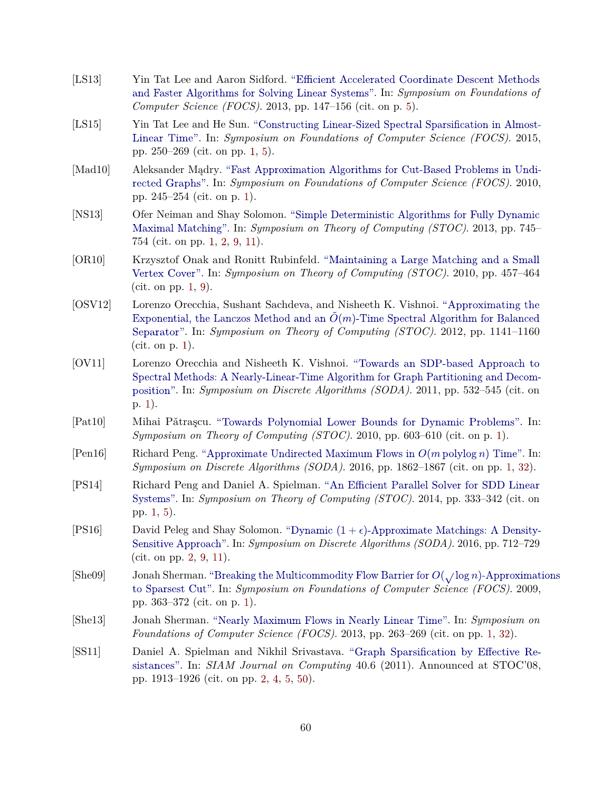- <span id="page-61-13"></span>[LS13] Yin Tat Lee and Aaron Sidford. ["Efficient Accelerated Coordinate Descent Methods](http://dx.doi.org/10.1109/FOCS.2013.24) [and Faster Algorithms for Solving Linear Systems".](http://dx.doi.org/10.1109/FOCS.2013.24) In: *Symposium on Foundations of Computer Science (FOCS)*. 2013, pp. 147–156 (cit. on p. [5\)](#page-6-3).
- <span id="page-61-10"></span>[LS15] Yin Tat Lee and He Sun. ["Constructing Linear-Sized Spectral Sparsification in Almost-](http://dx.doi.org/10.1109/FOCS.2015.24)[Linear Time".](http://dx.doi.org/10.1109/FOCS.2015.24) In: *Symposium on Foundations of Computer Science (FOCS)*. 2015, pp. 250–269 (cit. on pp. [1,](#page-2-1) [5\)](#page-6-3).
- <span id="page-61-4"></span>[Mad10] Aleksander Mądry. ["Fast Approximation Algorithms for Cut-Based Problems in Undi](http://dx.doi.org/10.1109/FOCS.2010.30)[rected Graphs".](http://dx.doi.org/10.1109/FOCS.2010.30) In: *Symposium on Foundations of Computer Science (FOCS)*. 2010, pp. 245–254 (cit. on p. [1\)](#page-2-1).
- <span id="page-61-2"></span>[NS13] Ofer Neiman and Shay Solomon. ["Simple Deterministic Algorithms for Fully Dynamic](http://dx.doi.org/10.1145/2488608.2488703) [Maximal Matching".](http://dx.doi.org/10.1145/2488608.2488703) In: *Symposium on Theory of Computing (STOC)*. 2013, pp. 745– 754 (cit. on pp. [1,](#page-2-1) [2,](#page-3-4) [9,](#page-10-1) [11\)](#page-12-2).
- <span id="page-61-1"></span>[OR10] Krzysztof Onak and Ronitt Rubinfeld. ["Maintaining a Large Matching and a Small](http://dx.doi.org/10.1145/1806689.1806753) [Vertex Cover".](http://dx.doi.org/10.1145/1806689.1806753) In: *Symposium on Theory of Computing (STOC)*. 2010, pp. 457–464 (cit. on pp. [1,](#page-2-1) [9\)](#page-10-1).
- <span id="page-61-9"></span>[OSV12] Lorenzo Orecchia, Sushant Sachdeva, and Nisheeth K. Vishnoi. ["Approximating the](http://dx.doi.org/10.1145/2213977.2214080) [Exponential, the Lanczos Method and an](http://dx.doi.org/10.1145/2213977.2214080)  $\tilde{O}(m)$ -Time Spectral Algorithm for Balanced [Separator".](http://dx.doi.org/10.1145/2213977.2214080) In: *Symposium on Theory of Computing (STOC)*. 2012, pp. 1141–1160 (cit. on p. [1\)](#page-2-1).
- <span id="page-61-0"></span>[OV11] Lorenzo Orecchia and Nisheeth K. Vishnoi. ["Towards an SDP-based Approach to](http://dx.doi.org/10.1137/1.9781611973082.42) [Spectral Methods: A Nearly-Linear-Time Algorithm for Graph Partitioning and Decom](http://dx.doi.org/10.1137/1.9781611973082.42)[position".](http://dx.doi.org/10.1137/1.9781611973082.42) In: *Symposium on Discrete Algorithms (SODA)*. 2011, pp. 532–545 (cit. on p. [1\)](#page-2-1).
- <span id="page-61-3"></span>[Pat10] Mihai Pǎtrascu. ["Towards Polynomial Lower Bounds for Dynamic Problems".](http://dx.doi.org/10.1145/1806689.1806772) In: *Symposium on Theory of Computing (STOC)*. 2010, pp. 603–610 (cit. on p. [1\)](#page-2-1).
- <span id="page-61-7"></span>[Pen16] Richard Peng. ["Approximate Undirected Maximum Flows in](http://dx.doi.org/10.1137/1.9781611974331.ch130) *O*(*m* polylog *n*) Time". In: *Symposium on Discrete Algorithms (SODA)*. 2016, pp. 1862–1867 (cit. on pp. [1,](#page-2-1) [32\)](#page-33-3).
- <span id="page-61-6"></span>[PS14] Richard Peng and Daniel A. Spielman. ["An Efficient Parallel Solver for SDD Linear](http://dx.doi.org/10.1145/2591796.2591832) [Systems".](http://dx.doi.org/10.1145/2591796.2591832) In: *Symposium on Theory of Computing (STOC)*. 2014, pp. 333–342 (cit. on pp. [1,](#page-2-1) [5\)](#page-6-3).
- <span id="page-61-11"></span>[PS16] David Peleg and Shay Solomon. "Dynamic  $(1 + \epsilon)$ -Approximate Matchings: A Density-[Sensitive Approach".](http://dx.doi.org/10.1137/1.9781611974331.ch51) In: *Symposium on Discrete Algorithms (SODA)*. 2016, pp. 712–729 (cit. on pp. [2,](#page-3-4) [9,](#page-10-1) [11\)](#page-12-2).
- <span id="page-61-8"></span>[She09] Jonah Sherman. ["Breaking the Multicommodity Flow Barrier for](http://dx.doi.org/10.1109/FOCS.2009.66)  $O(\sqrt{\log n})$ -Approximations [to Sparsest Cut".](http://dx.doi.org/10.1109/FOCS.2009.66) In: *Symposium on Foundations of Computer Science (FOCS)*. 2009, pp. 363–372 (cit. on p. [1\)](#page-2-1).
- <span id="page-61-5"></span>[She13] Jonah Sherman. ["Nearly Maximum Flows in Nearly Linear Time".](http://dx.doi.org/10.1109/FOCS.2013.36) In: *Symposium on Foundations of Computer Science (FOCS)*. 2013, pp. 263–269 (cit. on pp. [1,](#page-2-1) [32\)](#page-33-3).
- <span id="page-61-12"></span>[SS11] Daniel A. Spielman and Nikhil Srivastava. ["Graph Sparsification by Effective Re](http://dx.doi.org/10.1137/080734029)[sistances".](http://dx.doi.org/10.1137/080734029) In: *SIAM Journal on Computing* 40.6 (2011). Announced at STOC'08, pp. 1913–1926 (cit. on pp. [2,](#page-3-4) [4,](#page-5-2) [5,](#page-6-3) [50\)](#page-51-1).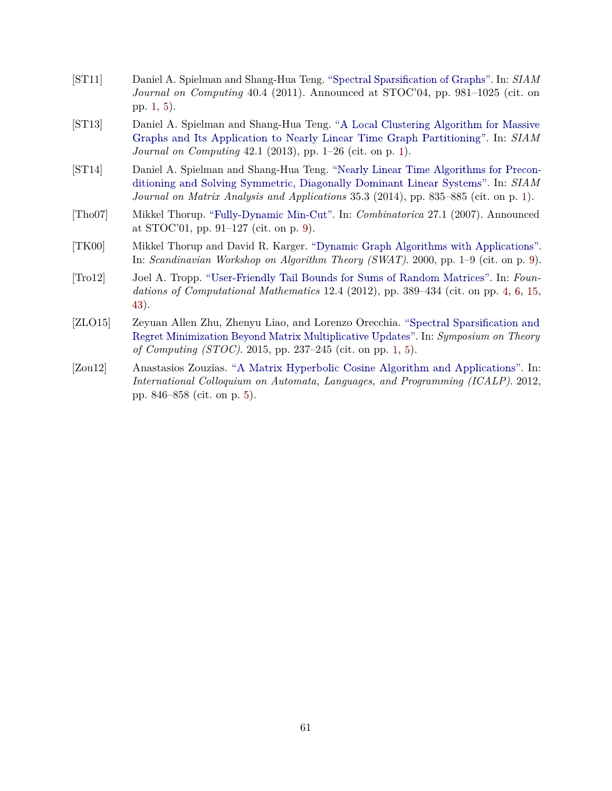- <span id="page-62-1"></span>[ST11] Daniel A. Spielman and Shang-Hua Teng. ["Spectral Sparsification of Graphs".](http://dx.doi.org/10.1137/08074489X) In: *SIAM Journal on Computing* 40.4 (2011). Announced at STOC'04, pp. 981–1025 (cit. on pp. [1,](#page-2-1) [5\)](#page-6-3).
- <span id="page-62-0"></span>[ST13] Daniel A. Spielman and Shang-Hua Teng. ["A Local Clustering Algorithm for Massive](http://dx.doi.org/10.1137/080744888) [Graphs and Its Application to Nearly Linear Time Graph Partitioning".](http://dx.doi.org/10.1137/080744888) In: *SIAM Journal on Computing* 42.1 (2013), pp. 1–26 (cit. on p. [1\)](#page-2-1).
- <span id="page-62-2"></span>[ST14] Daniel A. Spielman and Shang-Hua Teng. ["Nearly Linear Time Algorithms for Precon](http://dx.doi.org/10.1137/090771430)[ditioning and Solving Symmetric, Diagonally Dominant Linear Systems".](http://dx.doi.org/10.1137/090771430) In: *SIAM Journal on Matrix Analysis and Applications* 35.3 (2014), pp. 835–885 (cit. on p. [1\)](#page-2-1).
- <span id="page-62-6"></span>[Tho07] Mikkel Thorup. ["Fully-Dynamic Min-Cut".](http://dx.doi.org/10.1007/s00493-007-0045-2) In: *Combinatorica* 27.1 (2007). Announced at STOC'01, pp. 91–127 (cit. on p. [9\)](#page-10-1).
- <span id="page-62-7"></span>[TK00] Mikkel Thorup and David R. Karger. ["Dynamic Graph Algorithms with Applications".](http://dx.doi.org/10.1007/3-540-44985-X_1) In: *Scandinavian Workshop on Algorithm Theory (SWAT)*. 2000, pp. 1–9 (cit. on p. [9\)](#page-10-1).
- <span id="page-62-4"></span>[Tro12] Joel A. Tropp. ["User-Friendly Tail Bounds for Sums of Random Matrices".](http://dx.doi.org/10.1007/s10208-011-9099-z) In: *Foundations of Computational Mathematics* 12.4 (2012), pp. 389–434 (cit. on pp. [4,](#page-5-2) [6,](#page-7-1) [15,](#page-16-3) [43\)](#page-44-1).
- <span id="page-62-3"></span>[ZLO15] Zeyuan Allen Zhu, Zhenyu Liao, and Lorenzo Orecchia. ["Spectral Sparsification and](http://dx.doi.org/10.1145/2746539.2746610) [Regret Minimization Beyond Matrix Multiplicative Updates".](http://dx.doi.org/10.1145/2746539.2746610) In: *Symposium on Theory of Computing (STOC)*. 2015, pp. 237–245 (cit. on pp. [1,](#page-2-1) [5\)](#page-6-3).
- <span id="page-62-5"></span>[Zou12] Anastasios Zouzias. ["A Matrix Hyperbolic Cosine Algorithm and Applications".](http://dx.doi.org/10.1007/978-3-642-31594-7_71) In: *International Colloquium on Automata, Languages, and Programming (ICALP)*. 2012, pp. 846–858 (cit. on p. [5\)](#page-6-3).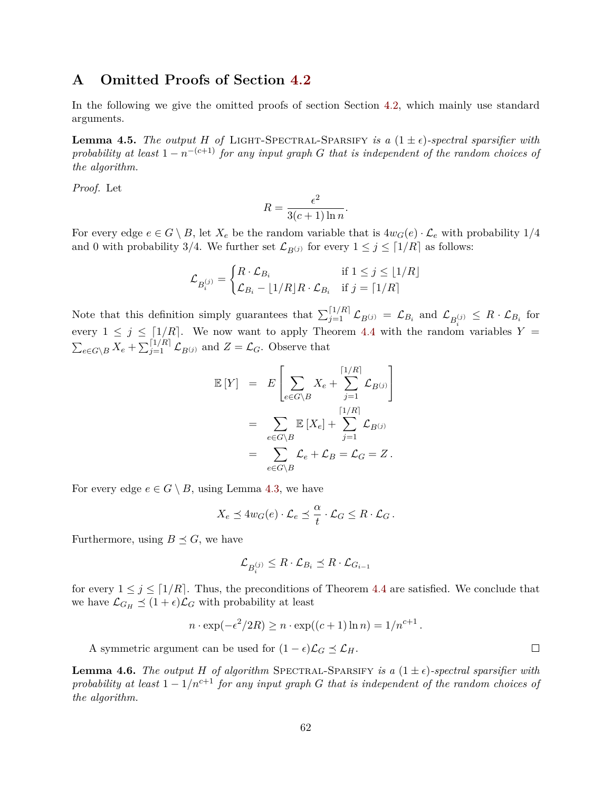# <span id="page-63-0"></span>**A Omitted Proofs of Section [4.2](#page-14-0)**

In the following we give the omitted proofs of section Section [4.2,](#page-14-0) which mainly use standard arguments.

**Lemma 4.5.** *The output H of* LIGHT-SPECTRAL-SPARSIFY *is a*  $(1 \pm \epsilon)$ -spectral sparsifier with *probability at least*  $1 - n^{-(c+1)}$  *for any input graph G that is independent of the random choices of the algorithm.*

*Proof.* Let

$$
R = \frac{\epsilon^2}{3(c+1)\ln n}.
$$

For every edge  $e \in G \setminus B$ , let  $X_e$  be the random variable that is  $4w_G(e) \cdot \mathcal{L}_e$  with probability  $1/4$ and 0 with probability 3/4. We further set  $\mathcal{L}_{B(j)}$  for every  $1 \leq j \leq \lceil 1/R \rceil$  as follows:

$$
\mathcal{L}_{B_i^{(j)}} = \begin{cases} R \cdot \mathcal{L}_{B_i} & \text{if } 1 \le j \le \lfloor 1/R \rfloor \\ \mathcal{L}_{B_i} - \lfloor 1/R \rfloor R \cdot \mathcal{L}_{B_i} & \text{if } j = \lceil 1/R \rceil \end{cases}
$$

Note that this definition simply guarantees that  $\sum_{j=1}^{\lceil 1/R \rceil} \mathcal{L}_{B(j)} = \mathcal{L}_{B_i}$  and  $\mathcal{L}_{B_i^{(j)}} \leq R \cdot \mathcal{L}_{B_i}$  for every  $1 \leq j \leq \lceil 1/R \rceil$ . We now want to apply Theorem [4.4](#page-16-4) with the random variables  $Y =$  $\sum_{e \in G \setminus B} X_e + \sum_{j=1}^{\lceil 1/R \rceil} \mathcal{L}_{B^{(j)}}$  and  $Z = \mathcal{L}_G$ . Observe that

$$
\mathbb{E}[Y] = E\left[\sum_{e \in G \setminus B} X_e + \sum_{j=1}^{\lceil 1/R \rceil} \mathcal{L}_{B^{(j)}}\right]
$$
  
= 
$$
\sum_{e \in G \setminus B} \mathbb{E}[X_e] + \sum_{j=1}^{\lceil 1/R \rceil} \mathcal{L}_{B^{(j)}}
$$
  
= 
$$
\sum_{e \in G \setminus B} \mathcal{L}_e + \mathcal{L}_B = \mathcal{L}_G = Z.
$$

For every edge  $e \in G \setminus B$ , using Lemma [4.3,](#page-14-2) we have

$$
X_e \preceq 4w_G(e) \cdot \mathcal{L}_e \preceq \frac{\alpha}{t} \cdot \mathcal{L}_G \leq R \cdot \mathcal{L}_G.
$$

Furthermore, using  $B \preceq G$ , we have

$$
\mathcal{L}_{B_i^{(j)}} \leq R \cdot \mathcal{L}_{B_i} \preceq R \cdot \mathcal{L}_{G_{i-1}}
$$

for every  $1 \leq j \leq \lceil 1/R \rceil$ . Thus, the preconditions of Theorem [4.4](#page-16-4) are satisfied. We conclude that we have  $\mathcal{L}_{G_H} \preceq (1 + \epsilon) \mathcal{L}_G$  with probability at least

$$
n \cdot \exp(-\epsilon^2/2R) \ge n \cdot \exp((c+1)\ln n) = 1/n^{c+1}
$$

A symmetric argument can be used for  $(1 - \epsilon)\mathcal{L}_G \preceq \mathcal{L}_H$ .

**Lemma 4.6.** *The output H of algorithm* SPECTRAL-SPARSIFY *is a*  $(1 \pm \epsilon)$ -spectral sparsifier with *probability at least*  $1 - 1/n^{c+1}$  *for any input graph G that is independent of the random choices of the algorithm.*

 $\Box$ 

*.*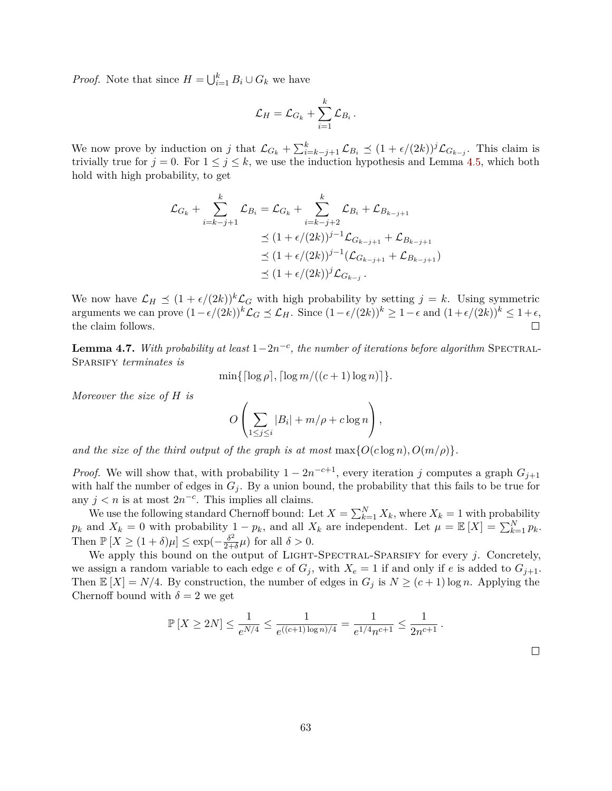*Proof.* Note that since  $H = \bigcup_{i=1}^{k} B_i \cup G_k$  we have

$$
\mathcal{L}_H = \mathcal{L}_{G_k} + \sum_{i=1}^k \mathcal{L}_{B_i} \,.
$$

We now prove by induction on *j* that  $\mathcal{L}_{G_k} + \sum_{i=k-j+1}^k \mathcal{L}_{B_i} \preceq (1 + \epsilon/(2k))^j \mathcal{L}_{G_{k-j}}$ . This claim is trivially true for  $j = 0$ . For  $1 \leq j \leq k$ , we use the induction hypothesis and Lemma [4.5,](#page-16-1) which both hold with high probability, to get

$$
\mathcal{L}_{G_k} + \sum_{i=k-j+1}^k \mathcal{L}_{B_i} = \mathcal{L}_{G_k} + \sum_{i=k-j+2}^k \mathcal{L}_{B_i} + \mathcal{L}_{B_{k-j+1}}
$$
  
\n
$$
\leq (1 + \epsilon/(2k))^{j-1} \mathcal{L}_{G_{k-j+1}} + \mathcal{L}_{B_{k-j+1}}
$$
  
\n
$$
\leq (1 + \epsilon/(2k))^{j-1} (\mathcal{L}_{G_{k-j+1}} + \mathcal{L}_{B_{k-j+1}})
$$
  
\n
$$
\leq (1 + \epsilon/(2k))^{j} \mathcal{L}_{G_{k-j}}.
$$

We now have  $\mathcal{L}_H \preceq (1 + \epsilon/(2k))^k \mathcal{L}_G$  with high probability by setting  $j = k$ . Using symmetric arguments we can prove  $(1 - \epsilon/(2k))^k$   $\mathcal{L}_G$   $\preceq$   $\mathcal{L}_H$ . Since  $(1 - \epsilon/(2k))^k$  ≥  $1 - \epsilon$  and  $(1 + \epsilon/(2k))^k$  ≤  $1 + \epsilon$ , the claim follows.  $\Box$ 

**Lemma 4.7.** *With probability at least*  $1-2n^{-c}$ , *the number of iterations before algorithm* SPECTRAL-SPARSIFY *terminates* is

 $\min\{\lceil \log \rho \rceil, \lceil \log m/((c+1) \log n) \rceil\}.$ 

*Moreover the size of H is*

$$
O\left(\sum_{1\leq j\leq i}|B_i|+m/\rho+c\log n\right),\,
$$

*and the size of the third output of the graph is at most*  $\max\{O(c \log n), O(m/\rho)\}.$ 

*Proof.* We will show that, with probability  $1 - 2n^{-c+1}$ , every iteration *j* computes a graph  $G_{j+1}$ with half the number of edges in  $G_j$ . By a union bound, the probability that this fails to be true for any  $j < n$  is at most  $2n^{-c}$ . This implies all claims.

We use the following standard Chernoff bound: Let  $X = \sum_{k=1}^{N} X_k$ , where  $X_k = 1$  with probability  $p_k$  and  $X_k = 0$  with probability  $1 - p_k$ , and all  $X_k$  are independent. Let  $\mu = \mathbb{E}[X] = \sum_{k=1}^{N} p_k$ . Then  $\mathbb{P}[X \geq (1+\delta)\mu] \leq \exp(-\frac{\delta^2}{2\sigma^2})$  $\frac{\delta^2}{2+\delta}\mu$ ) for all  $\delta > 0$ .

We apply this bound on the output of LIGHT-SPECTRAL-SPARSIFY for every *j*. Concretely, we assign a random variable to each edge *e* of  $G_j$ , with  $X_e = 1$  if and only if *e* is added to  $G_{j+1}$ . Then  $\mathbb{E}[X] = N/4$ . By construction, the number of edges in  $G_j$  is  $N \ge (c+1) \log n$ . Applying the Chernoff bound with  $\delta = 2$  we get

$$
\mathbb{P}\left[X \ge 2N\right] \le \frac{1}{e^{N/4}} \le \frac{1}{e^{((c+1)\log n)/4}} = \frac{1}{e^{1/4}n^{c+1}} \le \frac{1}{2n^{c+1}}.
$$

 $\Box$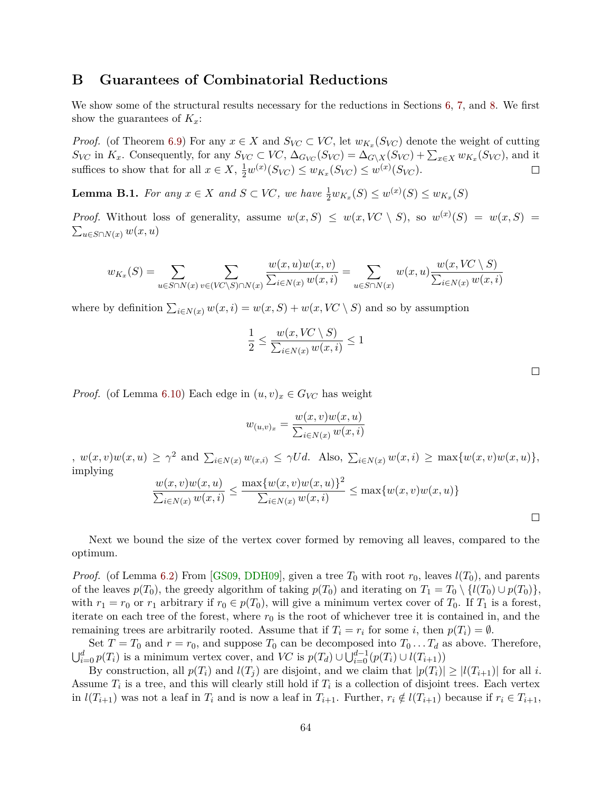# <span id="page-65-1"></span><span id="page-65-0"></span>**B Guarantees of Combinatorial Reductions**

We show some of the structural results necessary for the reductions in Sections [6,](#page-33-0) [7,](#page-40-0) and [8.](#page-46-0) We first show the guarantees of *Kx*:

*Proof.* (of Theorem [6.9\)](#page-35-3) For any  $x \in X$  and  $S_{VC} \subset VC$ , let  $w_{K_x}(S_{VC})$  denote the weight of cutting  $S_{VC}$  in  $K_x$ . Consequently, for any  $S_{VC} \subset VC$ ,  $\Delta_{G_{VC}}(S_{VC}) = \Delta_{G \setminus X}(S_{VC}) + \sum_{x \in X} w_{K_x}(S_{VC})$ , and it suffices to show that for all  $x \in X$ ,  $\frac{1}{2}w^{(x)}(S_{VC}) \leq w_{K_x}(S_{VC}) \leq w^{(x)}(S_{VC})$ .  $\Box$ 

**Lemma B.1.** *For any*  $x \in X$  *and*  $S \subset VC$ *, we have*  $\frac{1}{2}w_{K_x}(S) \leq w^{(x)}(S) \leq w_{K_x}(S)$ 

*Proof.* Without loss of generality, assume  $w(x, S) \leq w(x, VC \setminus S)$ , so  $w^{(x)}(S) = w(x, S)$  $\sum_{u \in S \cap N(x)} w(x, u)$ 

$$
w_{K_x}(S) = \sum_{u \in S \cap N(x)} \sum_{v \in (VC \setminus S) \cap N(x)} \frac{w(x, u)w(x, v)}{\sum_{i \in N(x)} w(x, i)} = \sum_{u \in S \cap N(x)} w(x, u) \frac{w(x, VC \setminus S)}{\sum_{i \in N(x)} w(x, i)}
$$

where by definition  $\sum_{i \in N(x)} w(x, i) = w(x, S) + w(x, VC \setminus S)$  and so by assumption

$$
\frac{1}{2} \le \frac{w(x, V\!C \setminus S)}{\sum_{i \in N(x)} w(x, i)} \le 1
$$

*Proof.* (of Lemma [6.10\)](#page-35-2) Each edge in  $(u, v)_x \in G_{VC}$  has weight

$$
w_{(u,v)_x} = \frac{w(x,v)w(x,u)}{\sum_{i \in N(x)} w(x,i)}
$$

 $, w(x, v)w(x, u) \geq \gamma^2$  and  $\sum_{i \in N(x)} w(x, i) \leq \gamma U d$ . Also,  $\sum_{i \in N(x)} w(x, i) \geq \max\{w(x, v)w(x, u)\},$ implying

$$
\frac{w(x,v)w(x,u)}{\sum_{i\in N(x)} w(x,i)} \le \frac{\max\{w(x,v)w(x,u)\}^2}{\sum_{i\in N(x)} w(x,i)} \le \max\{w(x,v)w(x,u)\}
$$

Next we bound the size of the vertex cover formed by removing all leaves, compared to the optimum.

*Proof.* (of Lemma [6.2\)](#page-34-2) From [\[GS09,](#page-59-12) [DDH09\]](#page-59-14), given a tree  $T_0$  with root  $r_0$ , leaves  $l(T_0)$ , and parents of the leaves  $p(T_0)$ , the greedy algorithm of taking  $p(T_0)$  and iterating on  $T_1 = T_0 \setminus \{l(T_0) \cup p(T_0)\}\$ , with  $r_1 = r_0$  or  $r_1$  arbitrary if  $r_0 \in p(T_0)$ , will give a minimum vertex cover of  $T_0$ . If  $T_1$  is a forest, iterate on each tree of the forest, where  $r_0$  is the root of whichever tree it is contained in, and the remaining trees are arbitrarily rooted. Assume that if  $T_i = r_i$  for some *i*, then  $p(T_i) = \emptyset$ .

Set  $T = T_0$  and  $r = r_0$ , and suppose  $T_0$  can be decomposed into  $T_0 \dots T_d$  as above. Therefore,  $\bigcup_{i=0}^d p(T_i)$  is a minimum vertex cover, and *VC* is  $p(T_d) \cup \bigcup_{i=0}^{d-1} (p(T_i) \cup l(T_{i+1}))$ 

By construction, all  $p(T_i)$  and  $l(T_i)$  are disjoint, and we claim that  $|p(T_i)| \geq |l(T_{i+1})|$  for all *i*. Assume  $T_i$  is a tree, and this will clearly still hold if  $T_i$  is a collection of disjoint trees. Each vertex in  $l(T_{i+1})$  was not a leaf in  $T_i$  and is now a leaf in  $T_{i+1}$ . Further,  $r_i \notin l(T_{i+1})$  because if  $r_i \in T_{i+1}$ ,

 $\Box$